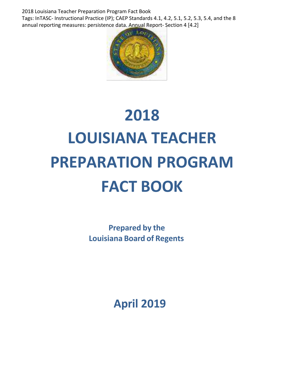2018 Louisiana Teacher Preparation Program Fact Book Tags: InTASC- Instructional Practice (IP); CAEP Standards 4.1, 4.2, 5.1, 5.2, 5.3, 5.4, and the 8 annual reporting measures: persistence data. Annual Report- Section 4 [4.2]



# **2018 LOUISIANA TEACHER PREPARATION PROGRAM FACT BOOK**

**Prepared by the Louisiana Board of Regents**

**April 2019**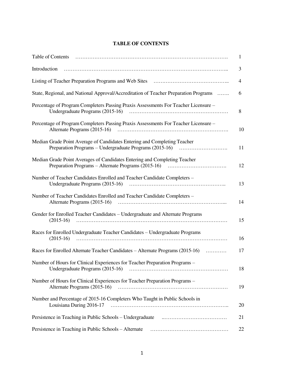#### **TABLE OF CONTENTS**

| Table of Contents                                                                                           | 1  |
|-------------------------------------------------------------------------------------------------------------|----|
| Introduction                                                                                                | 3  |
|                                                                                                             | 4  |
| State, Regional, and National Approval/Accreditation of Teacher Preparation Programs                        | 6  |
| Percentage of Program Completers Passing Praxis Assessments For Teacher Licensure -                         | 8  |
| Percentage of Program Completers Passing Praxis Assessments For Teacher Licensure –                         | 10 |
| Median Grade Point Average of Candidates Entering and Completing Teacher                                    | 11 |
| Median Grade Point Averages of Candidates Entering and Completing Teacher                                   | 12 |
| Number of Teacher Candidates Enrolled and Teacher Candidate Completers -                                    | 13 |
| Number of Teacher Candidates Enrolled and Teacher Candidate Completers -                                    | 14 |
| Gender for Enrolled Teacher Candidates - Undergraduate and Alternate Programs<br>$(2015-16)$                | 15 |
| Races for Enrolled Undergraduate Teacher Candidates - Undergraduate Programs<br>$(2015-16)$                 | 16 |
| Races for Enrolled Alternate Teacher Candidates – Alternate Programs (2015-16)                              | 17 |
| Number of Hours for Clinical Experiences for Teacher Preparation Programs -                                 | 18 |
| Number of Hours for Clinical Experiences for Teacher Preparation Programs -<br>Alternate Programs (2015-16) | 19 |
| Number and Percentage of 2015-16 Completers Who Taught in Public Schools in<br>Louisiana During 2016-17     | 20 |
|                                                                                                             | 21 |
| Persistence in Teaching in Public Schools - Alternate                                                       | 22 |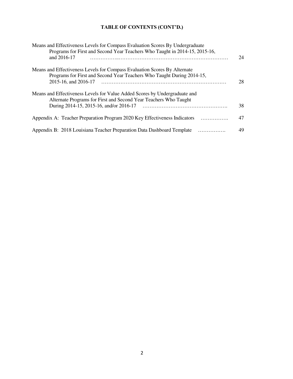# **TABLE OF CONTENTS (CONT'D.)**

| Means and Effectiveness Levels for Compass Evaluation Scores By Undergraduate<br>Programs for First and Second Year Teachers Who Taught in 2014-15, 2015-16,<br>and 2016-17               | 24 |
|-------------------------------------------------------------------------------------------------------------------------------------------------------------------------------------------|----|
| Means and Effectiveness Levels for Compass Evaluation Scores By Alternate<br>Programs for First and Second Year Teachers Who Taught During 2014-15,<br>2015-16, and 2016-17               | 28 |
| Means and Effectiveness Levels for Value Added Scores by Undergraduate and<br>Alternate Programs for First and Second Year Teachers Who Taught<br>During 2014-15, 2015-16, and/or 2016-17 | 38 |
| Appendix A: Teacher Preparation Program 2020 Key Effectiveness Indicators                                                                                                                 | 47 |
| Appendix B: 2018 Louisiana Teacher Preparation Data Dashboard Template<br>.                                                                                                               | 49 |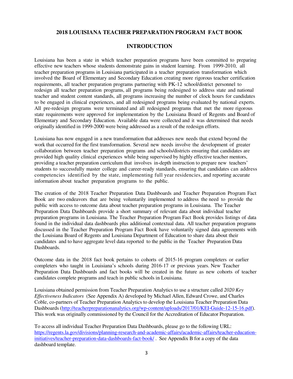#### **2018 LOUISIANA TEACHER PREPARATION PROGRAM FACT BOOK**

#### **INTRODUCTION**

Louisiana has been a state in which teacher preparation programs have been committed to preparing effective new teachers whose students demonstrate gains in student learning. From 1999-2010, all teacher preparation programs in Louisiana participated in a teacher preparation transformation which involved the Board of Elementary and Secondary Education creating more rigorous teacher certification requirements, all teacher preparation programs partnering with PK-12 school/district personnel to redesign all teacher preparation programs, all programs being redesigned to address state and national teacher and student content standards, all programs increasing the number of clock hours for candidates to be engaged in clinical experiences, and all redesigned programs being evaluated by national experts. All pre-redesign programs were terminated and all redesigned programs that met the more rigorous state requirements were approved for implementation by the Louisiana Board of Regents and Board of Elementary and Secondary Education. Available data were collected and it was determined that needs originally identified in 1999-2000 were being addressed as a result of the redesign efforts.

Louisiana has now engaged in a new transformation that addresses new needs that extend beyond the work that occurred for the first transformation. Several new needs involve the development of greater collaboration between teacher preparation programs and schools/districts ensuring that candidates are provided high quality clinical experiences while being supervised by highly effective teacher mentors, providing a teacher preparation curriculum that involves in-depth instruction to prepare new teachers' students to successfully master college and career-ready standards, ensuring that candidates can address competencies identified by the state, implementing full year residencies, and reporting accurate information about teacher preparation programs to the public.

The creation of the 2018 Teacher Preparation Data Dashboards and Teacher Preparation Program Fact Book are two endeavors that are being voluntarily implemented to address the need to provide the public with access to outcome data about teacher preparation programs in Louisiana. The Teacher Preparation Data Dashboards provide a short summary of relevant data about individual teacher preparation programs in Louisiana. The Teacher Preparation Program Fact Book provides listings of data found in the individual data dashboards plus additional contextual data. All teacher preparation programs discussed in the Teacher Preparation Program Fact Book have voluntarily signed data agreements with the Louisiana Board of Regents and Louisiana Department of Education to share data about their candidates and to have aggregate level data reported to the public in the Teacher Preparation Data Dashboards.

Outcome data in the 2018 fact book pertains to cohorts of 2015-16 program completers or earlier completers who taught in Louisiana's schools during 2016-17 or previous years. New Teacher Preparation Data Dashboards and fact books will be created in the future as new cohorts of teacher candidates complete programs and teach in public schools in Louisiana.

Louisiana obtained permission from Teacher Preparation Analytics to use a structure called *2020 Key Effectiveness Indicators* (See Appendix A) developed by Michael Allen, Edward Crowe, and Charles Coble, co-partners of Teacher Preparation Analytics to develop the Louisiana Teacher Preparation Data Dashboards [\(http://teacherpreparationanalytics.org/wp-content/uploads/2017/01/KEI-Guide-12-15-16.pdf\)](http://teacherpreparationanalytics.org/wp-content/uploads/2017/01/KEI-Guide-12-15-16.pdf). This work was originally commissioned by the Council for the Accreditation of Educator Preparation.

To access all individual Teacher Preparation Data Dashboards, please go to the following URL: [https://regents.la.gov/divisions/planning-research-and-academic-affairs/academic-affairs/teacher-education](https://regents.la.gov/divisions/planning-research-and-academic-affairs/academic-affairs/teacher-education-initiatives/teacher-preparation-data-dashboards-fact-book/)[initiatives/teacher-preparation-data-dashboards-fact-book/](https://regents.la.gov/divisions/planning-research-and-academic-affairs/academic-affairs/teacher-education-initiatives/teacher-preparation-data-dashboards-fact-book/) . See Appendix B for a copy of the data dashboard template.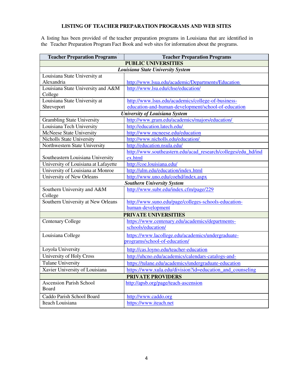#### **LISTING OF TEACHER PREPARATION PROGRAMS AND WEB SITES**

A listing has been provided of the teacher preparation programs in Louisiana that are identified in the Teacher Preparation Program Fact Book and web sites for information about the programs.

| <b>PUBLIC UNIVERSITIES</b><br>Louisiana State University System<br>Louisiana State University at<br>Alexandria<br>http://www.lsua.edu/academic/Departments/Education<br>Louisiana State University and A&M<br>http://www.lsu.edu/chse/education/<br>College<br>Louisiana State University at<br>http://www.lsus.edu/academics/college-of-business-<br>education-and-human-development/school-of-education<br>Shreveport<br><b>University of Louisiana System</b><br>http://www.gram.edu/academics/majors/education/<br><b>Grambling State University</b><br>Louisiana Tech University<br>http://education.latech.edu/<br>http://www.mcneese.edu/education<br>McNeese State University<br><b>Nicholls State University</b><br>http://www.nicholls.edu/education/<br>Northwestern State University<br>http://education.nsula.edu/<br>http://www.southeastern.edu/acad_research/colleges/edu_hd/ind<br>Southeastern Louisiana University<br>ex.html<br>http://coe.louisiana.edu/<br>University of Louisiana at Lafayette<br>http://ulm.edu/education/index.html<br>University of Louisiana at Monroe<br>University of New Orleans<br>http://www.uno.edu/coehd/index.aspx<br><b>Southern University System</b><br>http://www.subr.edu/index.cfm/page/229<br>Southern University and A&M<br>College<br>Southern University at New Orleans<br>http://www.suno.edu/page/colleges-schools-education-<br>human-development<br><b>PRIVATE UNIVERSITIES</b><br>https://www.centenary.edu/academics/departments-<br><b>Centenary College</b><br>schools/education/<br>Louisiana College<br>https://www.lacollege.edu/academics/undergraduate-<br>programs/school-of-education/<br>Loyola University<br>http://cas.loyno.edu/teacher-education<br>University of Holy Cross<br>http://uhcno.edu/academics/calendars-catalogs-and-<br><b>Tulane University</b><br>https://tulane.edu/academics/undergraduate-education<br>https://www.xula.edu/division?id=education_and_counseling<br>Xavier University of Louisiana<br><b>PRIVATE PROVIDERS</b><br><b>Ascension Parish School</b><br>http://apsb.org/page/teach-ascension<br>Board<br>http://www.caddo.org<br>Caddo Parish School Board | <b>Teacher Preparation Programs</b><br><b>Teacher Preparation Programs</b> |                        |  |  |  |
|----------------------------------------------------------------------------------------------------------------------------------------------------------------------------------------------------------------------------------------------------------------------------------------------------------------------------------------------------------------------------------------------------------------------------------------------------------------------------------------------------------------------------------------------------------------------------------------------------------------------------------------------------------------------------------------------------------------------------------------------------------------------------------------------------------------------------------------------------------------------------------------------------------------------------------------------------------------------------------------------------------------------------------------------------------------------------------------------------------------------------------------------------------------------------------------------------------------------------------------------------------------------------------------------------------------------------------------------------------------------------------------------------------------------------------------------------------------------------------------------------------------------------------------------------------------------------------------------------------------------------------------------------------------------------------------------------------------------------------------------------------------------------------------------------------------------------------------------------------------------------------------------------------------------------------------------------------------------------------------------------------------------------------------------------------------------------------------------------------------------------------------------------------------------------|----------------------------------------------------------------------------|------------------------|--|--|--|
|                                                                                                                                                                                                                                                                                                                                                                                                                                                                                                                                                                                                                                                                                                                                                                                                                                                                                                                                                                                                                                                                                                                                                                                                                                                                                                                                                                                                                                                                                                                                                                                                                                                                                                                                                                                                                                                                                                                                                                                                                                                                                                                                                                            |                                                                            |                        |  |  |  |
|                                                                                                                                                                                                                                                                                                                                                                                                                                                                                                                                                                                                                                                                                                                                                                                                                                                                                                                                                                                                                                                                                                                                                                                                                                                                                                                                                                                                                                                                                                                                                                                                                                                                                                                                                                                                                                                                                                                                                                                                                                                                                                                                                                            |                                                                            |                        |  |  |  |
|                                                                                                                                                                                                                                                                                                                                                                                                                                                                                                                                                                                                                                                                                                                                                                                                                                                                                                                                                                                                                                                                                                                                                                                                                                                                                                                                                                                                                                                                                                                                                                                                                                                                                                                                                                                                                                                                                                                                                                                                                                                                                                                                                                            |                                                                            |                        |  |  |  |
|                                                                                                                                                                                                                                                                                                                                                                                                                                                                                                                                                                                                                                                                                                                                                                                                                                                                                                                                                                                                                                                                                                                                                                                                                                                                                                                                                                                                                                                                                                                                                                                                                                                                                                                                                                                                                                                                                                                                                                                                                                                                                                                                                                            |                                                                            |                        |  |  |  |
|                                                                                                                                                                                                                                                                                                                                                                                                                                                                                                                                                                                                                                                                                                                                                                                                                                                                                                                                                                                                                                                                                                                                                                                                                                                                                                                                                                                                                                                                                                                                                                                                                                                                                                                                                                                                                                                                                                                                                                                                                                                                                                                                                                            |                                                                            |                        |  |  |  |
|                                                                                                                                                                                                                                                                                                                                                                                                                                                                                                                                                                                                                                                                                                                                                                                                                                                                                                                                                                                                                                                                                                                                                                                                                                                                                                                                                                                                                                                                                                                                                                                                                                                                                                                                                                                                                                                                                                                                                                                                                                                                                                                                                                            |                                                                            |                        |  |  |  |
|                                                                                                                                                                                                                                                                                                                                                                                                                                                                                                                                                                                                                                                                                                                                                                                                                                                                                                                                                                                                                                                                                                                                                                                                                                                                                                                                                                                                                                                                                                                                                                                                                                                                                                                                                                                                                                                                                                                                                                                                                                                                                                                                                                            |                                                                            |                        |  |  |  |
|                                                                                                                                                                                                                                                                                                                                                                                                                                                                                                                                                                                                                                                                                                                                                                                                                                                                                                                                                                                                                                                                                                                                                                                                                                                                                                                                                                                                                                                                                                                                                                                                                                                                                                                                                                                                                                                                                                                                                                                                                                                                                                                                                                            |                                                                            |                        |  |  |  |
|                                                                                                                                                                                                                                                                                                                                                                                                                                                                                                                                                                                                                                                                                                                                                                                                                                                                                                                                                                                                                                                                                                                                                                                                                                                                                                                                                                                                                                                                                                                                                                                                                                                                                                                                                                                                                                                                                                                                                                                                                                                                                                                                                                            |                                                                            |                        |  |  |  |
|                                                                                                                                                                                                                                                                                                                                                                                                                                                                                                                                                                                                                                                                                                                                                                                                                                                                                                                                                                                                                                                                                                                                                                                                                                                                                                                                                                                                                                                                                                                                                                                                                                                                                                                                                                                                                                                                                                                                                                                                                                                                                                                                                                            |                                                                            |                        |  |  |  |
|                                                                                                                                                                                                                                                                                                                                                                                                                                                                                                                                                                                                                                                                                                                                                                                                                                                                                                                                                                                                                                                                                                                                                                                                                                                                                                                                                                                                                                                                                                                                                                                                                                                                                                                                                                                                                                                                                                                                                                                                                                                                                                                                                                            |                                                                            |                        |  |  |  |
|                                                                                                                                                                                                                                                                                                                                                                                                                                                                                                                                                                                                                                                                                                                                                                                                                                                                                                                                                                                                                                                                                                                                                                                                                                                                                                                                                                                                                                                                                                                                                                                                                                                                                                                                                                                                                                                                                                                                                                                                                                                                                                                                                                            |                                                                            |                        |  |  |  |
|                                                                                                                                                                                                                                                                                                                                                                                                                                                                                                                                                                                                                                                                                                                                                                                                                                                                                                                                                                                                                                                                                                                                                                                                                                                                                                                                                                                                                                                                                                                                                                                                                                                                                                                                                                                                                                                                                                                                                                                                                                                                                                                                                                            |                                                                            |                        |  |  |  |
|                                                                                                                                                                                                                                                                                                                                                                                                                                                                                                                                                                                                                                                                                                                                                                                                                                                                                                                                                                                                                                                                                                                                                                                                                                                                                                                                                                                                                                                                                                                                                                                                                                                                                                                                                                                                                                                                                                                                                                                                                                                                                                                                                                            |                                                                            |                        |  |  |  |
|                                                                                                                                                                                                                                                                                                                                                                                                                                                                                                                                                                                                                                                                                                                                                                                                                                                                                                                                                                                                                                                                                                                                                                                                                                                                                                                                                                                                                                                                                                                                                                                                                                                                                                                                                                                                                                                                                                                                                                                                                                                                                                                                                                            |                                                                            |                        |  |  |  |
|                                                                                                                                                                                                                                                                                                                                                                                                                                                                                                                                                                                                                                                                                                                                                                                                                                                                                                                                                                                                                                                                                                                                                                                                                                                                                                                                                                                                                                                                                                                                                                                                                                                                                                                                                                                                                                                                                                                                                                                                                                                                                                                                                                            |                                                                            |                        |  |  |  |
|                                                                                                                                                                                                                                                                                                                                                                                                                                                                                                                                                                                                                                                                                                                                                                                                                                                                                                                                                                                                                                                                                                                                                                                                                                                                                                                                                                                                                                                                                                                                                                                                                                                                                                                                                                                                                                                                                                                                                                                                                                                                                                                                                                            |                                                                            |                        |  |  |  |
|                                                                                                                                                                                                                                                                                                                                                                                                                                                                                                                                                                                                                                                                                                                                                                                                                                                                                                                                                                                                                                                                                                                                                                                                                                                                                                                                                                                                                                                                                                                                                                                                                                                                                                                                                                                                                                                                                                                                                                                                                                                                                                                                                                            |                                                                            |                        |  |  |  |
|                                                                                                                                                                                                                                                                                                                                                                                                                                                                                                                                                                                                                                                                                                                                                                                                                                                                                                                                                                                                                                                                                                                                                                                                                                                                                                                                                                                                                                                                                                                                                                                                                                                                                                                                                                                                                                                                                                                                                                                                                                                                                                                                                                            |                                                                            |                        |  |  |  |
|                                                                                                                                                                                                                                                                                                                                                                                                                                                                                                                                                                                                                                                                                                                                                                                                                                                                                                                                                                                                                                                                                                                                                                                                                                                                                                                                                                                                                                                                                                                                                                                                                                                                                                                                                                                                                                                                                                                                                                                                                                                                                                                                                                            |                                                                            |                        |  |  |  |
|                                                                                                                                                                                                                                                                                                                                                                                                                                                                                                                                                                                                                                                                                                                                                                                                                                                                                                                                                                                                                                                                                                                                                                                                                                                                                                                                                                                                                                                                                                                                                                                                                                                                                                                                                                                                                                                                                                                                                                                                                                                                                                                                                                            |                                                                            |                        |  |  |  |
|                                                                                                                                                                                                                                                                                                                                                                                                                                                                                                                                                                                                                                                                                                                                                                                                                                                                                                                                                                                                                                                                                                                                                                                                                                                                                                                                                                                                                                                                                                                                                                                                                                                                                                                                                                                                                                                                                                                                                                                                                                                                                                                                                                            |                                                                            |                        |  |  |  |
|                                                                                                                                                                                                                                                                                                                                                                                                                                                                                                                                                                                                                                                                                                                                                                                                                                                                                                                                                                                                                                                                                                                                                                                                                                                                                                                                                                                                                                                                                                                                                                                                                                                                                                                                                                                                                                                                                                                                                                                                                                                                                                                                                                            |                                                                            |                        |  |  |  |
|                                                                                                                                                                                                                                                                                                                                                                                                                                                                                                                                                                                                                                                                                                                                                                                                                                                                                                                                                                                                                                                                                                                                                                                                                                                                                                                                                                                                                                                                                                                                                                                                                                                                                                                                                                                                                                                                                                                                                                                                                                                                                                                                                                            |                                                                            |                        |  |  |  |
|                                                                                                                                                                                                                                                                                                                                                                                                                                                                                                                                                                                                                                                                                                                                                                                                                                                                                                                                                                                                                                                                                                                                                                                                                                                                                                                                                                                                                                                                                                                                                                                                                                                                                                                                                                                                                                                                                                                                                                                                                                                                                                                                                                            |                                                                            |                        |  |  |  |
|                                                                                                                                                                                                                                                                                                                                                                                                                                                                                                                                                                                                                                                                                                                                                                                                                                                                                                                                                                                                                                                                                                                                                                                                                                                                                                                                                                                                                                                                                                                                                                                                                                                                                                                                                                                                                                                                                                                                                                                                                                                                                                                                                                            |                                                                            |                        |  |  |  |
|                                                                                                                                                                                                                                                                                                                                                                                                                                                                                                                                                                                                                                                                                                                                                                                                                                                                                                                                                                                                                                                                                                                                                                                                                                                                                                                                                                                                                                                                                                                                                                                                                                                                                                                                                                                                                                                                                                                                                                                                                                                                                                                                                                            |                                                                            |                        |  |  |  |
|                                                                                                                                                                                                                                                                                                                                                                                                                                                                                                                                                                                                                                                                                                                                                                                                                                                                                                                                                                                                                                                                                                                                                                                                                                                                                                                                                                                                                                                                                                                                                                                                                                                                                                                                                                                                                                                                                                                                                                                                                                                                                                                                                                            |                                                                            |                        |  |  |  |
|                                                                                                                                                                                                                                                                                                                                                                                                                                                                                                                                                                                                                                                                                                                                                                                                                                                                                                                                                                                                                                                                                                                                                                                                                                                                                                                                                                                                                                                                                                                                                                                                                                                                                                                                                                                                                                                                                                                                                                                                                                                                                                                                                                            |                                                                            |                        |  |  |  |
|                                                                                                                                                                                                                                                                                                                                                                                                                                                                                                                                                                                                                                                                                                                                                                                                                                                                                                                                                                                                                                                                                                                                                                                                                                                                                                                                                                                                                                                                                                                                                                                                                                                                                                                                                                                                                                                                                                                                                                                                                                                                                                                                                                            |                                                                            |                        |  |  |  |
|                                                                                                                                                                                                                                                                                                                                                                                                                                                                                                                                                                                                                                                                                                                                                                                                                                                                                                                                                                                                                                                                                                                                                                                                                                                                                                                                                                                                                                                                                                                                                                                                                                                                                                                                                                                                                                                                                                                                                                                                                                                                                                                                                                            |                                                                            |                        |  |  |  |
|                                                                                                                                                                                                                                                                                                                                                                                                                                                                                                                                                                                                                                                                                                                                                                                                                                                                                                                                                                                                                                                                                                                                                                                                                                                                                                                                                                                                                                                                                                                                                                                                                                                                                                                                                                                                                                                                                                                                                                                                                                                                                                                                                                            |                                                                            |                        |  |  |  |
|                                                                                                                                                                                                                                                                                                                                                                                                                                                                                                                                                                                                                                                                                                                                                                                                                                                                                                                                                                                                                                                                                                                                                                                                                                                                                                                                                                                                                                                                                                                                                                                                                                                                                                                                                                                                                                                                                                                                                                                                                                                                                                                                                                            |                                                                            |                        |  |  |  |
|                                                                                                                                                                                                                                                                                                                                                                                                                                                                                                                                                                                                                                                                                                                                                                                                                                                                                                                                                                                                                                                                                                                                                                                                                                                                                                                                                                                                                                                                                                                                                                                                                                                                                                                                                                                                                                                                                                                                                                                                                                                                                                                                                                            |                                                                            |                        |  |  |  |
|                                                                                                                                                                                                                                                                                                                                                                                                                                                                                                                                                                                                                                                                                                                                                                                                                                                                                                                                                                                                                                                                                                                                                                                                                                                                                                                                                                                                                                                                                                                                                                                                                                                                                                                                                                                                                                                                                                                                                                                                                                                                                                                                                                            |                                                                            |                        |  |  |  |
|                                                                                                                                                                                                                                                                                                                                                                                                                                                                                                                                                                                                                                                                                                                                                                                                                                                                                                                                                                                                                                                                                                                                                                                                                                                                                                                                                                                                                                                                                                                                                                                                                                                                                                                                                                                                                                                                                                                                                                                                                                                                                                                                                                            |                                                                            |                        |  |  |  |
|                                                                                                                                                                                                                                                                                                                                                                                                                                                                                                                                                                                                                                                                                                                                                                                                                                                                                                                                                                                                                                                                                                                                                                                                                                                                                                                                                                                                                                                                                                                                                                                                                                                                                                                                                                                                                                                                                                                                                                                                                                                                                                                                                                            |                                                                            |                        |  |  |  |
|                                                                                                                                                                                                                                                                                                                                                                                                                                                                                                                                                                                                                                                                                                                                                                                                                                                                                                                                                                                                                                                                                                                                                                                                                                                                                                                                                                                                                                                                                                                                                                                                                                                                                                                                                                                                                                                                                                                                                                                                                                                                                                                                                                            | Iteach Louisiana                                                           | https://www.iteach.net |  |  |  |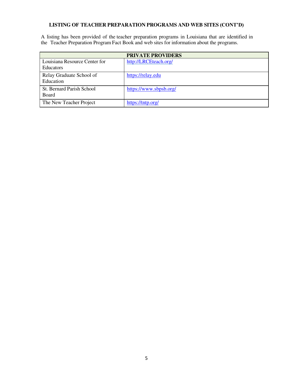#### **LISTING OF TEACHER PREPARATION PROGRAMS AND WEB SITES (CONT'D)**

A listing has been provided of the teacher preparation programs in Louisiana that are identified in the Teacher Preparation Program Fact Book and web sites for information about the programs.

|                                                   | <b>PRIVATE PROVIDERS</b> |
|---------------------------------------------------|--------------------------|
| Louisiana Resource Center for<br><b>Educators</b> | http://LRCEteach.org/    |
| Relay Graduate School of<br>Education             | https://relay.edu        |
| St. Bernard Parish School<br><b>Board</b>         | https://www.sbpsb.org/   |
| The New Teacher Project                           | https://tntp.org/        |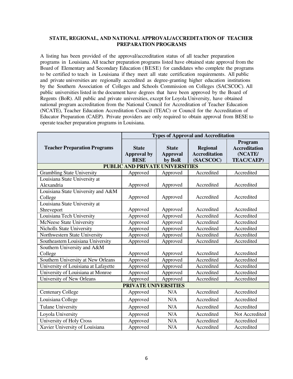#### **STATE, REGIONAL, AND NATIONAL APPROVAL/ACCREDITATION OF TEACHER PREPARATION PROGRAMS**

A listing has been provided of the approval/accreditation status of all teacher preparation programs in Louisiana. All teacher preparation programs listed have obtained state approval from the Board of Elementary and Secondary Education (BESE) for candidates who complete the programs to be certified to teach in Louisiana if they meet all state certification requirements. All public and private universities are regionally accredited as degree-granting higher education institutions by the Southern Association of Colleges and Schools Commission on Colleges (SACSCOC). All public universities listed in the document have degrees that have been approved by the Board of Regents (BoR). All public and private universities, except for Loyola University, have obtained national program accreditation from the National Council for Accreditation of Teacher Education (NCATE), Teacher Education Accreditation Council (TEAC) or Council for the Accreditation of Educator Preparation (CAEP). Private providers are only required to obtain approval from BESE to operate teacher preparation programs in Louisiana.

|                                      | <b>Types of Approval and Accreditation</b> |                 |                      |                      |
|--------------------------------------|--------------------------------------------|-----------------|----------------------|----------------------|
|                                      |                                            |                 |                      | Program              |
| <b>Teacher Preparation Programs</b>  | <b>State</b>                               | <b>State</b>    | <b>Regional</b>      | <b>Accreditation</b> |
|                                      | <b>Approval by</b>                         | <b>Approval</b> | <b>Accreditation</b> | (NCATE/              |
|                                      | <b>BESE</b>                                | by BoR          | (SACSCOC)            | <b>TEAC/CAEP)</b>    |
|                                      | <b>PUBLIC AND PRIVATE UNIVERSITIES</b>     |                 |                      |                      |
| <b>Grambling State University</b>    | Approved                                   | Approved        | Accredited           | Accredited           |
| Louisiana State University at        |                                            |                 |                      |                      |
| Alexandria                           | Approved                                   | Approved        | Accredited           | Accredited           |
| Louisiana State University and A&M   |                                            |                 |                      |                      |
| College                              | Approved                                   | Approved        | Accredited           | Accredited           |
| Louisiana State University at        |                                            |                 |                      |                      |
| Shreveport                           | Approved                                   | Approved        | Accredited           | Accredited           |
| Louisiana Tech University            | Approved                                   | Approved        | Accredited           | Accredited           |
| <b>McNeese State University</b>      | Approved                                   | Approved        | Accredited           | Accredited           |
| <b>Nicholls State University</b>     | Approved                                   | Approved        | Accredited           | Accredited           |
| Northwestern State University        | Approved                                   | Approved        | Accredited           | Accredited           |
| Southeastern Louisiana University    | Approved                                   | Approved        | Accredited           | Accredited           |
| Southern University and A&M          |                                            |                 |                      |                      |
| College                              | Approved                                   | Approved        | Accredited           | Accredited           |
| Southern University at New Orleans   | Approved                                   | Approved        | Accredited           | Accredited           |
| University of Louisiana at Lafayette | Approved                                   | Approved        | Accredited           | Accredited           |
| University of Louisiana at Monroe    | Approved                                   | Approved        | Accredited           | Accredited           |
| University of New Orleans            | Approved                                   | Approved        | Accredited           | Accredited           |
|                                      | <b>PRIVATE UNIVERSITIES</b>                |                 |                      |                      |
| <b>Centenary College</b>             | Approved                                   | N/A             | Accredited           | Accredited           |
| Louisiana College                    | Approved                                   | N/A             | Accredited           | Accredited           |
| <b>Tulane University</b>             | Approved                                   | N/A             | Accredited           | Accredited           |
| Loyola University                    | Approved                                   | N/A             | Accredited           | Not Accredited       |
| University of Holy Cross             | Approved                                   | N/A             | Accredited           | Accredited           |
| Xavier University of Louisiana       | Approved                                   | N/A             | Accredited           | Accredited           |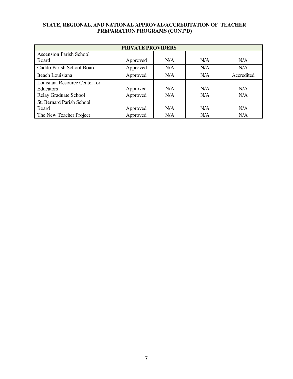#### **STATE, REGIONAL, AND NATIONAL APPROVAL/ACCREDITATION OF TEACHER PREPARATION PROGRAMS (CONT'D)**

| <b>PRIVATE PROVIDERS</b>       |          |     |     |            |
|--------------------------------|----------|-----|-----|------------|
| <b>Ascension Parish School</b> |          |     |     |            |
| Board                          | Approved | N/A | N/A | N/A        |
| Caddo Parish School Board      | Approved | N/A | N/A | N/A        |
| Iteach Louisiana               | Approved | N/A | N/A | Accredited |
| Louisiana Resource Center for  |          |     |     |            |
| <b>Educators</b>               | Approved | N/A | N/A | N/A        |
| Relay Graduate School          | Approved | N/A | N/A | N/A        |
| St. Bernard Parish School      |          |     |     |            |
| Board                          | Approved | N/A | N/A | N/A        |
| The New Teacher Project        | Approved | N/A | N/A | N/A        |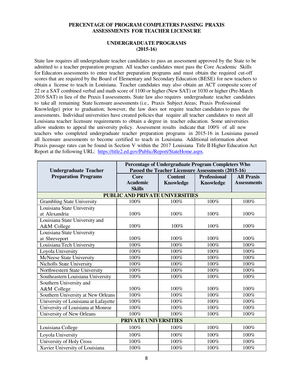#### **PERCENTAGE OF PROGRAM COMPLETERS PASSING PRAXIS ASSESSMENTS FOR TEACHER LICENSURE**

#### **UNDERGRADUATE PROGRAMS (2015-16)**

State law requires all undergraduate teacher candidates to pass an assessment approved by the State to be admitted to a teacher preparation program. All teacher candidates must pass the Core Academic Skills for Educators assessments to enter teacher preparation programs and must obtain the required cut-off scores that are required by the Board of Elementary and Secondary Education (BESE) for new teachers to obtain a license to teach in Louisiana. Teacher candidates may also obtain an ACT composite score of 22 or a SAT combined verbal and math score of 1100 or higher (New SAT) or 1030 or higher (Pre-March 2016 SAT) in lieu of the Praxis I assessments. State law also requires undergraduate teacher candidates to take all remaining State licensure assessments (i.e., Praxis Subject Areas; Praxis Professional Knowledge) prior to graduation; however, the law does not require teacher candidates to pass the assessments. Individual universities have created policies that require all teacher candidates to meet all Louisiana teacher licensure requirements to obtain a degree in teacher education. Some universities allow students to appeal the university policy. Assessment results indicate that 100% of all new teachers who completed undergraduate teacher preparation programs in 2015-16 in Louisiana passed all licensure assessments to become certified to teach in Louisiana. Additional information about Praxis passage rates can be found in Section V within the 2017 Louisiana Title II Higher Education Act Report at the following URL: [https://title2.ed.gov/Public/Report/StateHome.aspx.](https://title2.ed.gov/Public/Report/StateHome.aspx)

| <b>Undergraduate Teacher</b>         | Percentage of Undergraduate Program Completers Who<br>Passed the Teacher Licensure Assessments (2015-16) |                |                     |                    |
|--------------------------------------|----------------------------------------------------------------------------------------------------------|----------------|---------------------|--------------------|
| <b>Preparation Programs</b>          | Core                                                                                                     | <b>Content</b> | <b>Professional</b> | <b>All Praxis</b>  |
|                                      | <b>Academic</b>                                                                                          | Knowledge      | Knowledge           | <b>Assessments</b> |
|                                      | <b>Skills</b>                                                                                            |                |                     |                    |
|                                      | <b>PUBLIC AND PRIVATE UNIVERSITIES</b>                                                                   |                |                     |                    |
| <b>Grambling State University</b>    | 100%                                                                                                     | 100%           | 100%                | 100%               |
| Louisiana State University           |                                                                                                          |                |                     |                    |
| at Alexandria                        | 100%                                                                                                     | 100%           | 100%                | 100%               |
| Louisiana State University and       |                                                                                                          |                |                     |                    |
| A&M College                          | 100%                                                                                                     | 100%           | 100%                | 100%               |
| Louisiana State University           |                                                                                                          |                |                     |                    |
| at Shreveport                        | 100%                                                                                                     | 100%           | 100%                | 100%               |
| Louisiana Tech University            | 100%                                                                                                     | 100%           | 100%                | 100%               |
| Loyola University                    | 100%                                                                                                     | 100%           | 100%                | 100%               |
| <b>McNeese State University</b>      | 100%                                                                                                     | 100%           | 100%                | 100%               |
| <b>Nicholls State University</b>     | 100%                                                                                                     | 100%           | 100%                | 100%               |
| Northwestern State University        | 100%                                                                                                     | 100%           | 100%                | 100%               |
| Southeastern Louisiana University    | 100%                                                                                                     | 100%           | 100%                | 100%               |
| Southern University and              |                                                                                                          |                |                     |                    |
| A&M College                          | 100%                                                                                                     | 100%           | 100%                | 100%               |
| Southern University at New Orleans   | 100%                                                                                                     | 100%           | 100%                | 100%               |
| University of Louisiana at Lafayette | 100%                                                                                                     | 100%           | 100%                | 100%               |
| University of Louisiana at Monroe    | 100%                                                                                                     | 100%           | 100%                | 100%               |
| University of New Orleans            | 100%                                                                                                     | 100%           | 100%                | 100%               |
| PRIVATE UNIVERSITIES                 |                                                                                                          |                |                     |                    |
| Louisiana College                    | 100%                                                                                                     | 100%           | 100%                | 100%               |
| Loyola University                    | 100%                                                                                                     | 100%           | 100%                | 100%               |
| University of Holy Cross             | 100%                                                                                                     | 100%           | 100%                | 100%               |
| Xavier University of Louisiana       | 100%                                                                                                     | 100%           | 100%                | 100%               |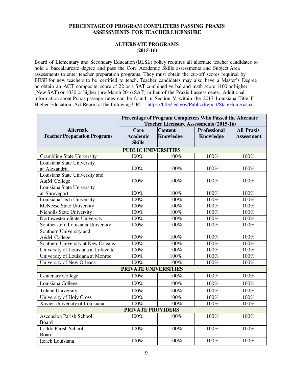#### **PERCENTAGE OF PROGRAM COMPLETERS PASSING PRAXIS ASSESSMENTS FOR TEACHER LICENSURE**

#### **ALTERNATE PROGRAMS (2015-16)**

Board of Elementary and Secondary Education (BESE) policy requires all alternate teacher candidates to hold a baccalaureate degree and pass the Core Academic Skills assessments and Subject Area assessments to enter teacher preparation programs. They must obtain the cut-off scores required by BESE for new teachers to be certified to teach. Teacher candidates may also have a Master's Degree or obtain an ACT composite score of 22 or a SAT combined verbal and math score 1100 or higher (New SAT) or 1030 or higher (pre-March 2016 SAT) in lieu of the Praxis I assessments. Additional information about Praxis passage rates can be found in Section V within the 2017 Louisiana Title II Higher Education Act Report at the following URL: https://title2.ed.gov/Public/Report/StateHome.aspx

|                                      | Percentage of Program Completers Who Passed the Alternate |                  |                     |                   |  |
|--------------------------------------|-----------------------------------------------------------|------------------|---------------------|-------------------|--|
|                                      | <b>Teacher Licensure Assessments (2015-16)</b>            |                  |                     |                   |  |
| <b>Alternate</b>                     | Core                                                      | <b>Content</b>   | <b>Professional</b> | <b>All Praxis</b> |  |
| <b>Teacher Preparation Programs</b>  | <b>Academic</b>                                           | <b>Knowledge</b> | <b>Knowledge</b>    | <b>Assessment</b> |  |
|                                      | <b>Skills</b>                                             |                  |                     |                   |  |
|                                      | <b>PUBLIC UNIVERSITIES</b>                                |                  |                     |                   |  |
| <b>Grambling State University</b>    | 100%                                                      | 100%             | 100%                | 100%              |  |
| Louisiana State University           |                                                           |                  |                     |                   |  |
| at Alexandria                        | 100%                                                      | 100%             | 100%                | 100%              |  |
| Louisiana State University and       |                                                           |                  |                     |                   |  |
| A&M College                          | 100%                                                      | 100%             | 100%                | 100%              |  |
| Louisiana State University           |                                                           |                  |                     |                   |  |
| at Shreveport                        | 100%                                                      | 100%             | 100%                | 100%              |  |
| Louisiana Tech University            | 100%                                                      | 100%             | 100%                | 100%              |  |
| McNeese State University             | 100%                                                      | $100\%$          | 100%                | 100%              |  |
| Nicholls State University            | 100%                                                      | 100%             | 100%                | 100%              |  |
| Northwestern State University        | 100%                                                      | 100%             | 100%                | 100%              |  |
| Southeastern Louisiana University    | 100%                                                      | 100%             | 100%                | 100%              |  |
| Southern University and              |                                                           |                  |                     |                   |  |
| A&M College                          | 100%                                                      | 100%             | 100%                | 100%              |  |
| Southern University at New Orleans   | 100%                                                      | $100\%$          | 100%                | 100%              |  |
| University of Louisiana at Lafayette | 100%                                                      | 100%             | 100%                | 100%              |  |
| University of Louisiana at Monroe    | 100%                                                      | 100%             | 100%                | 100%              |  |
| <b>University of New Orleans</b>     | 100%                                                      | 100%             | 100%                | 100%              |  |
|                                      | PRIVATE UNIVERSITIES                                      |                  |                     |                   |  |
| <b>Centenary College</b>             | 100%                                                      | 100%             | 100%                | 100%              |  |
| Louisiana College                    | 100%                                                      | 100%             | 100%                | 100%              |  |
| <b>Tulane University</b>             | 100%                                                      | 100%             | 100%                | 100%              |  |
| University of Holy Cross             | 100%                                                      | 100%             | 100%                | 100%              |  |
| Xavier University of Louisiana       | 100%                                                      | 100%             | 100%                | 100%              |  |
| <b>PRIVATE PROVIDERS</b>             |                                                           |                  |                     |                   |  |
| <b>Ascension Parish School</b>       | 100%                                                      | 100%             | 100%                | 100%              |  |
| Board                                |                                                           |                  |                     |                   |  |
| Caddo Parish School                  | 100%                                                      | 100%             | 100%                | 100%              |  |
| Board                                |                                                           |                  |                     |                   |  |
| Iteach Louisiana                     | 100%                                                      | 100%             | 100%                | 100%              |  |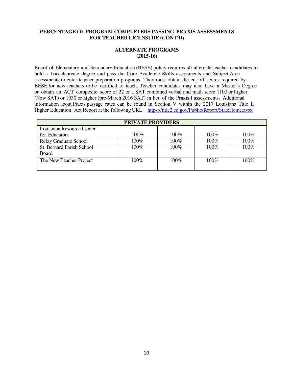#### **PERCENTAGE OF PROGRAM COMPLETERS PASSING PRAXIS ASSESSMENTS FOR TEACHER LICENSURE (CONT'D)**

#### **ALTERNATE PROGRAMS (2015-16)**

Board of Elementary and Secondary Education (BESE) policy requires all alternate teacher candidates to hold a baccalaureate degree and pass the Core Academic Skills assessments and Subject Area assessments to enter teacher preparation programs. They must obtain the cut-off scores required by BESE for new teachers to be certified to teach. Teacher candidates may also have a Master's Degree or obtain an ACT composite score of 22 or a SAT combined verbal and math score 1100 or higher (New SAT) or 1030 or higher (pre-March 2016 SAT) in lieu of the Praxis I assessments. Additional information about Praxis passage rates can be found in Section V within the 2017 Louisiana Title II Higher Education Act Report at the following URL: https://title2.ed.gov/Public/Report/StateHome.aspx

| <b>PRIVATE PROVIDERS</b>  |         |         |         |         |
|---------------------------|---------|---------|---------|---------|
| Louisiana Resource Center |         |         |         |         |
| for Educators             | $100\%$ | $100\%$ | $100\%$ | 100%    |
| Relay Graduate School     | 100%    | 100%    | 100%    | 100%    |
| St. Bernard Parish School | $100\%$ | 100%    | 100%    | $100\%$ |
| Board                     |         |         |         |         |
| The New Teacher Project   | $100\%$ | $100\%$ | $100\%$ | $100\%$ |
|                           |         |         |         |         |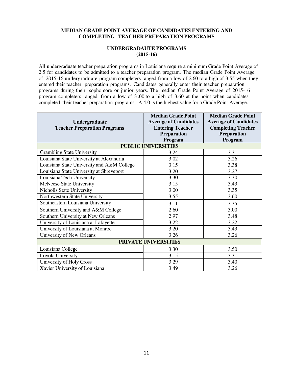#### **MEDIAN GRADE POINT AVERAGE OF CANDIDATES ENTERING AND COMPLETING TEACHER PREPARATION PROGRAMS**

#### **UNDERGRADAUTE PROGRAMS (2015-16)**

All undergraduate teacher preparation programs in Louisiana require a minimum Grade Point Average of 2.5 for candidates to be admitted to a teacher preparation program. The median Grade Point Average of 2015-16 undergraduate program completers ranged from a low of 2.60 to a high of 3.55 when they entered their teacher preparation programs. Candidates generally enter their teacher preparation programs during their sophomore or junior years. The median Grade Point Average of 2015-16 program completers ranged from a low of 3 .00 to a high of 3.60 at the point when candidates completed their teacher preparation programs. A 4.0 is the highest value for a Grade Point Average.

| <b>Undergraduate</b>                       | <b>Median Grade Point</b><br><b>Average of Candidates</b> | <b>Median Grade Point</b><br><b>Average of Candidates</b> |  |  |  |
|--------------------------------------------|-----------------------------------------------------------|-----------------------------------------------------------|--|--|--|
| <b>Teacher Preparation Programs</b>        | <b>Entering Teacher</b>                                   | <b>Completing Teacher</b>                                 |  |  |  |
|                                            | Preparation                                               | Preparation                                               |  |  |  |
|                                            | Program                                                   | Program                                                   |  |  |  |
|                                            | <b>PUBLIC UNIVERSITIES</b>                                |                                                           |  |  |  |
| <b>Grambling State University</b>          | 3.24                                                      | 3.31                                                      |  |  |  |
| Louisiana State University at Alexandria   | 3.02                                                      | 3.26                                                      |  |  |  |
| Louisiana State University and A&M College | 3.15                                                      | 3.38                                                      |  |  |  |
| Louisiana State University at Shreveport   | 3.20                                                      | 3.27                                                      |  |  |  |
| Louisiana Tech University                  | 3.30                                                      | 3.30                                                      |  |  |  |
| <b>McNeese State University</b>            | 3.15                                                      | 3.43                                                      |  |  |  |
| Nicholls State University                  | 3.00                                                      | 3.35                                                      |  |  |  |
| Northwestern State University              | 3.55                                                      | 3.60                                                      |  |  |  |
| Southeastern Louisiana University          | 3.11                                                      | 3.35                                                      |  |  |  |
| Southern University and A&M College        | 2.60                                                      | 3.00                                                      |  |  |  |
| Southern University at New Orleans         | 2.97                                                      | 3.48                                                      |  |  |  |
| University of Louisiana at Lafayette       | 3.22                                                      | 3.22                                                      |  |  |  |
| University of Louisiana at Monroe          | 3.20                                                      | 3.43                                                      |  |  |  |
| University of New Orleans                  | 3.26                                                      | 3.26                                                      |  |  |  |
| PRIVATE UNIVERSITIES                       |                                                           |                                                           |  |  |  |
| Louisiana College                          | 3.30                                                      | 3.50                                                      |  |  |  |
| Loyola University                          | 3.15                                                      | 3.31                                                      |  |  |  |
| University of Holy Cross                   | 3.29                                                      | 3.40                                                      |  |  |  |
| Xavier University of Louisiana             | 3.49                                                      | 3.26                                                      |  |  |  |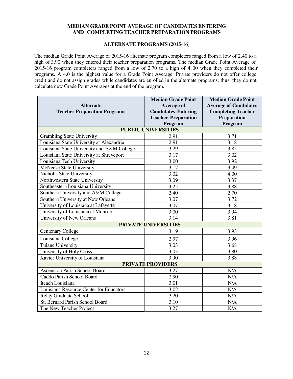#### **MEDIAN GRADE POINT AVERAGE OF CANDIDATES ENTERING AND COMPLETING TEACHER PREPARATION PROGRAMS**

#### **ALTERNATE PROGRAMS (2015-16)**

The median Grade Point Average of 2015-16 alternate program completers ranged from a low of 2.40 to a high of 3.90 when they entered their teacher preparation programs. The median Grade Point Average of 2015-16 program completers ranged from a low of 2.70 to a high of 4 .00 when they completed their programs. A 4.0 is the highest value for a Grade Point Average. Private providers do not offer college credit and do not assign grades while candidates are enrolled in the alternate programs; thus, they do not calculate new Grade Point Averages at the end of the program.

|                                            | <b>Median Grade Point</b>   | <b>Median Grade Point</b>    |
|--------------------------------------------|-----------------------------|------------------------------|
| <b>Alternate</b>                           | Average of                  | <b>Average of Candidates</b> |
| <b>Teacher Preparation Programs</b>        | <b>Candidates Entering</b>  | <b>Completing Teacher</b>    |
|                                            | <b>Teacher Preparation</b>  | <b>Preparation</b>           |
|                                            | Program                     | Program                      |
|                                            | <b>PUBLIC UNIVERSITIES</b>  |                              |
| <b>Grambling State University</b>          | 2.91                        | 3.71                         |
| Louisiana State University at Alexandria   | 2.91                        | 3.18                         |
| Louisiana State University and A&M College | 3.29                        | 3.85                         |
| Louisiana State University at Shreveport   | 3.17                        | 3.02                         |
| Louisiana Tech University                  | 3.00                        | 3.92                         |
| McNeese State University                   | 3.17                        | 3.49                         |
| <b>Nicholls State University</b>           | 3.02                        | 4.00                         |
| Northwestern State University              | 3.09                        | 3.37                         |
| Southeastern Louisiana University          | 3.25                        | 3.88                         |
| Southern University and A&M College        | 2.40                        | 2.70                         |
| Southern University at New Orleans         | 3.07                        | 3.72                         |
| University of Louisiana at Lafayette       | 3.07                        | 3.18                         |
| University of Louisiana at Monroe          | 3.00                        | 3.94                         |
| University of New Orleans                  | 3.14                        | 3.81                         |
|                                            | <b>PRIVATE UNIVERSITIES</b> |                              |
| <b>Centenary College</b>                   | 3.19                        | 3.93                         |
| Louisiana College                          | 2.97                        | 3.96                         |
| <b>Tulane University</b>                   | 3.03                        | 3.68                         |
| University of Holy Cross                   | 3.03                        | 3.80                         |
| Xavier University of Louisiana             | 3.90                        | 3.88                         |
|                                            | <b>PRIVATE PROVIDERS</b>    |                              |
| <b>Ascension Parish School Board</b>       | 3.27                        | N/A                          |
| Caddo Parish School Board                  | 2.90                        | N/A                          |
| Iteach Louisiana                           | 3.01                        | N/A                          |
| Louisiana Resource Center for Educators    | 3.02                        | N/A                          |
| Relay Graduate School                      | 3.20                        | N/A                          |
| St. Bernard Parish School Board            | 3.10                        | N/A                          |
| The New Teacher Project                    | 3.27                        | N/A                          |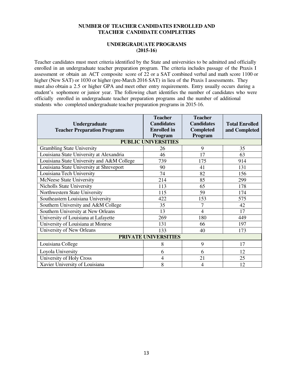#### **NUMBER OF TEACHER CANDIDATES ENROLLED AND TEACHER CANDIDATE COMPLETERS**

#### **UNDERGRADUATE PROGRAMS (2015-16)**

Teacher candidates must meet criteria identified by the State and universities to be admitted and officially enrolled in an undergraduate teacher preparation program. The criteria includes passage of the Praxis I assessment or obtain an ACT composite score of 22 or a SAT combined verbal and math score 1100 or higher (New SAT) or 1030 or higher (pre-March 2016 SAT) in lieu of the Praxis I assessments. They must also obtain a 2.5 or higher GPA and meet other entry requirements. Entry usually occurs during a student's sophomore or junior year. The following chart identifies the number of candidates who were officially enrolled in undergraduate teacher preparation programs and the number of additional students who completed undergraduate teacher preparation programs in 2015-16.

| <b>Undergraduate</b><br><b>Teacher Preparation Programs</b> | <b>Teacher</b><br><b>Candidates</b><br><b>Enrolled</b> in<br>Program | <b>Teacher</b><br><b>Candidates</b><br><b>Completed</b><br>Program | <b>Total Enrolled</b><br>and Completed |  |  |
|-------------------------------------------------------------|----------------------------------------------------------------------|--------------------------------------------------------------------|----------------------------------------|--|--|
|                                                             | <b>PUBLIC UNIVERSITIES</b>                                           |                                                                    |                                        |  |  |
| <b>Grambling State University</b>                           | 26                                                                   | 9                                                                  | 35                                     |  |  |
| Louisiana State University at Alexandria                    | 46                                                                   | 17                                                                 | 63                                     |  |  |
| Louisiana State University and A&M College                  | 739                                                                  | 175                                                                | 914                                    |  |  |
| Louisiana State University at Shreveport                    | 90                                                                   | 41                                                                 | 131                                    |  |  |
| Louisiana Tech University                                   | 74                                                                   | 82                                                                 | 156                                    |  |  |
| McNeese State University                                    | 214                                                                  | 85                                                                 | 299                                    |  |  |
| <b>Nicholls State University</b>                            | 113                                                                  | 65                                                                 | 178                                    |  |  |
| Northwestern State University                               | 115                                                                  | 59                                                                 | 174                                    |  |  |
| Southeastern Louisiana University                           | 422                                                                  | 153                                                                | 575                                    |  |  |
| Southern University and A&M College                         | 35                                                                   | 7                                                                  | 42                                     |  |  |
| Southern University at New Orleans                          | 13                                                                   | 4                                                                  | 17                                     |  |  |
| University of Louisiana at Lafayette                        | 269                                                                  | 180                                                                | 449                                    |  |  |
| University of Louisiana at Monroe                           | 131                                                                  | 66                                                                 | 197                                    |  |  |
| University of New Orleans                                   | 133                                                                  | 40                                                                 | 173                                    |  |  |
| <b>PRIVATE UNIVERSITIES</b>                                 |                                                                      |                                                                    |                                        |  |  |
| Louisiana College                                           | 8                                                                    | 9                                                                  | 17                                     |  |  |
| Loyola University                                           | 6                                                                    | 6                                                                  | 12                                     |  |  |
| University of Holy Cross                                    | $\overline{4}$                                                       | 21                                                                 | 25                                     |  |  |
| Xavier University of Louisiana                              | 8                                                                    | 4                                                                  | 12                                     |  |  |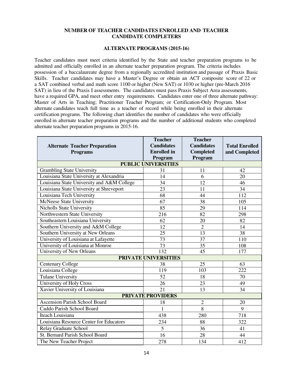#### **NUMBER OF TEACHER CANDIDATES ENROLLED AND TEACHER CANDIDATE COMPLETERS**

#### **ALTERNATE PROGRAMS (2015-16)**

Teacher candidates must meet criteria identified by the State and teacher preparation programs to be admitted and officially enrolled in an alternate teacher preparation program. The criteria includes possession of a baccalaureate degree from a regionally accredited institution and passage of Praxis Basic Skills. Teacher candidates may have a Master's Degree or obtain an ACT composite score of 22 or a SAT combined verbal and math score 1100 or higher (New SAT) or 1030 or higher (pre-March 2016 SAT) in lieu of the Praxis I assessments. The candidates must pass Praxis Subject Area assessments, have a required GPA, and meet other entry requirements. Candidates enter one of three alternate pathway: Master of Arts in Teaching; Practitioner Teacher Program; or Certification-Only Program. Most alternate candidates teach full time as a teacher of record while being enrolled in their alternate certification programs. The following chart identifies the number of candidates who were officially enrolled in alternate teacher preparation programs and the number of additional students who completed alternate teacher preparation programs in 2015-16.

|                                            | <b>Teacher</b>           | <b>Teacher</b>    |                       |  |  |  |  |  |  |
|--------------------------------------------|--------------------------|-------------------|-----------------------|--|--|--|--|--|--|
| <b>Alternate Teacher Preparation</b>       | <b>Candidates</b>        | <b>Candidates</b> | <b>Total Enrolled</b> |  |  |  |  |  |  |
| <b>Programs</b>                            | <b>Enrolled</b> in       | <b>Completed</b>  | and Completed         |  |  |  |  |  |  |
|                                            | Program                  | Program           |                       |  |  |  |  |  |  |
| <b>PUBLIC UNIVERSITIES</b>                 |                          |                   |                       |  |  |  |  |  |  |
| <b>Grambling State University</b>          | 31                       | 11                | 42                    |  |  |  |  |  |  |
| Louisiana State University at Alexandria   | 14                       | 6                 | 20                    |  |  |  |  |  |  |
| Louisiana State University and A&M College | 34                       | 12                | 46                    |  |  |  |  |  |  |
| Louisiana State University at Shreveport   | 23                       | 11                | 34                    |  |  |  |  |  |  |
| Louisiana Tech University                  | 68                       | 44                | 112                   |  |  |  |  |  |  |
| McNeese State University                   | 67                       | 38                | 105                   |  |  |  |  |  |  |
| Nicholls State University                  | 85                       | 29                | 114                   |  |  |  |  |  |  |
| Northwestern State University              | 216                      | 82                | 298                   |  |  |  |  |  |  |
| Southeastern Louisiana University          | 62                       | 20                | 82                    |  |  |  |  |  |  |
| Southern University and A&M College        | 12                       | $\overline{2}$    | 14                    |  |  |  |  |  |  |
| Southern University at New Orleans         | 25                       | 13                | 38                    |  |  |  |  |  |  |
| University of Louisiana at Lafayette       | 73                       | 37                | 110                   |  |  |  |  |  |  |
| University of Louisiana at Monroe          | 73                       | 35                | 108                   |  |  |  |  |  |  |
| University of New Orleans                  | 132                      | 45                | 177                   |  |  |  |  |  |  |
|                                            | PRIVATE UNIVERSITIES     |                   |                       |  |  |  |  |  |  |
| <b>Centenary College</b>                   | 38                       | 25                | 63                    |  |  |  |  |  |  |
| Louisiana College                          | 119                      | 103               | 222                   |  |  |  |  |  |  |
| <b>Tulane University</b>                   | 52                       | 18                | 70                    |  |  |  |  |  |  |
| University of Holy Cross                   | 26                       | 23                | 49                    |  |  |  |  |  |  |
| Xavier University of Louisiana             | 21                       | 13                | 34                    |  |  |  |  |  |  |
|                                            | <b>PRIVATE PROVIDERS</b> |                   |                       |  |  |  |  |  |  |
| <b>Ascension Parish School Board</b>       | 18                       | $\overline{2}$    | 20                    |  |  |  |  |  |  |
| Caddo Parish School Board                  | $\mathbf{1}$             | 8                 | 9                     |  |  |  |  |  |  |
| Iteach Louisiana                           | 438                      | 280               | 718                   |  |  |  |  |  |  |
| Louisiana Resource Center for Educators    | 234                      | 88                | 322                   |  |  |  |  |  |  |
| Relay Graduate School                      | 5                        | 36                | 41                    |  |  |  |  |  |  |
| St. Bernard Parish School Board            | 16                       | 28                | 44                    |  |  |  |  |  |  |
| The New Teacher Project                    | 278                      | 134               | 412                   |  |  |  |  |  |  |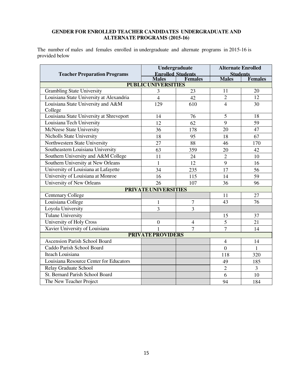#### **GENDER FOR ENROLLED TEACHER CANDIDATES UNDERGRADUATE AND ALTERNATE PROGRAMS (2015-16)**

The number of males and females enrolled in undergraduate and alternate programs in 2015-16 is provided below

|                                          |                            | Undergraduate                              | <b>Alternate Enrolled</b>       |                |
|------------------------------------------|----------------------------|--------------------------------------------|---------------------------------|----------------|
| <b>Teacher Preparation Programs</b>      | <b>Males</b>               | <b>Enrolled Students</b><br><b>Females</b> | <b>Students</b><br><b>Males</b> | <b>Females</b> |
|                                          | <b>PUBLIC UNIVERSITIES</b> |                                            |                                 |                |
| <b>Grambling State University</b>        | 3                          | 23                                         | 11                              | 20             |
| Louisiana State University at Alexandria | $\overline{4}$             | 42                                         | $\overline{2}$                  | 12             |
| Louisiana State University and A&M       | 129                        | 610                                        | $\overline{4}$                  | 30             |
| College                                  |                            |                                            |                                 |                |
| Louisiana State University at Shreveport | 14                         | 76                                         | 5                               | 18             |
| Louisiana Tech University                | 12                         | 62                                         | 9                               | 59             |
| McNeese State University                 | 36                         | 178                                        | 20                              | 47             |
| Nicholls State University                | 18                         | 95                                         | 18                              | 67             |
| Northwestern State University            | 27                         | 88                                         | 46                              | 170            |
| Southeastern Louisiana University        | 63                         | 359                                        | 20                              | 42             |
| Southern University and A&M College      | 11                         | 24                                         | $\overline{2}$                  | 10             |
| Southern University at New Orleans       | $\mathbf{1}$               | 12                                         | 9                               | 16             |
| University of Louisiana at Lafayette     | 34                         | 235                                        | 17                              | 56             |
| University of Louisiana at Monroe        | 16                         | 115                                        | 14                              | 59             |
| University of New Orleans                | 26                         | 107                                        | 36                              | 96             |
|                                          | PRIVATE UNIVERSITIES       |                                            |                                 |                |
| <b>Centenary College</b>                 |                            |                                            | 11                              | 27             |
| Louisiana College                        | $\mathbf{1}$               | $\overline{7}$                             | 43                              | 76             |
| Loyola University                        | $\overline{3}$             | $\overline{3}$                             |                                 |                |
| <b>Tulane University</b>                 |                            |                                            | 15                              | 37             |
| University of Holy Cross                 | $\boldsymbol{0}$           | $\overline{4}$                             | 5                               | 21             |
| Xavier University of Louisiana           | $\mathbf{1}$               | $\overline{7}$                             | $\overline{7}$                  | 14             |
|                                          | <b>PRIVATE PROVIDERS</b>   |                                            |                                 |                |
| <b>Ascension Parish School Board</b>     |                            |                                            | $\overline{4}$                  | 14             |
| Caddo Parish School Board                |                            |                                            | $\theta$                        | $\mathbf{1}$   |
| Iteach Louisiana                         |                            |                                            | 118                             | 320            |
| Louisiana Resource Center for Educators  |                            |                                            | 49                              | 185            |
| Relay Graduate School                    |                            |                                            | $\overline{2}$                  | $\mathfrak{Z}$ |
| St. Bernard Parish School Board          |                            |                                            | 6                               | 10             |
| The New Teacher Project                  |                            |                                            | 94                              | 184            |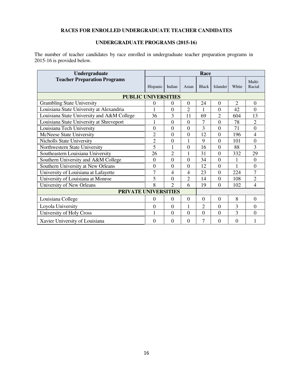#### **RACES FOR ENROLLED UNDERGRADUATE TEACHER CANDIDATES**

#### **UNDERGRADUATE PROGRAMS (2015-16)**

The number of teacher candidates by race enrolled in undergraduate teacher preparation programs in 2015-16 is provided below.

| Undergraduate                              |                  |                |                | Race           |                |                |                  |
|--------------------------------------------|------------------|----------------|----------------|----------------|----------------|----------------|------------------|
| <b>Teacher Preparation Programs</b>        | Hispanic         | Indian         | Asian          | <b>Black</b>   | Islander       | White          | Multi-<br>Racial |
| <b>PUBLIC UNIVERSITIES</b>                 |                  |                |                |                |                |                |                  |
| <b>Grambling State University</b>          | $\boldsymbol{0}$ | $\theta$       | $\Omega$       | 24             | $\Omega$       | $\overline{2}$ | $\Omega$         |
| Louisiana State University at Alexandria   |                  | $\mathbf{0}$   | 2              | 1              | $\overline{0}$ | 42             | $\Omega$         |
| Louisiana State University and A&M College | 36               | 3              | 11             | 69             | $\overline{2}$ | 604            | 13               |
| Louisiana State University at Shreveport   |                  | $\mathbf{0}$   | $\overline{0}$ | 7              | $\overline{0}$ | 78             | $\overline{2}$   |
| Louisiana Tech University                  | $\overline{0}$   | $\overline{0}$ | $\overline{0}$ | 3              | $\overline{0}$ | 71             | $\overline{0}$   |
| McNeese State University                   | $\overline{2}$   | $\overline{0}$ | $\overline{0}$ | 12             | $\overline{0}$ | 196            | $\overline{4}$   |
| Nicholls State University                  | $\overline{2}$   | $\overline{0}$ | 1              | 9              | $\overline{0}$ | 101            | $\overline{0}$   |
| Northwestern State University              | 5                | 1              | $\theta$       | 16             | $\overline{0}$ | 88             | 3                |
| Southeastern Louisiana University          | 26               | $\overline{c}$ | 1              | 31             | $\Omega$       | 332            | 29               |
| Southern University and A&M College        | $\theta$         | $\overline{0}$ | $\overline{0}$ | 34             | $\overline{0}$ | 1              | $\theta$         |
| Southern University at New Orleans         | $\overline{0}$   | $\overline{0}$ | $\overline{0}$ | 12             | $\overline{0}$ | 1              | $\overline{0}$   |
| University of Louisiana at Lafayette       | $\overline{7}$   | 4              | 4              | 23             | $\overline{0}$ | 224            | $\overline{7}$   |
| University of Louisiana at Monroe          | 5                | $\overline{0}$ | $\overline{2}$ | 14             | $\overline{0}$ | 108            | $\overline{2}$   |
| University of New Orleans                  | 8                | $\mathfrak{D}$ | 6              | 19             | $\Omega$       | 102            | 4                |
| PRIVATE UNIVERSITIES                       |                  |                |                |                |                |                |                  |
| Louisiana College                          | $\theta$         | $\overline{0}$ | $\theta$       | $\Omega$       | $\theta$       | 8              | $\theta$         |
| Loyola University                          | $\mathbf{0}$     | $\theta$       | $\mathbf{1}$   | $\overline{2}$ | $\Omega$       | 3              | $\Omega$         |
| University of Holy Cross                   | 1                | $\Omega$       | $\theta$       | $\Omega$       | $\Omega$       | 3              | $\Omega$         |
| Xavier University of Louisiana             | $\Omega$         | $\Omega$       | $\Omega$       | 7              | $\Omega$       | $\Omega$       | 1                |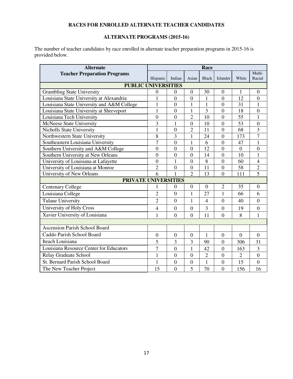### **RACES FOR ENROLLED ALTERNATE TEACHER CANDIDATES**

#### **ALTERNATE PROGRAMS (2015-16)**

The number of teacher candidates by race enrolled in alternate teacher preparation programs in 2015-16 is provided below.

| <b>Alternate</b>                           |                  |                  |                  | Race           |                  |                  |                  |
|--------------------------------------------|------------------|------------------|------------------|----------------|------------------|------------------|------------------|
| <b>Teacher Preparation Programs</b>        | Hispanic         | Indian           | Asian            | <b>Black</b>   | Islander         | White            | Multi-<br>Racial |
|                                            |                  |                  |                  |                |                  |                  |                  |
| <b>PUBLIC UNIVERSITIES</b>                 |                  |                  |                  |                |                  |                  |                  |
| <b>Grambling State University</b>          | $\boldsymbol{0}$ | $\mathbf{0}$     | $\boldsymbol{0}$ | 30             | $\overline{0}$   | 1                | $\boldsymbol{0}$ |
| Louisiana State University at Alexandria   | $\mathbf{1}$     | $\mathbf{0}$     | $\boldsymbol{0}$ | 1              | $\boldsymbol{0}$ | 12               | $\boldsymbol{0}$ |
| Louisiana State University and A&M College | $\mathbf{1}$     | $\overline{0}$   | $\mathbf{1}$     | $\mathbf{1}$   | $\overline{0}$   | 31               | $\mathbf{1}$     |
| Louisiana State University at Shreveport   | $\overline{1}$   | $\overline{0}$   | $\mathbf{1}$     | 3              | $\overline{0}$   | 18               | $\boldsymbol{0}$ |
| Louisiana Tech University                  | $\boldsymbol{0}$ | $\overline{0}$   | $\overline{2}$   | 10             | $\overline{0}$   | 55               | $\mathbf{1}$     |
| <b>McNeese State University</b>            | 3                | $\mathbf{1}$     | $\boldsymbol{0}$ | 10             | $\boldsymbol{0}$ | 53               | $\mathbf{0}$     |
| Nicholls State University                  | $\mathbf{1}$     | $\overline{0}$   | $\overline{2}$   | 11             | $\overline{0}$   | 68               | $\overline{3}$   |
| Northwestern State University              | 8                | 3                | 1                | 24             | $\boldsymbol{0}$ | 173              | $\overline{7}$   |
| Southeastern Louisiana University          | $\overline{7}$   | $\overline{0}$   | 1                | 6              | $\boldsymbol{0}$ | 47               | $\mathbf{1}$     |
| Southern University and A&M College        | $\boldsymbol{0}$ | $\overline{0}$   | $\boldsymbol{0}$ | 12             | $\overline{0}$   | $\boldsymbol{0}$ | $\boldsymbol{0}$ |
| Southern University at New Orleans         | $\overline{0}$   | $\overline{0}$   | $\overline{0}$   | 14             | $\overline{0}$   | 10               | $\mathbf{1}$     |
| University of Louisiana at Lafayette       | $\boldsymbol{0}$ | 1                | $\boldsymbol{0}$ | 8              | $\boldsymbol{0}$ | 60               | $\overline{4}$   |
| University of Louisiana at Monroe          | $\overline{2}$   | $\mathbf{0}$     | $\boldsymbol{0}$ | 11             | $\boldsymbol{0}$ | 58               | $\overline{2}$   |
| University of New Orleans                  | 6                | $\mathbf{1}$     | $\overline{2}$   | 13             | $\overline{0}$   | 111              | $\overline{5}$   |
| <b>PRIVATE UNIVERSITIES</b>                |                  |                  |                  |                |                  |                  |                  |
| <b>Centenary College</b>                   | 1                | $\boldsymbol{0}$ | $\boldsymbol{0}$ | $\overline{0}$ | $\mathfrak{2}$   | 35               | $\boldsymbol{0}$ |
| Louisiana College                          | $\overline{2}$   | $\overline{0}$   | $\mathbf{1}$     | 27             | $\mathbf{1}$     | 66               | 6                |
| <b>Tulane University</b>                   | $\overline{2}$   | $\overline{0}$   | 1                | $\overline{4}$ | $\boldsymbol{0}$ | 40               | $\boldsymbol{0}$ |
| University of Holy Cross                   | $\overline{4}$   | $\overline{0}$   | $\overline{0}$   | 3              | $\overline{0}$   | 19               | $\overline{0}$   |
| Xavier University of Louisiana             | 1                | $\overline{0}$   | $\overline{0}$   | 11             | $\overline{0}$   | 8                | 1                |
|                                            |                  |                  |                  |                |                  |                  |                  |
| <b>Ascension Parish School Board</b>       |                  |                  |                  |                |                  |                  |                  |
| Caddo Parish School Board                  | $\boldsymbol{0}$ | $\mathbf{0}$     | $\boldsymbol{0}$ | $\mathbf{1}$   | $\mathbf{0}$     | $\overline{0}$   | $\boldsymbol{0}$ |
| <b>Iteach Louisiana</b>                    | 5                | 3                | 3                | 90             | $\overline{0}$   | 306              | 31               |
| Louisiana Resource Center for Educators    | 7                | $\overline{0}$   | 1                | 42             | $\overline{0}$   | 163              | 3                |
| Relay Graduate School                      | $\mathbf{1}$     | $\overline{0}$   | $\overline{0}$   | $\overline{2}$ | $\overline{0}$   | $\overline{2}$   | $\overline{0}$   |
| St. Bernard Parish School Board            | 1                | $\boldsymbol{0}$ | $\boldsymbol{0}$ | $\mathbf{1}$   | $\boldsymbol{0}$ | 15               | $\boldsymbol{0}$ |
| The New Teacher Project                    | 15               | $\overline{0}$   | 5                | 70             | $\overline{0}$   | 156              | 16               |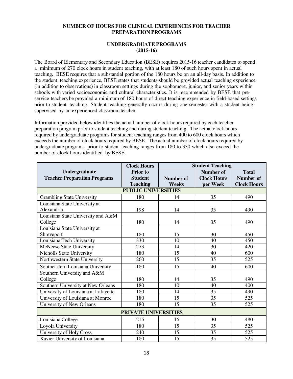#### **NUMBER OF HOURS FOR CLINICAL EXPERIENCES FOR TEACHER PREPARATION PROGRAMS**

#### **UNDERGRADUATE PROGRAMS (2015-16)**

The Board of Elementary and Secondary Education (BESE) requires 2015-16 teacher candidates to spend a minimum of 270 clock hours in student teaching, with at least 180 of such hours spent in actual teaching. BESE requires that a substantial portion of the 180 hours be on an all-day basis. In addition to the student teaching experience, BESE states that students should be provided actual teaching experience (in addition to observations) in classroom settings during the sophomore, junior, and senior years within schools with varied socioeconomic and cultural characteristics. It is recommended by BESE that preservice teachers be provided a minimum of 180 hours of direct teaching experience in field-based settings prior to student teaching. Student teaching generally occurs during one semester with a student being supervised by an experienced classroom teacher.

Information provided below identifies the actual number of clock hours required by each teacher preparation program prior to student teaching and during student teaching. The actual clock hours required by undergraduate programs for student teaching ranges from 400 to 600 clock hours which exceeds the number of clock hours required by BESE. The actual number of clock hours required by undergraduate programs prior to student teaching ranges from 180 to 330 which also exceed the number of clock hours identified by BESE.

|                                      | <b>Clock Hours</b>         | <b>Student Teaching</b> |                    |                    |  |  |  |  |  |
|--------------------------------------|----------------------------|-------------------------|--------------------|--------------------|--|--|--|--|--|
| Undergraduate                        | <b>Prior</b> to            |                         | <b>Number of</b>   | <b>Total</b>       |  |  |  |  |  |
| <b>Teacher Preparation Programs</b>  | <b>Student</b>             | Number of               | <b>Clock Hours</b> | <b>Number of</b>   |  |  |  |  |  |
|                                      | <b>Teaching</b>            | <b>Weeks</b>            | per Week           | <b>Clock Hours</b> |  |  |  |  |  |
|                                      | <b>PUBLIC UNIVERSITIES</b> |                         |                    |                    |  |  |  |  |  |
| <b>Grambling State University</b>    | 180                        | 14                      | 35                 | 490                |  |  |  |  |  |
| Louisiana State University at        |                            |                         |                    |                    |  |  |  |  |  |
| Alexandria                           | 198                        | 14                      | 35                 | 490                |  |  |  |  |  |
| Louisiana State University and A&M   |                            |                         |                    |                    |  |  |  |  |  |
| College                              | 180                        | 14                      | 35                 | 490                |  |  |  |  |  |
| Louisiana State University at        |                            |                         |                    |                    |  |  |  |  |  |
| Shreveport                           | 180                        | 15                      | 30                 | 450                |  |  |  |  |  |
| Louisiana Tech University            | 330                        | 10                      | 40                 | 450                |  |  |  |  |  |
| McNeese State University             | 273                        | 14                      | 30                 | 420                |  |  |  |  |  |
| <b>Nicholls State University</b>     | 180                        | 15                      | 40                 | 600                |  |  |  |  |  |
| Northwestern State University        | 260                        | $\overline{15}$         | 35                 | 525                |  |  |  |  |  |
| Southeastern Louisiana University    | 180                        | 15                      | 40                 | 600                |  |  |  |  |  |
| Southern University and A&M          |                            |                         |                    |                    |  |  |  |  |  |
| College                              | 180                        | 14                      | 35                 | 490                |  |  |  |  |  |
| Southern University at New Orleans   | 180                        | 10                      | 40                 | 400                |  |  |  |  |  |
| University of Louisiana at Lafayette | 180                        | 14                      | 35                 | 490                |  |  |  |  |  |
| University of Louisiana at Monroe    | 180                        | 15                      | 35                 | 525                |  |  |  |  |  |
| University of New Orleans            | 180                        | 15                      | 35                 | 525                |  |  |  |  |  |
| <b>PRIVATE UNIVERSITIES</b>          |                            |                         |                    |                    |  |  |  |  |  |
| Louisiana College                    | 215                        | 16                      | 30                 | 480                |  |  |  |  |  |
| Loyola University                    | 180                        | 15                      | 35                 | 525                |  |  |  |  |  |
| University of Holy Cross             | 240                        | 15                      | 35                 | 525                |  |  |  |  |  |
| Xavier University of Louisiana       | 180                        | 15                      | 35                 | 525                |  |  |  |  |  |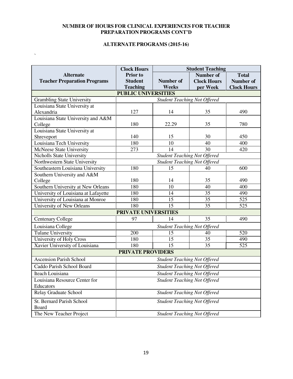#### **NUMBER OF HOURS FOR CLINICAL EXPERIENCES FOR TEACHER PREPARATION PROGRAMS CONT'D**

#### **ALTERNATE PROGRAMS (2015-16)**

 $\bar{\mathbf{v}}$ 

|                                      | <b>Clock Hours</b>       | <b>Student Teaching</b>             |                    |                    |  |  |  |  |  |
|--------------------------------------|--------------------------|-------------------------------------|--------------------|--------------------|--|--|--|--|--|
| <b>Alternate</b>                     | <b>Prior</b> to          |                                     | Number of          | <b>Total</b>       |  |  |  |  |  |
| <b>Teacher Preparation Programs</b>  | <b>Student</b>           | <b>Number of</b>                    | <b>Clock Hours</b> | Number of          |  |  |  |  |  |
|                                      | <b>Teaching</b>          | Weeks                               | per Week           | <b>Clock Hours</b> |  |  |  |  |  |
| <b>PUBLIC UNIVERSITIES</b>           |                          |                                     |                    |                    |  |  |  |  |  |
| <b>Grambling State University</b>    |                          | <b>Student Teaching Not Offered</b> |                    |                    |  |  |  |  |  |
| Louisiana State University at        |                          |                                     |                    |                    |  |  |  |  |  |
| Alexandria                           | 127                      | 14                                  | 35                 | 490                |  |  |  |  |  |
| Louisiana State University and A&M   |                          |                                     |                    |                    |  |  |  |  |  |
| College                              | 180                      | 22.29                               | 35                 | 780                |  |  |  |  |  |
| Louisiana State University at        |                          |                                     |                    |                    |  |  |  |  |  |
| Shreveport                           | 140                      | 15                                  | 30                 | 450                |  |  |  |  |  |
| Louisiana Tech University            | 180                      | 10                                  | 40                 | 400                |  |  |  |  |  |
| McNeese State University             | 273                      | 14                                  | 30                 | 420                |  |  |  |  |  |
| Nicholls State University            |                          | <b>Student Teaching Not Offered</b> |                    |                    |  |  |  |  |  |
| Northwestern State University        |                          | <b>Student Teaching Not Offered</b> |                    |                    |  |  |  |  |  |
| Southeastern Louisiana University    | 180                      | 15                                  | 40                 | 600                |  |  |  |  |  |
| Southern University and A&M          |                          |                                     |                    |                    |  |  |  |  |  |
| College                              | 180                      | 14                                  | 35                 | 490                |  |  |  |  |  |
| Southern University at New Orleans   | 180                      | 10                                  | 40                 | 400                |  |  |  |  |  |
| University of Louisiana at Lafayette | 180                      | 14                                  | 35                 | 490                |  |  |  |  |  |
| University of Louisiana at Monroe    | 180                      | 15                                  | 35                 | 525                |  |  |  |  |  |
| University of New Orleans            | 180                      | 15                                  | 35                 | 525                |  |  |  |  |  |
|                                      | PRIVATE UNIVERSITIES     |                                     |                    |                    |  |  |  |  |  |
| Centenary College                    | 97                       | 14                                  | 35                 | 490                |  |  |  |  |  |
| Louisiana College                    |                          | <b>Student Teaching Not Offered</b> |                    |                    |  |  |  |  |  |
| <b>Tulane University</b>             | 200                      | 15                                  | 40                 | 520                |  |  |  |  |  |
| University of Holy Cross             | 180                      | 15                                  | 35                 | 490                |  |  |  |  |  |
| Xavier University of Louisiana       | 180                      | 15                                  | 35                 | 525                |  |  |  |  |  |
|                                      | <b>PRIVATE PROVIDERS</b> |                                     |                    |                    |  |  |  |  |  |
| <b>Ascension Parish School</b>       |                          | <b>Student Teaching Not Offered</b> |                    |                    |  |  |  |  |  |
| Caddo Parish School Board            |                          | <b>Student Teaching Not Offered</b> |                    |                    |  |  |  |  |  |
| Iteach Louisiana                     |                          | Student Teaching Not Offered        |                    |                    |  |  |  |  |  |
| Louisiana Resource Center for        |                          | <b>Student Teaching Not Offered</b> |                    |                    |  |  |  |  |  |
| Educators                            |                          |                                     |                    |                    |  |  |  |  |  |
| Relay Graduate School                |                          | <b>Student Teaching Not Offered</b> |                    |                    |  |  |  |  |  |
| St. Bernard Parish School            |                          | <b>Student Teaching Not Offered</b> |                    |                    |  |  |  |  |  |
| Board                                |                          |                                     |                    |                    |  |  |  |  |  |
| The New Teacher Project              |                          | <b>Student Teaching Not Offered</b> |                    |                    |  |  |  |  |  |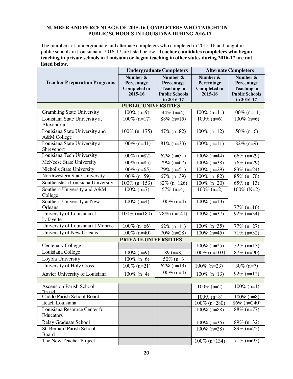#### **NUMBER AND PERCENTAGE OF 2015-16 COMPLETERS WHO TAUGHT IN PUBLIC SCHOOLS IN LOUISIANA DURING 2016-17**

The numbers of undergraduate and alternate completers who completed in 2015-16 and taught in public schools in Louisiana in 2016-17 are listed below. **Teacher candidates completers who began teaching in private schools in Louisiana or began teaching in other states during 2016-17 are not listed below.** 

|                                                |                                                          | <b>Undergraduate Completers</b>                                                     | <b>Alternate Completers</b>                              |                                                                                     |  |  |
|------------------------------------------------|----------------------------------------------------------|-------------------------------------------------------------------------------------|----------------------------------------------------------|-------------------------------------------------------------------------------------|--|--|
| <b>Teacher Preparation Programs</b>            | Number &<br>Percentage<br><b>Completed in</b><br>2015-16 | Number &<br>Percentage<br><b>Teaching in</b><br><b>Public Schools</b><br>in 2016-17 | Number &<br>Percentage<br><b>Completed in</b><br>2015-16 | Number &<br>Percentage<br><b>Teaching in</b><br><b>Public Schools</b><br>in 2016-17 |  |  |
|                                                | <b>PUBLIC UNIVERSITIES</b>                               |                                                                                     |                                                          |                                                                                     |  |  |
| <b>Grambling State University</b>              | $100\%$ (n=9)                                            | 44\% $(n=4)$                                                                        | $100\%$ (n=11)                                           | $100\%$ (n=11)                                                                      |  |  |
| Louisiana State University at<br>Alexandria    | $100\%$ (n=17)                                           | $88\%$ (n=15)                                                                       | $100\%$ (n=6)                                            | $100\%$ (n=6)                                                                       |  |  |
| Louisiana State University and<br>A&M College  | $100\%$ (n=175)                                          | $47\%$ (n=82)                                                                       | $100\%$ (n=12)                                           | $50\%$ (n=6)                                                                        |  |  |
| Louisiana State University at<br>Shreveport    | $100\%$ (n=41)                                           | $81\%$ (n=33)                                                                       | $100\%$ (n=11)                                           | $82\%$ (n=9)                                                                        |  |  |
| Louisiana Tech University                      | $100\%$ (n=82)                                           | $62\%$ (n=51)                                                                       | $100\%$ (n=44)                                           | 66% (n=29)                                                                          |  |  |
| McNeese State University                       | $100\%$ (n=85)                                           | 79% (n=67)                                                                          | $100\%$ (n=38)                                           | 76% (n=29)                                                                          |  |  |
| Nicholls State University                      | $100\%$ (n=65)                                           | $79\%$ (n=51)                                                                       | $100\%$ (n=29)                                           | 83% (n=24)                                                                          |  |  |
| Northwestern State University                  | $100\%$ (n=59)                                           | $67\%$ (n=39)                                                                       | $100\%$ (n=82)                                           | $85\%$ (n=70)                                                                       |  |  |
| Southeastern Louisiana University              | $100\%$ (n=153)                                          | $82\%$ (n=126)                                                                      | $100\%$ (n=20)                                           | 65% ( $n=13$ )                                                                      |  |  |
| Southern University and A&M<br>College         | $100\%$ (n=7)                                            | $57\%$ (n=4)                                                                        | $100\%$ (n=2)                                            | $100\%$ (N=2)                                                                       |  |  |
| Southern University at New<br>Orleans          | $100\%$ (n=4)                                            | $100\%$ (n=4)                                                                       | $100\%$ (n=13)                                           | $77\%$ (n=10)                                                                       |  |  |
| University of Louisiana at<br>Lafayette        | $100\%$ (n=180)                                          | 78% (n=141)                                                                         | $100\%$ (n=37)                                           | $92\%$ (n=34)                                                                       |  |  |
| University of Louisiana at Monroe              | $100\%$ (n=66)                                           | $62\%$ (n=41)                                                                       | $100\%$ (n=35)                                           | $77\%$ (n=27)                                                                       |  |  |
| University of New Orleans                      | $100\%$ (n=40)                                           | $70\%$ (n=28)                                                                       | $100\%$ (n=45)                                           | $71\%$ (n=32)                                                                       |  |  |
|                                                | PRIVATE UNIVERSITIES                                     |                                                                                     |                                                          |                                                                                     |  |  |
| <b>Centenary College</b>                       |                                                          |                                                                                     | $100\%$ (n=25)                                           | $52\%$ (n=13)                                                                       |  |  |
| Louisiana College                              | $100\%$ (n=9)                                            | $89(n=8)$                                                                           | $100\%$ (n=103)                                          | $87\%$ (n=90)                                                                       |  |  |
| Loyola University                              | $100\%$ (n=6)                                            | $50\%$ (n=3)                                                                        |                                                          |                                                                                     |  |  |
| University of Holy Cross                       | $100\%$ (n=21)                                           | $62\%$ (n=13)                                                                       | $100\%$ (n=23)                                           | $30\%$ (n=7)                                                                        |  |  |
| Xavier University of Louisiana                 | $100\%$ (n=4)                                            | $100\%$ (n=4)                                                                       | $100\%$ (n=13)                                           | $92\%$ (n=12)                                                                       |  |  |
| <b>Ascension Parish School</b><br><b>Board</b> |                                                          |                                                                                     | $100\%$ (n=2)                                            | $100\%$ (n=1)                                                                       |  |  |
| Caddo Parish School Board                      |                                                          |                                                                                     | $100\%$ (n=8)                                            | $100\%$ (n=8)                                                                       |  |  |
| Iteach Louisiana                               |                                                          |                                                                                     | $100\%$ (n=280)                                          | $86\%$ (n=240)                                                                      |  |  |
| Louisiana Resource Center for<br>Educators     |                                                          |                                                                                     | $100\%$ (n=88)                                           | $88\%$ (n=77)                                                                       |  |  |
| <b>Relay Graduate School</b>                   |                                                          |                                                                                     | $100\%$ (n=36)                                           | 89% (n=32)                                                                          |  |  |
| St. Bernard Parish School<br>Board             |                                                          |                                                                                     | $100\%$ (n=28)                                           | $89\%$ (n=25)                                                                       |  |  |
| The New Teacher Project                        |                                                          |                                                                                     | $100\%$ (n=134)                                          | $71\%$ (n=95)                                                                       |  |  |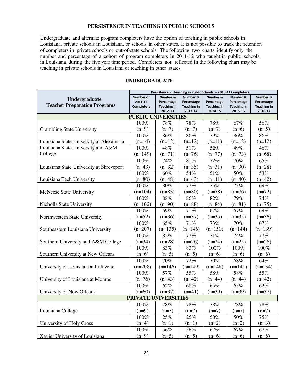#### **PERSISTENCE IN TEACHING IN PUBLIC SCHOOLS**

Undergraduate and alternate program completers have the option of teaching in public schools in Louisiana, private schools in Louisiana, or schools in other states. It is not possible to track the retention of completers in private schools or out-of-state schools. The following two charts identify only the number and percentage of a cohort of program completers in 2011-12 who taught in public schools in Louisiana during the five year time period. Completers not reflected in the following chart may be teaching in private schools in Louisiana or teaching in other states.

|                                                      | Persistence in Teaching in Public Schools - 2010-11 Completers |                                                         |                                                         |                                                         |                                                         |                                                         |
|------------------------------------------------------|----------------------------------------------------------------|---------------------------------------------------------|---------------------------------------------------------|---------------------------------------------------------|---------------------------------------------------------|---------------------------------------------------------|
| Undergraduate<br><b>Teacher Preparation Programs</b> | Number of<br>2011-12<br><b>Completers</b>                      | Number &<br>Percentage<br><b>Teaching in</b><br>2012-13 | Number &<br>Percentage<br><b>Teaching in</b><br>2013-14 | Number &<br>Percentage<br><b>Teaching in</b><br>2014-15 | Number &<br>Percentage<br><b>Teaching in</b><br>2015-16 | Number &<br>Percentage<br><b>Teaching in</b><br>2016-17 |
|                                                      | <b>PUBLIC UNIVERSITIES</b>                                     |                                                         |                                                         |                                                         |                                                         |                                                         |
|                                                      | 100%                                                           | 78%                                                     | 78%                                                     | 78%                                                     | 67%                                                     | 56%                                                     |
| <b>Grambling State University</b>                    | $(n=9)$                                                        | $(n=7)$                                                 | $(n=7)$                                                 | $(n=7)$                                                 | $(n=6)$                                                 | $(n=5)$                                                 |
|                                                      | 100%                                                           | 86%                                                     | 86%                                                     | 79%                                                     | 86%                                                     | 86%                                                     |
| Louisiana State University at Alexandria             | $(n=14)$                                                       | $(n=12)$                                                | $(n=12)$                                                | $(n=11)$                                                | $(n=12)$                                                | $(n=12)$                                                |
| Louisiana State University and A&M                   | 100%                                                           | 48%                                                     | 51%                                                     | 52%                                                     | 49%                                                     | 46%                                                     |
| College                                              | $(n=149)$                                                      | $(n=71)$                                                | $(n=76)$                                                | $(n=77)$                                                | $(n=73)$                                                | $(n=68)$                                                |
|                                                      | 100%                                                           | 74%                                                     | 81%                                                     | 72%                                                     | 70%                                                     | 65%                                                     |
| Louisiana State University at Shreveport             | $(n=43)$                                                       | $(n=32)$                                                | $(n=35)$                                                | $(n=31)$                                                | $(n=30)$                                                | $(n=28)$                                                |
|                                                      | 100%                                                           | 60%                                                     | 54%                                                     | 51%                                                     | 50%                                                     | 53%                                                     |
| Louisiana Tech University                            | $(n=80)$                                                       | $(n=48)$                                                | $(n=43)$                                                | $(n=41)$                                                | $(n=40)$                                                | $(n=42)$                                                |
|                                                      | 100%                                                           | 80%                                                     | 77%                                                     | 75%                                                     | 73%                                                     | 69%                                                     |
| McNeese State University                             | $(n=104)$                                                      | $(n=83)$                                                | $(n=80)$                                                | $(n=78)$                                                | $(n=76)$                                                | $(n=72)$                                                |
|                                                      | 100%                                                           | $88\%$                                                  | 86%                                                     | 82%                                                     | 79%                                                     | 74%                                                     |
| Nicholls State University                            | $(n=102)$                                                      | $(n=90)$                                                | $(n=88)$                                                | $(n=84)$                                                | $(n=81)$                                                | $(n=75)$                                                |
|                                                      | 100%                                                           | 69%                                                     | 71%                                                     | 67%                                                     | 67%                                                     | 69%                                                     |
| Northwestern State University                        | $(n=52)$                                                       | $(n=36)$                                                | $(n=37)$                                                | $(n=35)$                                                | $(n=35)$                                                | $(n=36)$                                                |
|                                                      | 100%                                                           | 65%                                                     | 71%                                                     | 73%                                                     | 70%                                                     | 67%                                                     |
| Southeastern Louisiana University                    | $(n=207)$                                                      | $(n=135)$                                               | $(n=146)$                                               | $(n=150)$                                               | $(n=144)$                                               | $(n=139)$                                               |
|                                                      | 100%                                                           | 82%                                                     | 77%                                                     | $\overline{7}1\%$                                       | 74%                                                     | 77%                                                     |
| Southern University and A&M College                  | $(n=34)$                                                       | $(n=28)$                                                | $(n=26)$                                                | $(n=24)$                                                | $(n=25)$                                                | $(n=26)$                                                |
|                                                      | 100%                                                           | 83%                                                     | 83%                                                     | 100%                                                    | 100%                                                    | 100%                                                    |
| Southern University at New Orleans                   | $(n=6)$                                                        | $(n=5)$                                                 | $(n=5)$                                                 | $(n=6)$                                                 | $(n=6)$                                                 | $(n=6)$                                                 |
|                                                      | 100%                                                           | 70%                                                     | 72%                                                     | 70%                                                     | 68%                                                     | 64%                                                     |
| University of Louisiana at Lafayette                 | $(n=208)$                                                      | $(n=146)$                                               | $(n=149)$                                               | $(n=146)$                                               | $(n=141)$                                               | $(n=134)$                                               |
|                                                      | 100%                                                           | 57%                                                     | 55%                                                     | 58%                                                     | 58%                                                     | 55%                                                     |
| University of Louisiana at Monroe                    | $(n=76)$                                                       | $(n=43)$                                                | $(n=42)$                                                | $(n=44)$                                                | $(n=44)$                                                | $(n=42)$                                                |
|                                                      | 100%                                                           | 62%                                                     | 68%                                                     | 65%                                                     | 65%                                                     | 62%                                                     |
| University of New Orleans                            | $(n=60)$                                                       | $(n=37)$                                                | $(n=41)$                                                | $(n=39)$                                                | $(n=39)$                                                | $(n=37)$                                                |
|                                                      | PRIVATE UNIVERSITIES                                           |                                                         |                                                         |                                                         |                                                         |                                                         |
|                                                      | 100%                                                           | 78%                                                     | 78%                                                     | 78%                                                     | 78%                                                     | 78%                                                     |
| Louisiana College                                    | $(n=9)$                                                        | $(n=7)$                                                 | $(n=7)$                                                 | $(n=7)$                                                 | $(n=7)$                                                 | $(n=7)$                                                 |
|                                                      | 100%                                                           | 25%                                                     | 25%                                                     | 50%                                                     | 50%                                                     | 75%                                                     |
| University of Holy Cross                             | $(n=4)$                                                        | $(n=1)$                                                 | $(n=1)$                                                 | $(n=2)$                                                 | $(n=2)$                                                 | $(n=3)$                                                 |
|                                                      | 100%                                                           | 56%                                                     | 56%                                                     | 67%                                                     | 67%                                                     | 67%                                                     |
| Xavier University of Louisiana                       | $(n=9)$                                                        | $(n=5)$                                                 | $(n=5)$                                                 | $(n=6)$                                                 | $(n=6)$                                                 | $(n=6)$                                                 |

#### **UNDERGRADUATE**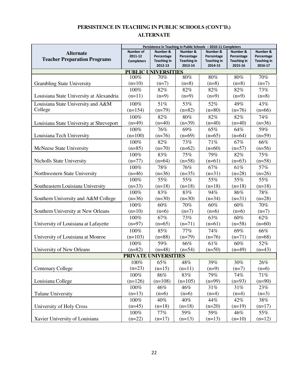#### **PERSISTENCE IN TEACHING IN PUBLIC SCHOOLS (CONT'D.) ALTERNATE**

|                                          | Persistence in Teaching in Public Schools - 2010-11 Completers |                                  |                                  |                                  |                                  |                                  |  |  |  |  |
|------------------------------------------|----------------------------------------------------------------|----------------------------------|----------------------------------|----------------------------------|----------------------------------|----------------------------------|--|--|--|--|
| <b>Alternate</b>                         | <b>Number of</b>                                               | Number &                         | Number &                         | Number &                         | Number &                         | Number &                         |  |  |  |  |
| <b>Teacher Preparation Programs</b>      | 2011-12<br><b>Completers</b>                                   | Percentage<br><b>Teaching in</b> | Percentage<br><b>Teaching in</b> | Percentage<br><b>Teaching in</b> | Percentage<br><b>Teaching in</b> | Percentage<br><b>Teaching in</b> |  |  |  |  |
|                                          |                                                                | 2012-13                          | 2013-14                          | 2014-15                          | 2015-16                          | 2016-17                          |  |  |  |  |
| <b>PUBLIC UNIVERSITIES</b>               |                                                                |                                  |                                  |                                  |                                  |                                  |  |  |  |  |
|                                          | 100%                                                           | 70%                              | $80\%$                           | 80%                              | 80%                              | 70%                              |  |  |  |  |
| <b>Grambling State University</b>        | $(n=10)$                                                       | $(n=7)$                          | $(n=8)$                          | $(n=8)$                          | $(n=8)$                          | $(n=7)$                          |  |  |  |  |
|                                          | 100%                                                           | 82%                              | 82%                              | 82%                              | 82%                              | 73%                              |  |  |  |  |
| Louisiana State University at Alexandria | $(n=11)$                                                       | $(n=9)$                          | $(n=9)$                          | $(n=9)$                          | $(n=9)$                          | $(n=8)$                          |  |  |  |  |
| Louisiana State University and A&M       | 100%                                                           | 51%                              | 53%                              | 52%                              | 49%                              | 43%                              |  |  |  |  |
| College                                  | $(n=154)$                                                      | $(n=79)$                         | $(n=82)$                         | $(n=80)$                         | $(n=76)$                         | $(n=66)$                         |  |  |  |  |
|                                          | 100%                                                           | 82%                              | 80%                              | 82%                              | 82%                              | 74%                              |  |  |  |  |
| Louisiana State University at Shreveport | $(n=49)$                                                       | $(n=40)$                         | $(n=39)$                         | $(n=40)$                         | $(n=40)$                         | $(n=36)$                         |  |  |  |  |
|                                          | 100%                                                           | 76%                              | 69%                              | 65%                              | 64%                              | 59%                              |  |  |  |  |
| Louisiana Tech University                | $(n=100)$                                                      | $(n=76)$                         | $(n=69)$                         | $(n=65)$                         | $(n=64)$                         | $(n=59)$                         |  |  |  |  |
|                                          | 100%                                                           | 82%                              | 73%                              | 71%                              | 67%                              | 66%                              |  |  |  |  |
| McNeese State University                 | $(n=85)$                                                       | $(n=70)$                         | $(n=62)$                         | $(n=60)$                         | $(n=57)$                         | $(n=56)$                         |  |  |  |  |
|                                          | 100%                                                           | 83%                              | 75%                              | 79%                              | 82%                              | 75%                              |  |  |  |  |
| <b>Nicholls State University</b>         | $(n=77)$                                                       | $(n=64)$                         | $(n=58)$                         | $(n=61)$                         | $(n=63)$                         | $(n=58)$                         |  |  |  |  |
|                                          | 100%                                                           | 78%                              | 76%                              | 67%                              | 61%                              | 57%                              |  |  |  |  |
| Northwestern State University            | $(n=46)$                                                       | $(n=36)$                         | $(n=35)$                         | $(n=31)$                         | $(n=28)$                         | $(n=26)$                         |  |  |  |  |
|                                          | 100%                                                           | 55%                              | 55%                              | 55%                              | 55%                              | 55%                              |  |  |  |  |
| Southeastern Louisiana University        | $(n=33)$                                                       | $(n=18)$                         | $(n=18)$                         | $(n=18)$                         | $(n=18)$                         | $(n=18)$                         |  |  |  |  |
|                                          | 100%                                                           | 83%                              | 83%                              | 94%                              | 86%                              | 78%                              |  |  |  |  |
| Southern University and A&M College      | $(n=36)$                                                       | $(n=30)$                         | $(n=30)$                         | $(n=34)$                         | $(n=31)$                         | $(n=28)$                         |  |  |  |  |
|                                          | 100%                                                           | 60%                              | 70%                              | 60%                              | 60%                              | 70%                              |  |  |  |  |
| Southern University at New Orleans       | $(n=10)$                                                       | $(n=6)$                          | $(n=7)$                          | $(n=6)$                          | $(n=6)$                          | $(n=7)$                          |  |  |  |  |
|                                          | 100%                                                           | 67%                              | 73%                              | 63%                              | 60%                              | 62%                              |  |  |  |  |
| University of Louisiana at Lafayette     | $(n=97)$                                                       | $(n=65)$                         | $(n=71)$                         | $(n=61)$                         | $(n=58)$                         | $(n=60)$                         |  |  |  |  |
|                                          | 100%                                                           | 85%                              | 77%                              | 74%                              | 69%                              | 66%                              |  |  |  |  |
| University of Louisiana at Monroe        | $(n=103)$                                                      | $(n=88)$                         | $(n=79)$                         | $(n=76)$                         | $(n=71)$                         | $(n=68)$                         |  |  |  |  |
|                                          | 100%                                                           | 59%                              | 66%                              | 61%                              | 60%                              | 52%                              |  |  |  |  |
| University of New Orleans                | $(n=82)$                                                       | $(n=48)$                         | $(n=54)$                         | $(n=50)$                         | $(n=49)$                         | $(n=43)$                         |  |  |  |  |
|                                          | PRIVATE UNIVERSITIES                                           |                                  |                                  |                                  |                                  |                                  |  |  |  |  |
|                                          | 100%                                                           | 65%                              | 48%                              | 39%                              | 30%                              | 26%                              |  |  |  |  |
| <b>Centenary College</b>                 | $(n=23)$                                                       | $(n=15)$                         | $(n=11)$                         | $(n=9)$                          | $(n=7)$                          | $(n=6)$                          |  |  |  |  |
|                                          | 100%                                                           | 86%                              | 83%                              | 79%                              | 74%                              | 71%                              |  |  |  |  |
| Louisiana College                        | $(n=126)$                                                      | $(n=108)$                        | $(n=105)$                        | $(n=99)$                         | $(n=93)$                         | $(n=90)$                         |  |  |  |  |
|                                          | 100%                                                           | 46%                              | 46%                              | 31%                              | 31%                              | 23%                              |  |  |  |  |
| <b>Tulane University</b>                 | $(n=13)$                                                       | $(n=6)$                          | $(n=6)$                          | $(n=4)$                          | $(n=4)$                          | $(n=3)$                          |  |  |  |  |
|                                          | 100%                                                           | 40%                              | 40%                              | 44%                              | 42%                              | $38\%$                           |  |  |  |  |
| University of Holy Cross                 | $(n=45)$                                                       | $(n=18)$                         | $(n=18)$                         | $(n=20)$                         | $(n=19)$                         | $(n=17)$                         |  |  |  |  |
|                                          | 100%                                                           | 77%                              | 59%                              | 59%                              | 46%                              | 55%                              |  |  |  |  |
| Xavier University of Louisiana           | $(n=22)$                                                       | $(n=17)$                         | $(n=13)$                         | $(n=13)$                         | $(n=10)$                         | $(n=12)$                         |  |  |  |  |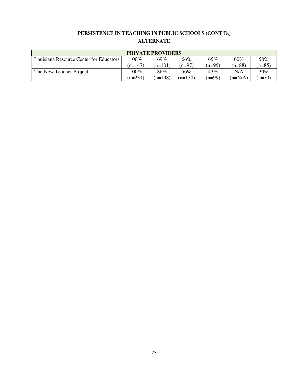# **PERSISTENCE IN TEACHING IN PUBLIC SCHOOLS (CONT'D.) ALTERNATE**

| <b>PRIVATE PROVIDERS</b>                |           |           |           |          |           |          |  |  |  |
|-----------------------------------------|-----------|-----------|-----------|----------|-----------|----------|--|--|--|
| Louisiana Resource Center for Educators | 100%      | 69%       | 66%       | 65%      | 60%       | 58%      |  |  |  |
|                                         | $(n=147)$ | $(n=101)$ | $(n=97)$  | $(n=95)$ | $(n=88)$  | $(n=85)$ |  |  |  |
| The New Teacher Project                 | 100%      | 86%       | 56%       | 43%      | N/A       | $30\%$   |  |  |  |
|                                         | $(n=231)$ | (n=198)   | $(n=130)$ | $(n=99)$ | $(n=N/A)$ | $(n=70)$ |  |  |  |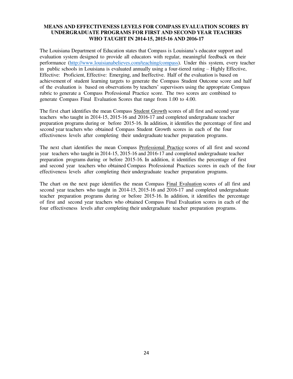The Louisiana Department of Education states that Compass is Louisiana's educator support and evaluation system designed to provide all educators with regular, meaningful feedback on their performance [\(http://www.louisianabelieves.com/teaching/compass\)](http://www.louisianabelieves.com/teaching/compass). Under this system, every teacher in public schools in Louisiana is evaluated annually using a four-tiered rating – Highly Effective, Effective: Proficient, Effective: Emerging, and Ineffective. Half of the evaluation is based on achievement of student learning targets to generate the Compass Student Outcome score and half of the evaluation is based on observations by teachers' supervisors using the appropriate Compass rubric to generate a Compass Professional Practice score. The two scores are combined to generate Compass Final Evaluation Scores that range from 1.00 to 4.00.

The first chart identifies the mean Compass Student Growth scores of all first and second year teachers who taught in 2014-15, 2015-16 and 2016-17 and completed undergraduate teacher preparation programs during or before 2015-16. In addition, it identifies the percentage of first and second year teachers who obtained Compass Student Growth scores in each of the four effectiveness levels after completing their undergraduate teacher preparation programs.

The next chart identifies the mean Compass Professional Practice scores of all first and second year teachers who taught in 2014-15, 2015-16 and 2016-17 and completed undergraduate teacher preparation programs during or before 2015-16. In addition, it identifies the percentage of first and second year teachers who obtained Compass Professional Practices scores in each of the four effectiveness levels after completing their undergraduate teacher preparation programs.

The chart on the next page identifies the mean Compass Final Evaluation scores of all first and second year teachers who taught in 2014-15, 2015-16 and 2016-17 and completed undergraduate teacher preparation programs during or before 2015-16. In addition, it identifies the percentage of first and second year teachers who obtained Compass Final Evaluation scores in each of the four effectiveness levels after completing their undergraduate teacher preparation programs.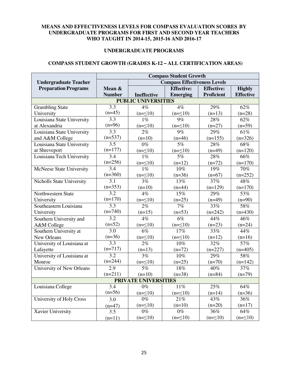#### **UNDERGRADUATE PROGRAMS**

#### **COMPASS STUDENT GROWTH (GRADES K-12 – ALL CERTIFICATION AREAS)**

|                                  | <b>Compass Student Growth</b> |                             |                                     |                   |                  |  |  |  |  |  |  |
|----------------------------------|-------------------------------|-----------------------------|-------------------------------------|-------------------|------------------|--|--|--|--|--|--|
| <b>Undergraduate Teacher</b>     |                               |                             | <b>Compass Effectiveness Levels</b> |                   |                  |  |  |  |  |  |  |
| <b>Preparation Programs</b>      | Mean &                        |                             | <b>Effective:</b>                   | <b>Effective:</b> | <b>Highly</b>    |  |  |  |  |  |  |
|                                  | <b>Number</b>                 | <b>Ineffective</b>          | <b>Emerging</b>                     | <b>Proficient</b> | <b>Effective</b> |  |  |  |  |  |  |
| <b>PUBLIC UNIVERSITIES</b>       |                               |                             |                                     |                   |                  |  |  |  |  |  |  |
| <b>Grambling State</b>           | 3.3                           | 4%                          | 4%                                  | 29%               | 62%              |  |  |  |  |  |  |
| University                       | $(n=45)$                      | $(n=\leq 10)$               | $(n=\leq 10)$                       | $(n=13)$          | $(n=28)$         |  |  |  |  |  |  |
| Louisiana State University       | $\overline{3.3}$              | $1\%$                       | 9%                                  | 28%               | $62\%$           |  |  |  |  |  |  |
| at Alexandria                    | $(n=96)$                      | $(n=\leq 10)$               | $(n=\leq 10)$                       | $(n=27)$          | $(n=59)$         |  |  |  |  |  |  |
| Louisiana State University       | 3.3                           | 2%                          | 9%                                  | 29%               | 61%              |  |  |  |  |  |  |
| and A&M College                  | $(n=537)$                     | $(n=10)$                    | $(n=46)$                            | $(n=155)$         | $(n=326)$        |  |  |  |  |  |  |
| Louisiana State University       | $\overline{3.5}$              | $0\%$                       | 5%                                  | 28%               | 68%              |  |  |  |  |  |  |
| at Shreveport                    | $(n=177)$                     | $(n=\leq 10)$               | $(n=\leq 10)$                       | $(n=49)$          | $(n=120)$        |  |  |  |  |  |  |
| Louisiana Tech University        | $\overline{3.4}$              | $1\%$                       | 5%                                  | 28%               | 66%              |  |  |  |  |  |  |
|                                  | $(n=256)$                     | $(n=\leq 10)$               | $(n=12)$                            | $(n=72)$          | $(n=170)$        |  |  |  |  |  |  |
| McNeese State University         | 3.4                           | $1\%$                       | 10%                                 | 19%               | 70%              |  |  |  |  |  |  |
|                                  | $(n=360)$                     | $(n=\leq 10)$               | $(n=36)$                            | $(n=67)$          | $(n=252)$        |  |  |  |  |  |  |
| Nicholls State University        | 3.1                           | 3%                          | 13%                                 | 37%               | 48%              |  |  |  |  |  |  |
|                                  | $(n=353)$                     | $(n=10)$                    | $(n=44)$                            | $(n=129)$         | $(n=170)$        |  |  |  |  |  |  |
| Northwestern State               | 3.2                           | 4%                          | 15%                                 | 29%               | 53%              |  |  |  |  |  |  |
| University                       | $(n=170)$                     | $(n=\leq 10)$               | $(n=25)$                            | $(n=49)$          | $(n=90)$         |  |  |  |  |  |  |
| Southeastern Louisiana           | 3.3                           | 2%                          | 7%                                  | 33%               | 58%              |  |  |  |  |  |  |
| University                       | $(n=740)$                     | $(n=15)$                    | $(n=53)$                            | $(n=242)$         | $(n=430)$        |  |  |  |  |  |  |
| Southern University and          | 3.2                           | 4%                          | $\overline{6\%}$                    | 44%               | 46%              |  |  |  |  |  |  |
| A&M College                      | $(n=52)$                      | $(n=\leq 10)$               | $(n=\leq 10)$                       | $(n=23)$          | $(n=24)$         |  |  |  |  |  |  |
| Southern University at           | $\overline{3.0}$              | $\overline{6\%}$            | 17%                                 | 33%               | 44%              |  |  |  |  |  |  |
| New Orleans                      | $(n=36)$                      | $(n=\leq 10)$               | $(n=\leq 10)$                       | $(n=12)$          | $(n=16)$         |  |  |  |  |  |  |
| University of Louisiana at       | $\overline{3.3}$              | 2%                          | 10%                                 | 32%               | 57%              |  |  |  |  |  |  |
| Lafayette                        | $(n=717)$                     | $(n=13)$                    | $(n=72)$                            | $(n=227)$         | $(n=405)$        |  |  |  |  |  |  |
| University of Louisiana at       | 3.2                           | 3%                          | 10%                                 | 29%               | 58%              |  |  |  |  |  |  |
| Monroe                           | $(n=244)$                     | $(n=\leq 10)$               | $(n=25)$                            | $(n=70)$          | $(n=142)$        |  |  |  |  |  |  |
| <b>University of New Orleans</b> | 2.9                           | $\overline{5\%}$            | 18%                                 | 40%               | 37%              |  |  |  |  |  |  |
|                                  | $(n=211)$                     | $(n=10)$                    | $(n=38)$                            | $(n=84)$          | $(n=79)$         |  |  |  |  |  |  |
|                                  |                               | <b>PRIVATE UNIVERSITIES</b> |                                     |                   |                  |  |  |  |  |  |  |
| Louisiana College                | $\overline{3.4}$              | $0\%$                       | 11%                                 | 25%               | 64%              |  |  |  |  |  |  |
|                                  | $(n=56)$                      | $(n=\leq 10)$               | $(n=\leq 10)$                       | $(n=14)$          | $(n=36)$         |  |  |  |  |  |  |
| University of Holy Cross         | 3.0                           | $0\%$                       | 21%                                 | 43%               | 36%              |  |  |  |  |  |  |
|                                  | $(n=47)$                      | $(n=\leq 10)$               | $(n=10)$                            | $(n=20)$          | $(n=17)$         |  |  |  |  |  |  |
| Xavier University                | 3.5                           | $0\%$                       | $0\%$                               | 36%               | 64%              |  |  |  |  |  |  |
|                                  | $(n=11)$                      | $(n=\leq 10)$               | $(n=\leq 10)$                       | $(n=\leq 10)$     | $(n=\leq 10)$    |  |  |  |  |  |  |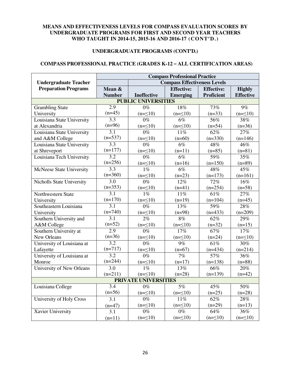#### **UNDERGRADUATE PROGRAMS (CONT'D.)**

#### **COMPASS PROFESSIONAL PRACTICE (GRADES K-12 – ALL CERTIFICATION AREAS)**

|                                  | <b>Compass Professional Practice</b> |                             |                                     |                   |                  |  |  |  |  |  |  |
|----------------------------------|--------------------------------------|-----------------------------|-------------------------------------|-------------------|------------------|--|--|--|--|--|--|
| <b>Undergraduate Teacher</b>     |                                      |                             | <b>Compass Effectiveness Levels</b> |                   |                  |  |  |  |  |  |  |
| <b>Preparation Programs</b>      | Mean &                               |                             | <b>Effective:</b>                   | <b>Effective:</b> | <b>Highly</b>    |  |  |  |  |  |  |
|                                  | <b>Number</b>                        | <b>Ineffective</b>          | <b>Emerging</b>                     | <b>Proficient</b> | <b>Effective</b> |  |  |  |  |  |  |
| <b>PUBLIC UNIVERSITIES</b>       |                                      |                             |                                     |                   |                  |  |  |  |  |  |  |
| <b>Grambling State</b>           | $\overline{2.9}$                     | $\overline{0\%}$            | 18%                                 | 73%               | $9\%$            |  |  |  |  |  |  |
| University                       | $(n=45)$                             | $(n=\leq 10)$               | $(n=\leq 10)$                       | $(n=33)$          | $(n=\leq 10)$    |  |  |  |  |  |  |
| Louisiana State University       | 3.3                                  | $0\%$                       | $6\%$                               | 56%               | 38%              |  |  |  |  |  |  |
| at Alexandria                    | $(n=96)$                             | $(n=\leq 10)$               | $(n=\leq 10)$                       | $(n=54)$          | $(n=36)$         |  |  |  |  |  |  |
| Louisiana State University       | 3.1                                  | $0\%$                       | 11%                                 | 62%               | 27%              |  |  |  |  |  |  |
| and A&M College                  | $(n=537)$                            | $(n=\leq 10)$               | $(n=60)$                            | $(n=330)$         | $(n=146)$        |  |  |  |  |  |  |
| Louisiana State University       | $\overline{3.3}$                     | $\overline{0\%}$            | $\overline{6\%}$                    | 48%               | 46%              |  |  |  |  |  |  |
| at Shreveport                    | $(n=177)$                            | $(n=\leq 10)$               | $(n=11)$                            | $(n=85)$          | $(n=81)$         |  |  |  |  |  |  |
| Louisiana Tech University        | 3.2                                  | $0\%$                       | 6%                                  | 59%               | 35%              |  |  |  |  |  |  |
|                                  | $(n=256)$                            | $(n=\leq 10)$               | $(n=16)$                            | $(n=150)$         | $(n=89)$         |  |  |  |  |  |  |
| McNeese State University         | 3.3                                  | 1%                          | 6%                                  | 48%               | 45%              |  |  |  |  |  |  |
|                                  | $(n=360)$                            | $(n=\leq 10)$               | $(n=23)$                            | $(n=173)$         | $(n=161)$        |  |  |  |  |  |  |
| Nicholls State University        | $\overline{3.0}$                     | $\overline{0\%}$            | 12%                                 | 72%               | 16%              |  |  |  |  |  |  |
|                                  | $(n=353)$                            | $(n=\leq 10)$               | $(n=41)$                            | $(n=254)$         | $(n=58)$         |  |  |  |  |  |  |
| Northwestern State               | 3.1                                  | 1%                          | 11%                                 | 61%               | 27%              |  |  |  |  |  |  |
| University                       | $(n=170)$                            | $(n=\leq 10)$               | $(n=19)$                            | $(n=104)$         | $(n=45)$         |  |  |  |  |  |  |
| Southeastern Louisiana           | $\overline{3.1}$                     | $0\%$                       | 13%                                 | 59%               | 28%              |  |  |  |  |  |  |
| University                       | $(n=740)$                            | $(n=\leq 10)$               | $(n=98)$                            | $(n=433)$         | $(n=209)$        |  |  |  |  |  |  |
| Southern University and          | 3.1                                  | 2%                          | 8%                                  | 62%               | 29%              |  |  |  |  |  |  |
| A&M College                      | $(n=52)$                             | $(n=\leq 10)$               | $(n=\leq 10)$                       | $(n=32)$          | $(n=15)$         |  |  |  |  |  |  |
| Southern University at           | $\overline{2.9}$                     | $\overline{0\%}$            | 17%                                 | 67%               | 17%              |  |  |  |  |  |  |
| New Orleans                      | $(n=36)$                             | $(n=\leq 10)$               | $(n=\leq 10)$                       | $(n=24)$          | $(n=\leq 10)$    |  |  |  |  |  |  |
| University of Louisiana at       | 3.2                                  | $0\%$                       | 9%                                  | 61%               | 30%              |  |  |  |  |  |  |
| Lafayette                        | $(n=717)$                            | $(n=\leq 10)$               | $(n=67)$                            | $(n=434)$         | $(n=214)$        |  |  |  |  |  |  |
| University of Louisiana at       | $\overline{3.2}$                     | $0\%$                       | 7%                                  | 57%               | 36%              |  |  |  |  |  |  |
| Monroe                           | $(n=244)$                            | $(n=\leq 10)$               | $(n=17)$                            | $(n=138)$         | $(n=88)$         |  |  |  |  |  |  |
| <b>University of New Orleans</b> | 3.0                                  | $1\%$                       | $\overline{13\%}$                   | 66%               | 20%              |  |  |  |  |  |  |
|                                  | $(n=211)$                            | $(n=\leq 10)$               | $(n=28)$                            | $(n=139)$         | $(n=42)$         |  |  |  |  |  |  |
|                                  |                                      | <b>PRIVATE UNIVERSITIES</b> |                                     |                   |                  |  |  |  |  |  |  |
| Louisiana College                | $\overline{3.4}$                     | $0\%$                       | 5%                                  | 45%               | 50%              |  |  |  |  |  |  |
|                                  | $(n=56)$                             | $(n=\leq 10)$               | $(n=\leq 10)$                       | $(n=25)$          | $(n=28)$         |  |  |  |  |  |  |
| University of Holy Cross         | 3.1                                  | $0\%$                       | 11%                                 | 62%               | 28%              |  |  |  |  |  |  |
|                                  | $(n=47)$                             | $(n=\leq 10)$               | $(n=≤10)$                           | $(n=29)$          | $(n=13)$         |  |  |  |  |  |  |
| <b>Xavier University</b>         | 3.1                                  | $\overline{0\%}$            | $0\%$                               | 64%               | 36%              |  |  |  |  |  |  |
|                                  | $(n=11)$                             | $(n=\leq 10)$               | $(n=\leq 10)$                       | $(n=\leq 10)$     | $(n=\leq 10)$    |  |  |  |  |  |  |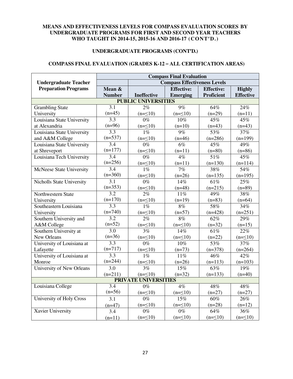#### **UNDERGRADUATE PROGRAMS (CONT'D.)**

#### **COMPASS FINAL EVALUATION (GRADES K-12 – ALL CERTIFICATION AREAS)**

|                                  | <b>Compass Final Evaluation</b>     |                             |                   |                   |                  |  |  |
|----------------------------------|-------------------------------------|-----------------------------|-------------------|-------------------|------------------|--|--|
| <b>Undergraduate Teacher</b>     | <b>Compass Effectiveness Levels</b> |                             |                   |                   |                  |  |  |
| <b>Preparation Programs</b>      | Mean &                              |                             | <b>Effective:</b> | <b>Effective:</b> | <b>Highly</b>    |  |  |
|                                  | <b>Number</b>                       | Ineffective                 | <b>Emerging</b>   | <b>Proficient</b> | <b>Effective</b> |  |  |
|                                  |                                     | <b>PUBLIC UNIVERSITIES</b>  |                   |                   |                  |  |  |
| <b>Grambling State</b>           | $\overline{3.1}$                    | 2%                          | 9%                | 64%               | 24%              |  |  |
| University                       | $(n=45)$                            | $(n=\leq 10)$               | $(n=\leq 10)$     | $(n=29)$          | $(n=11)$         |  |  |
| Louisiana State University       | $\overline{3.3}$                    | $0\%$                       | 10%               | 45%               | 45%              |  |  |
| at Alexandria                    | $(n=96)$                            | $(n=\leq 10)$               | $(n=10)$          | $(n=43)$          | $(n=43)$         |  |  |
| Louisiana State University       | 3.3                                 | $\overline{1\%}$            | 9%                | 53%               | 37%              |  |  |
| and A&M College                  | $(n=537)$                           | $(n=\leq 10)$               | $(n=46)$          | $(n=286)$         | $(n=199)$        |  |  |
| Louisiana State University       | 3.4                                 | $\overline{0\%}$            | $\overline{6\%}$  | 45%               | 49%              |  |  |
| at Shreveport                    | $(n=177)$                           | $(n=\leq 10)$               | $(n=11)$          | $(n=80)$          | $(n=86)$         |  |  |
| Louisiana Tech University        | $\overline{3.4}$                    | $0\%$                       | 4%                | 51%               | 45%              |  |  |
|                                  | $(n=256)$                           | $(n=\leq 10)$               | $(n=11)$          | $(n=130)$         | $(n=114)$        |  |  |
| <b>McNeese State University</b>  | $\overline{3.4}$                    | $1\overline{\%}$            | $\overline{7\%}$  | 38%               | 54%              |  |  |
|                                  | $(n=360)$                           | $(n=\leq 10)$               | $(n=26)$          | $(n=135)$         | $(n=195)$        |  |  |
| <b>Nicholls State University</b> | $\overline{3.1}$                    | $0\%$                       | 14%               | 61%               | 25%              |  |  |
|                                  | $(n=353)$                           | $(n=\leq 10)$               | $(n=48)$          | $(n=215)$         | $(n=89)$         |  |  |
| Northwestern State               | 3.2                                 | 2%                          | 11%               | 49%               | 38%              |  |  |
| University                       | $(n=170)$                           | $(n=\leq 10)$               | $(n=19)$          | $(n=83)$          | $(n=64)$         |  |  |
| Southeastern Louisiana           | $\overline{3.3}$                    | $1\%$                       | 8%                | 58%               | 34%              |  |  |
| University                       | $(n=740)$                           | $(n=\leq 10)$               | $(n=57)$          | $(n=428)$         | $(n=251)$        |  |  |
| Southern University and          | 3.2                                 | 2%                          | 8%                | 62%               | 29%              |  |  |
| A&M College                      | $(n=52)$                            | $(n=\leq 10)$               | $(n=\leq 10)$     | $(n=32)$          | $(n=15)$         |  |  |
| Southern University at           | $\overline{3.0}$                    | 3%                          | 14%               | 61%               | 22%              |  |  |
| New Orleans                      | $(n=36)$                            | $(n=\leq 10)$               | $(n=\leq 10)$     | $(n=22)$          | $(n=\leq 10)$    |  |  |
| University of Louisiana at       | 3.3                                 | $0\%$                       | 10%               | 53%               | 37%              |  |  |
| Lafayette                        | $(n=717)$                           | $(n=\leq 10)$               | $(n=73)$          | $(n=378)$         | $(n=264)$        |  |  |
| University of Louisiana at       | 3.3                                 | $1\%$                       | 11%               | 46%               | 42%              |  |  |
| Monroe                           | $(n=244)$                           | $(n=\leq 10)$               | $(n=26)$          | $(n=113)$         | $(n=103)$        |  |  |
| <b>University of New Orleans</b> | 3.0                                 | 3%                          | $\overline{15\%}$ | 63%               | 19%              |  |  |
|                                  | $(n=211)$                           | $(n=\leq 10)$               | $(n=32)$          | $(n=133)$         | $(n=40)$         |  |  |
|                                  |                                     | <b>PRIVATE UNIVERSITIES</b> |                   |                   |                  |  |  |
| Louisiana College                | 3.4                                 | $0\%$                       | 4%                | 48%               | 48%              |  |  |
|                                  | $(n=56)$                            | $(n=\leq 10)$               | $(n=\leq 10)$     | $(n=27)$          | $(n=27)$         |  |  |
| University of Holy Cross         | 3.1                                 | $0\%$                       | 15%               | 60%               | 26%              |  |  |
|                                  | $(n=47)$                            | $(n=\leq 10)$               | $(n=\leq 10)$     | $(n=28)$          | $(n=12)$         |  |  |
| <b>Xavier University</b>         | 3.4                                 | $\overline{0\%}$            | $\overline{0\%}$  | 64%               | 36%              |  |  |
|                                  | $(n=11)$                            | $(n=\leq 10)$               | $(n=\leq 10)$     | $(n=\leq 10)$     | $(n=\leq 10)$    |  |  |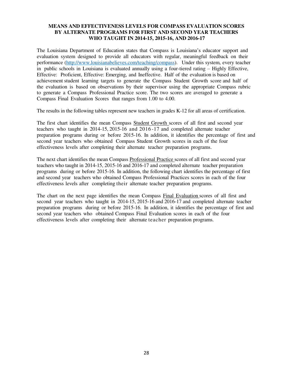The Louisiana Department of Education states that Compass is Louisiana's educator support and evaluation system designed to provide all educators with regular, meaningful feedback on their performance [\(http://www.louisianabelieves.com/teaching/compass\)](http://www.louisianabelieves.com/teaching/compass). Under this system, every teacher in public schools in Louisiana is evaluated annually using a four-tiered rating – Highly Effective, Effective: Proficient, Effective: Emerging, and Ineffective. Half of the evaluation is based on achievement student learning targets to generate the Compass Student Growth score and half of the evaluation is based on observations by their supervisor using the appropriate Compass rubric to generate a Compass Professional Practice score. The two scores are averaged to generate a Compass Final Evaluation Scores that ranges from 1.00 to 4.00.

The results in the following tables represent new teachers in grades K-12 for all areas of certification.

The first chart identifies the mean Compass Student Growth scores of all first and second year teachers who taught in 2014-15, 2015-16 and 2016 -17 and completed alternate teacher preparation programs during or before 2015-16. In addition, it identifies the percentage of first and second year teachers who obtained Compass Student Growth scores in each of the four effectiveness levels after completing their alternate teacher preparation programs.

The next chart identifies the mean Compass Professional Practice scores of all first and second year teachers who taught in 2014-15, 2015-16 and 2016-17 and completed alternate teacher preparation programs during or before 2015-16. In addition, the following chart identifies the percentage of first and second year teachers who obtained Compass Professional Practices scores in each of the four effectiveness levels after completing their alternate teacher preparation programs.

The chart on the next page identifies the mean Compass Final Evaluation scores of all first and second year teachers who taught in 2014-15, 2015-16 and 2016-17 and completed alternate teacher preparation programs during or before 2015-16. In addition, it identifies the percentage of first and second year teachers who obtained Compass Final Evaluation scores in each of the four effectiveness levels after completing their alternate teacher preparation programs.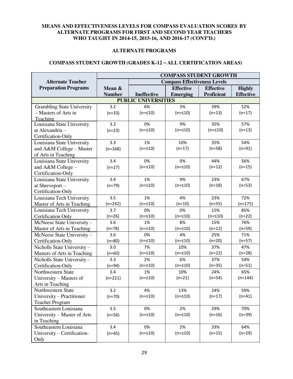#### **ALTERNATE PROGRAMS**

#### **COMPASS STUDENT GROWTH (GRADES K-12 – ALL CERTIFICATION AREAS)**

|                                   | <b>COMPASS STUDENT GROWTH</b> |                                     |                  |                   |                  |  |  |
|-----------------------------------|-------------------------------|-------------------------------------|------------------|-------------------|------------------|--|--|
| <b>Alternate Teacher</b>          |                               | <b>Compass Effectiveness Levels</b> |                  |                   |                  |  |  |
| <b>Preparation Programs</b>       | Mean &                        |                                     | <b>Effective</b> | <b>Effective</b>  | <b>Highly</b>    |  |  |
|                                   | <b>Number</b>                 | Ineffective                         | <b>Emerging</b>  | <b>Proficient</b> | <b>Effective</b> |  |  |
|                                   | <b>PUBLIC UNIVERSITIES</b>    |                                     |                  |                   |                  |  |  |
| <b>Grambling State University</b> | 3.2                           | 6%                                  | 3%               | 39%               | 52%              |  |  |
| - Masters of Arts in              | $(n=33)$                      | $(n = 10)$                          | $(n = 510)$      | $(n=13)$          | $(n=17)$         |  |  |
| Teaching                          |                               |                                     |                  |                   |                  |  |  |
| Louisiana State University        | 3.2                           | 0%                                  | 9%               | 35%               | 57%              |  |  |
| at Alexandria -                   | $(n=23)$                      | $(n = 10)$                          | $(n = 510)$      | $(n = 510)$       | $(n=13)$         |  |  |
| Certification-Only                |                               |                                     |                  |                   |                  |  |  |
| Louisiana State University        | 3.3                           | 1%                                  | 10%              | 35%               | 54%              |  |  |
| and A&M College - Master          | $(n=168)$                     | $(n = 10)$                          | $(n=17)$         | $(n=58)$          | $(n=91)$         |  |  |
| of Arts in Teaching               |                               |                                     |                  |                   |                  |  |  |
| Louisiana State University        | 3.4                           | 0%                                  | 0%               | 44%               | 56%              |  |  |
| and $A&M$ College –               | $(n=27)$                      | $(n = 10)$                          | $(n = 10)$       | $(n=12)$          | $(n=15)$         |  |  |
| Certification-Only                |                               |                                     |                  |                   |                  |  |  |
| Louisiana State University        | 3.4                           | 1%                                  | 9%               | 23%               | 67%              |  |  |
| at Shreveport-                    | $(n=79)$                      | $(n = 10)$                          | $(n = 10)$       | $(n=18)$          | $(n=53)$         |  |  |
| Certification-Only                |                               |                                     |                  |                   |                  |  |  |
| Louisiana Tech University         | 3.5                           | 1%                                  | 4%               | 23%               | 72%              |  |  |
| Master of Arts in Teaching        | $(n=242)$                     | $(n = 510)$                         | $(n=10)$         | $(n=55)$          | $(n=175)$        |  |  |
| Louisiana Tech University         | 3.7                           | 0%                                  | 0%               | 15%               | 85%              |  |  |
| <b>Certification Only</b>         | $(n=26)$                      | $(n = 10)$                          | $(n = 510)$      | $(n = 10)$        | $(n=22)$         |  |  |
| McNeese State University-         | 3.6                           | 1%                                  | 8%               | 15%               | 76%              |  |  |
| Master of Arts in Teaching        | $(n=78)$                      | $(n = 10)$                          | $(n = 510)$      | $(n=12)$          | $(n=59)$         |  |  |
| McNeese State University-         | 3.6                           | 0%                                  | 4%               | 25%               | 71%              |  |  |
| Certification-Only                | $(n=80)$                      | $(n = 10)$                          | $(n = 10)$       | $(n=20)$          | $(n=57)$         |  |  |
| Nicholls State University-        | 3.0                           | 7%                                  | 10%              | 37%               | 47%              |  |  |
| Masters of Arts in Teaching       | $(n=60)$                      | $(n = 10)$                          | $(n = 510)$      | $(n=22)$          | $(n=28)$         |  |  |
| Nicholls State University-        | 3.3                           | 2%                                  | 6%               | 37%               | 54%              |  |  |
| Certification-Only                | $(n=94)$                      | $(n = 10)$                          | $(n = 10)$       | $(n=35)$          | $(n=51)$         |  |  |
| Northwestern State                | 3.4                           | 1%                                  | 10%              | 24%               | 65%              |  |  |
| University - Masters of           | $(n=221)$                     | $(n = 10)$                          | $(n=21)$         | $(n=54)$          | $(n=144)$        |  |  |
| Arts in Teaching                  |                               |                                     |                  |                   |                  |  |  |
| Northwestern State                | 3.2                           | 4%                                  | 13%              | 24%               | 59%              |  |  |
| University - Practitioner         | $(n=70)$                      | $(n = 10)$                          | $(n = 510)$      | $(n=17)$          | $(n=41)$         |  |  |
| <b>Teacher Program</b>            |                               |                                     |                  |                   |                  |  |  |
| Southeastern Louisiana            | 3.5                           | 0%                                  | 2%               | 29%               | 70%              |  |  |
| University – Master of Arts       | $(n=56)$                      | $(n = 10)$                          | $(n = 510)$      | $(n=16)$          | $(n=39)$         |  |  |
| in Teaching                       |                               |                                     |                  |                   |                  |  |  |
| Southeastern Louisiana            | 3.4                           | 0%                                  | 2%               | 33%               | 64%              |  |  |
| University - Certification-       | $(n=45)$                      | $(n = 10)$                          | $(n = 510)$      | $(n=15)$          | $(n=29)$         |  |  |
| Only                              |                               |                                     |                  |                   |                  |  |  |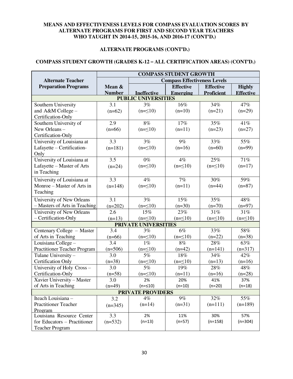#### **ALTERNATE PROGRAMS (CONT'D.)**

#### **COMPASS STUDENT GROWTH (GRADES K-12 – ALL CERTIFICATION AREAS) (CONT'D.)**

|                                     | <b>COMPASS STUDENT GROWTH</b>       |                            |                  |                   |                  |  |  |
|-------------------------------------|-------------------------------------|----------------------------|------------------|-------------------|------------------|--|--|
| <b>Alternate Teacher</b>            | <b>Compass Effectiveness Levels</b> |                            |                  |                   |                  |  |  |
| <b>Preparation Programs</b>         | Mean &                              |                            | <b>Effective</b> | <b>Effective</b>  | <b>Highly</b>    |  |  |
|                                     | <b>Number</b>                       | <b>Ineffective</b>         | <b>Emerging</b>  | <b>Proficient</b> | <b>Effective</b> |  |  |
|                                     |                                     | <b>PUBLIC UNIVERSITIES</b> |                  |                   |                  |  |  |
| Southern University                 | 3.1                                 | 3%                         | 16%              | 34%               | 47%              |  |  |
| and A&M College -                   | $(n=62)$                            | $(n=\leq 10)$              | $(n=10)$         | $(n=21)$          | $(n=29)$         |  |  |
| Certification-Only                  |                                     |                            |                  |                   |                  |  |  |
| Southern University of              | 2.9                                 | 8%                         | 17%              | 35%               | 41%              |  |  |
| New Orleans-                        | $(n=66)$                            | $(n=\leq 10)$              | $(n=11)$         | $(n=23)$          | $(n=27)$         |  |  |
| Certification-Only                  |                                     |                            |                  |                   |                  |  |  |
| University of Louisiana at          | 3.3                                 | 3%                         | $9\%$            | 33%               | 55%              |  |  |
| Lafayette - Certification-          | $(n=181)$                           | $(n=\leq 10)$              | $(n=16)$         | $(n=60)$          | $(n=99)$         |  |  |
| Only                                |                                     |                            |                  |                   |                  |  |  |
| University of Louisiana at          | 3.5                                 | $0\%$                      | $4\%$            | 25%               | 71%              |  |  |
| Lafayette - Master of Arts          | $(n=24)$                            | $(n=\leq 10)$              | $(n=\leq 10)$    | $(n=\leq 10)$     | $(n=17)$         |  |  |
| in Teaching                         |                                     |                            |                  |                   |                  |  |  |
| University of Louisiana at          | 3.3                                 | 4%                         | 7%               | 30%               | 59%              |  |  |
| Monroe – Master of Arts in          | $(n=148)$                           | $(n=\leq 10)$              | $(n=11)$         | $(n=44)$          | $(n=87)$         |  |  |
| Teaching                            |                                     |                            |                  |                   |                  |  |  |
| University of New Orleans           | 3.1                                 | 3%                         | 15%              | 35%               | 48%              |  |  |
| - Masters of Arts in Teaching       |                                     |                            | $(n=30)$         | $(n=70)$          | $(n=97)$         |  |  |
| University of New Orleans           | $(n=202)$<br>2.6                    | $(n=\leq 10)$<br>15%       | 23%              | 31%               | 31%              |  |  |
| - Certification-Only                |                                     | $(n=\leq 10)$              | $(n=\leq 10)$    |                   |                  |  |  |
|                                     | $(n=13)$                            |                            |                  | $(n=\leq 10)$     | $(n=\leq 10)$    |  |  |
| Centenary College - Master          | 3.4                                 | PRIVATE UNIVERSITIES<br>3% | 6%               | 33%               | 58%              |  |  |
| of Arts in Teaching                 | $(n=66)$                            | $(n=\leq 10)$              | $(n=\leq 10)$    | $(n=22)$          | $(n=38)$         |  |  |
| Louisiana College -                 | 3.4                                 | $1\%$                      | 8%               | 28%               | 63%              |  |  |
| <b>Practitioner Teacher Program</b> | $(n=506)$                           | $(n=\leq 10)$              | $(n=42)$         | $(n=141)$         | $(n=317)$        |  |  |
| Tulane University -                 | 3.0                                 | 5%                         | 18%              | 34%               | 42%              |  |  |
| <b>Certification Only</b>           | $(n=38)$                            | $(n=\leq 10)$              | $(n=\leq 10)$    | $(n=13)$          | $(n=16)$         |  |  |
| University of Holy Cross -          | 3.0                                 | 5%                         | 19%              | 28%               | 48%              |  |  |
| Certification-Only                  | $(n=58)$                            | $(n=\leq 10)$              | $(n=11)$         | $(n=16)$          | $(n=28)$         |  |  |
| Xavier University - Master          | 3.0                                 | 2%                         | 20%              | 41%               | 37%              |  |  |
| of Arts in Teaching                 | $(n=49)$                            | $(n = 510)$                | $(n=10)$         | $(n=20)$          | $(n=18)$         |  |  |
|                                     |                                     | <b>PRIVATE PROVIDERS</b>   |                  |                   |                  |  |  |
| Iteach Louisiana -                  | 3.2                                 | $4\%$                      | $9\%$            | 32%               | 55%              |  |  |
| <b>Practitioner Teacher</b>         |                                     | $(n=14)$                   | $(n=31)$         | $(n=111)$         | $(n=189)$        |  |  |
| Program                             | $(n=345)$                           |                            |                  |                   |                  |  |  |
| Louisiana Resource Center           | 3.3                                 | 2%                         | 11%              | 30%               | 57%              |  |  |
| for Educators - Practitioner        | $(n=532)$                           | $(n=13)$                   | $(n=57)$         | $(n=158)$         | $(n=304)$        |  |  |
| <b>Teacher Program</b>              |                                     |                            |                  |                   |                  |  |  |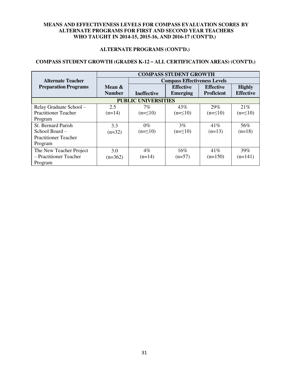#### **ALTERNATE PROGRAMS (CONT'D.)**

#### **COMPASS STUDENT GROWTH (GRADES K-12 – ALL CERTIFICATION AREAS) (CONT'D.)**

|                             | <b>COMPASS STUDENT GROWTH</b> |                            |                                     |                   |                  |  |
|-----------------------------|-------------------------------|----------------------------|-------------------------------------|-------------------|------------------|--|
| Alternate Teacher           |                               |                            | <b>Compass Effectiveness Levels</b> |                   |                  |  |
| <b>Preparation Programs</b> | Mean &                        |                            | <b>Effective</b>                    | <b>Effective</b>  | <b>Highly</b>    |  |
|                             | <b>Number</b>                 | <b>Ineffective</b>         | <b>Emerging</b>                     | <b>Proficient</b> | <b>Effective</b> |  |
|                             |                               | <b>PUBLIC UNIVERSITIES</b> |                                     |                   |                  |  |
| Relay Graduate School -     | 2.5                           | 7%                         | 43%                                 | 29%               | 21%              |  |
| <b>Practitioner Teacher</b> | $(n=14)$                      | $(n=\leq 10)$              | $(n=\leq 10)$                       | $(n=\leq 10)$     | $(n=\leq 10)$    |  |
| Program                     |                               |                            |                                     |                   |                  |  |
| <b>St. Bernard Parish</b>   | 3.3                           | $0\%$                      | $3\%$                               | 41%               | 56%              |  |
| School Board -              | $(n=32)$                      | $(n=\leq 10)$              | $(n=\leq 10)$                       | $(n=13)$          | $(n=18)$         |  |
| <b>Practitioner Teacher</b> |                               |                            |                                     |                   |                  |  |
| Program                     |                               |                            |                                     |                   |                  |  |
| The New Teacher Project     | 3.0                           | $4\%$                      | 16%                                 | 41%               | 39%              |  |
| - Practitioner Teacher      | $(n=362)$                     | $(n=14)$                   | $(n=57)$                            | $(n=150)$         | $(n=141)$        |  |
| Program                     |                               |                            |                                     |                   |                  |  |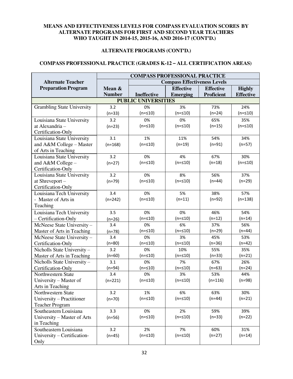#### **ALTERNATE PROGRAMS (CONT'D.)**

#### **COMPASS PROFESSIONAL PRACTICE (GRADES K-12 – ALL CERTIFICATION AREAS)**

|                                   | <b>COMPASS PROFESSIONAL PRACTICE</b> |                    |                  |                   |                  |  |  |
|-----------------------------------|--------------------------------------|--------------------|------------------|-------------------|------------------|--|--|
| <b>Alternate Teacher</b>          | <b>Compass Effectiveness Levels</b>  |                    |                  |                   |                  |  |  |
| <b>Preparation Program</b>        | Mean &                               |                    | <b>Effective</b> | <b>Effective</b>  | <b>Highly</b>    |  |  |
|                                   | <b>Number</b>                        | <b>Ineffective</b> | <b>Emerging</b>  | <b>Proficient</b> | <b>Effective</b> |  |  |
|                                   | <b>PUBLIC UNIVERSITIES</b>           |                    |                  |                   |                  |  |  |
| <b>Grambling State University</b> | 3.2                                  | 0%                 | 3%               | 73%               | 24%              |  |  |
|                                   | $(n=33)$                             | $(n = 10)$         | $(n = 10)$       | $(n=24)$          | $(n = 10)$       |  |  |
| Louisiana State University        | 3.2                                  | 0%                 | 0%               | 65%               | 35%              |  |  |
| at Alexandria -                   | $(n=23)$                             | $(n = 10)$         | $(n = 10)$       | $(n=15)$          | $(n = 10)$       |  |  |
| Certification-Only                |                                      |                    |                  |                   |                  |  |  |
| Louisiana State University        | 3.1                                  | 1%                 | 11%              | 54%               | 34%              |  |  |
| and A&M College - Master          | $(n=168)$                            | $(n = 10)$         | $(n=19)$         | $(n=91)$          | $(n=57)$         |  |  |
| of Arts in Teaching               |                                      |                    |                  |                   |                  |  |  |
| Louisiana State University        | 3.2                                  | 0%                 | 4%               | 67%               | 30%              |  |  |
| and A&M College -                 | $(n=27)$                             | $(n = 10)$         | $(n = 10)$       | $(n=18)$          | $(n = 10)$       |  |  |
| Certification-Only                |                                      |                    |                  |                   |                  |  |  |
| Louisiana State University        | 3.2                                  | 0%                 | 8%               | 56%               | 37%              |  |  |
| at Shreveport -                   | $(n=79)$                             | $(n = 10)$         | $(n = 510)$      | $(n=44)$          | $(n=29)$         |  |  |
| Certification-Only                |                                      |                    |                  |                   |                  |  |  |
| Louisiana Tech University         | 3.4                                  | 0%                 | 5%               | 38%               | 57%              |  |  |
| - Master of Arts in               | $(n=242)$                            | $(n = 10)$         | $(n=11)$         | $(n=92)$          | $(n=138)$        |  |  |
| Teaching                          |                                      |                    |                  |                   |                  |  |  |
| Louisiana Tech University         | 3.5                                  | 0%                 | 0%               | 46%               | 54%              |  |  |
| - Certification-Only              | $(n=26)$                             | $(n = 10)$         | $(n = 510)$      | $(n=12)$          | $(n=14)$         |  |  |
| McNeese State University-         | 3.4                                  | 0%                 | 6%               | 37%               | 56%              |  |  |
| Master of Arts in Teaching        | $(n=78)$                             | $(n = 10)$         | $(n = 510)$      | $(n=29)$          | $(n=44)$         |  |  |
| McNeese State University-         | 3.4                                  | 0%                 | 3%               | 45%               | 53%              |  |  |
| Certification-Only                | $(n=80)$                             | $(n = 10)$         | $(n = 10)$       | $(n=36)$          | $(n=42)$         |  |  |
| Nicholls State University-        | 3.2                                  | 0%                 | 10%              | 55%               | 35%              |  |  |
| Master of Arts in Teaching        | $(n=60)$                             | $(n = 10)$         | $(n = 510)$      | $(n=33)$          | $(n=21)$         |  |  |
| Nicholls State University-        | 3.1                                  | 0%                 | 7%               | 67%               | 26%              |  |  |
| Certification-Only                | $(n=94)$                             | $(n = 10)$         | $(n = 10)$       | $(n=63)$          | $(n=24)$         |  |  |
| Northwestern State                | 3.4                                  | 0%                 | 3%               | 53%               | 44%              |  |  |
| University - Master of            | $(n=221)$                            | $(n = 10)$         | $(n = 10)$       | $(n=116)$         | $(n=98)$         |  |  |
| Arts in Teaching                  |                                      |                    |                  |                   |                  |  |  |
| Northwestern State                | 3.2                                  | 1%                 | 6%               | 63%               | 30%              |  |  |
| University - Practitioner         | $(n=70)$                             | $(n = 10)$         | $(n = 10)$       | $(n=44)$          | $(n=21)$         |  |  |
| <b>Teacher Program</b>            |                                      |                    |                  |                   |                  |  |  |
| Southeastern Louisiana            | 3.3                                  | 0%                 | 2%               | 59%               | 39%              |  |  |
| University - Master of Arts       | $(n=56)$                             | $(n = 10)$         | $(n = 510)$      | $(n=33)$          | $(n=22)$         |  |  |
| in Teaching                       |                                      |                    |                  |                   |                  |  |  |
| Southeastern Louisiana            | 3.2                                  | 2%                 | 7%               | 60%               | 31%              |  |  |
| University - Certification-       | $(n=45)$                             | $(n = 10)$         | $(n = 510)$      | $(n=27)$          | $(n=14)$         |  |  |
| Only                              |                                      |                    |                  |                   |                  |  |  |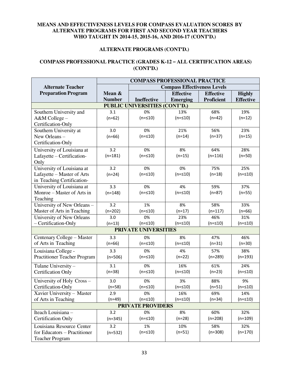#### **ALTERNATE PROGRAMS (CONT'D.)**

#### **COMPASS PROFESSIONAL PRACTICE (GRADES K-12 – ALL CERTIFICATION AREAS) (CONT'D.)**

|                                                 | <b>COMPASS PROFESSIONAL PRACTICE</b> |                          |                  |                   |                  |  |  |
|-------------------------------------------------|--------------------------------------|--------------------------|------------------|-------------------|------------------|--|--|
| <b>Alternate Teacher</b>                        | <b>Compass Effectiveness Levels</b>  |                          |                  |                   |                  |  |  |
| <b>Preparation Program</b>                      | Mean &                               |                          | <b>Effective</b> | <b>Effective</b>  | <b>Highly</b>    |  |  |
|                                                 | <b>Number</b>                        | <b>Ineffective</b>       | <b>Emerging</b>  | <b>Proficient</b> | <b>Effective</b> |  |  |
| <b>PUBLIC UNIVERSITIES (CONT'D.)</b>            |                                      |                          |                  |                   |                  |  |  |
| Southern University and                         | 3.1                                  | 0%                       | 13%              | 68%               | 19%              |  |  |
| A&M College-                                    | $(n=62)$                             | $(n = 10)$               | $(n = 10)$       | $(n=42)$          | $(n=12)$         |  |  |
| Certification-Only                              |                                      |                          |                  |                   |                  |  |  |
| Southern University at                          | 3.0                                  | 0%                       | 21%              | 56%               | 23%              |  |  |
| New Orleans -                                   | $(n=66)$                             | $(n = 10)$               | $(n=14)$         | $(n=37)$          | $(n=15)$         |  |  |
| Certification-Only                              |                                      |                          |                  |                   |                  |  |  |
| University of Louisiana at                      | 3.2                                  | 0%                       | 8%               | 64%               | 28%              |  |  |
| Lafayette - Certification-                      | $(n=181)$                            | $(n = 510)$              | $(n=15)$         | $(n=116)$         | $(n=50)$         |  |  |
| Only                                            |                                      |                          |                  |                   |                  |  |  |
| University of Louisiana at                      | 3.2                                  | 0%                       | 0%               | 75%               | 25%              |  |  |
| Lafayette - Master of Arts                      | $(n=24)$                             | $(n = 10)$               | $(n = 10)$       | $(n=18)$          | $(n = 10)$       |  |  |
| in Teaching Certification-                      |                                      |                          |                  |                   |                  |  |  |
| University of Louisiana at                      | 3.3                                  | 0%                       | 4%               | 59%               | 37%              |  |  |
| Monroe – Master of Arts in                      | $(n=148)$                            | $(n = 510)$              | $(n = 10)$       | $(n=87)$          | $(n=55)$         |  |  |
| Teaching                                        |                                      |                          |                  |                   |                  |  |  |
| University of New Orleans -                     | 3.2                                  | 1%                       | 8%               | 58%               | 33%              |  |  |
| Master of Arts in Teaching                      | $(n=202)$                            | $(n = 10)$               | $(n=17)$         | $(n=117)$         | $(n=66)$         |  |  |
| University of New Orleans                       | 3.0                                  | 0%                       | 23%              | 46%               | 31%              |  |  |
| - Certification-Only                            | $(n=13)$                             | $(n = 10)$               | $(n = 10)$       | $(n = 10)$        | $(n = 10)$       |  |  |
|                                                 |                                      | PRIVATE UNIVERSITIES     |                  |                   |                  |  |  |
| Centenary College - Master                      | 3.3                                  | 0%                       | 8%               | 47%               | 46%              |  |  |
| of Arts in Teaching                             | $(n=66)$                             | $(n = 10)$               | $(n = 10)$       | $(n=31)$          | $(n=30)$         |  |  |
| Louisiana College -                             | 3.3                                  | 0%                       | 4%               | 57%               | 38%              |  |  |
| Practitioner Teacher Program                    | $(n=506)$                            | $(n = 10)$               | $(n=22)$         | $(n=289)$         | $(n=193)$        |  |  |
|                                                 | 3.1                                  | 0%                       | 16%              | 61%               | 24%              |  |  |
| Tulane University-<br><b>Certification Only</b> | $(n=38)$                             | $(n = 10)$               | $(n = 10)$       | $(n=23)$          | $(n = 10)$       |  |  |
|                                                 |                                      |                          |                  |                   |                  |  |  |
| University of Holy Cross -                      | 3.0                                  | 0%                       | 3%               | 88%               | 9%               |  |  |
| Certification-Only                              | $(n=58)$                             | $(n = 10)$               | $(n = 10)$       | $(n=51)$          | $(n = 10)$       |  |  |
| Xavier University - Master                      | 2.9                                  | 0%                       | 16%              | 69%               | 14%              |  |  |
| of Arts in Teaching                             | $(n=49)$                             | $(n = 10)$               | $(n = 10)$       | $(n=34)$          | (n=≤10)          |  |  |
|                                                 |                                      | <b>PRIVATE PROVIDERS</b> |                  |                   |                  |  |  |
| Iteach Louisiana -                              | 3.2                                  | 0%                       | 8%               | 60%               | 32%              |  |  |
| <b>Certification Only</b>                       | $(n=345)$                            | $(n = 10)$               | $(n=28)$         | $(n=208)$         | $(n=109)$        |  |  |
| Louisiana Resource Center                       | 3.2                                  | 1%                       | 10%              | 58%               | 32%              |  |  |
| for Educators - Practitioner                    | $(n=532)$                            | $(n = 10)$               | $(n=51)$         | $(n=308)$         | $(n=170)$        |  |  |
| <b>Teacher Program</b>                          |                                      |                          |                  |                   |                  |  |  |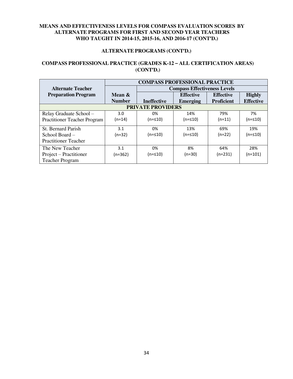#### **ALTERNATE PROGRAMS (CONT'D.)**

#### **COMPASS PROFESSIONAL PRACTICE (GRADES K-12 – ALL CERTIFICATION AREAS) (CONT'D.)**

|                                     | <b>COMPASS PROFESSIONAL PRACTICE</b> |                          |                                     |                   |                  |  |  |
|-------------------------------------|--------------------------------------|--------------------------|-------------------------------------|-------------------|------------------|--|--|
| <b>Alternate Teacher</b>            |                                      |                          | <b>Compass Effectiveness Levels</b> |                   |                  |  |  |
| <b>Preparation Program</b>          | Mean $\&$                            |                          | <b>Effective</b>                    | <b>Effective</b>  | <b>Highly</b>    |  |  |
|                                     | <b>Number</b>                        | <b>Ineffective</b>       | <b>Emerging</b>                     | <b>Proficient</b> | <b>Effective</b> |  |  |
|                                     |                                      | <b>PRIVATE PROVIDERS</b> |                                     |                   |                  |  |  |
| Relay Graduate School -             | 3.0                                  | በ%                       | 14%                                 | 79%               | 7%               |  |  |
| <b>Practitioner Teacher Program</b> | $(n=14)$                             | (n=≤10)                  | $(n=≤10)$                           | $(n=11)$          | $(n=≤10)$        |  |  |
| St. Bernard Parish                  | 3.1                                  | በ%                       | 13%                                 | 69%               | 19%              |  |  |
| School Board -                      | $(n=32)$                             | (n=≤10)                  | (n=≤10)                             | $(n=22)$          | (n=≤10)          |  |  |
| <b>Practitioner Teacher</b>         |                                      |                          |                                     |                   |                  |  |  |
| The New Teacher                     | 3.1                                  | 0%                       | 8%                                  | 64%               | 28%              |  |  |
| Project – Practitioner              | $(n=362)$                            | $(n=≤10)$                | $(n=30)$                            | $(n=231)$         | $(n=101)$        |  |  |
| <b>Teacher Program</b>              |                                      |                          |                                     |                   |                  |  |  |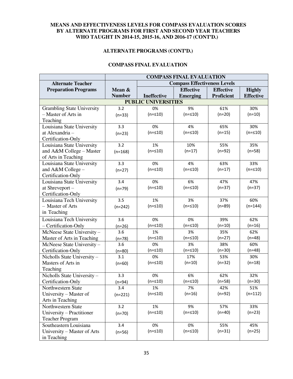#### **ALTERNATE PROGRAMS (CONT'D.)**

#### **COMPASS FINAL EVALUATION**

|                                   | <b>COMPASS FINAL EVALUATION</b>     |             |                  |                   |                  |  |  |
|-----------------------------------|-------------------------------------|-------------|------------------|-------------------|------------------|--|--|
| <b>Alternate Teacher</b>          | <b>Compass Effectiveness Levels</b> |             |                  |                   |                  |  |  |
| <b>Preparation Programs</b>       | Mean $\&$                           |             | <b>Effective</b> | <b>Effective</b>  | <b>Highly</b>    |  |  |
|                                   | <b>Number</b>                       | Ineffective | <b>Emerging</b>  | <b>Proficient</b> | <b>Effective</b> |  |  |
| <b>PUBLIC UNIVERSITIES</b>        |                                     |             |                  |                   |                  |  |  |
| <b>Grambling State University</b> | 3.2                                 | 0%          | 9%               | 61%               | 30%              |  |  |
| - Master of Arts in               | $(n=33)$                            | $(n = 10)$  | $(n = 510)$      | $(n=20)$          | $(n=10)$         |  |  |
| Teaching                          |                                     |             |                  |                   |                  |  |  |
| Louisiana State University        | 3.3                                 | 0%          | 4%               | 65%               | 30%              |  |  |
| at Alexandria-                    | $(n=23)$                            | $(n = 510)$ | $(n = 510)$      | $(n=15)$          | $(n = 10)$       |  |  |
| Certification-Only                |                                     |             |                  |                   |                  |  |  |
| Louisiana State University        | 3.2                                 | 1%          | 10%              | 55%               | 35%              |  |  |
| and A&M College - Master          | $(n=168)$                           | $(n = 10)$  | $(n=17)$         | $(n=92)$          | $(n=58)$         |  |  |
| of Arts in Teaching               |                                     |             |                  |                   |                  |  |  |
| Louisiana State University        | 3.3                                 | 0%          | 4%               | 63%               | 33%              |  |  |
| and A&M College -                 | $(n=27)$                            | $(n = 10)$  | $(n = 10)$       | $(n=17)$          | $(n = 10)$       |  |  |
| Certification-Only                |                                     |             |                  |                   |                  |  |  |
| Louisiana State University        | 3.4                                 | 0%          | 6%               | 47%               | 47%              |  |  |
| at Shreveport-                    | $(n=79)$                            | $(n = 10)$  | $(n = 10)$       | $(n=37)$          | $(n=37)$         |  |  |
| Certification-Only                |                                     |             |                  |                   |                  |  |  |
| Louisiana Tech University         | 3.5                                 | 1%          | 3%               | 37%               | 60%              |  |  |
| - Master of Arts                  | $(n=242)$                           | $(n = 10)$  | $(n = 10)$       | $(n=89)$          | $(n=144)$        |  |  |
| in Teaching                       |                                     |             |                  |                   |                  |  |  |
| Louisiana Tech University         | 3.6                                 | 0%          | 0%               | 39%               | 62%              |  |  |
| - Certification-Only              | $(n=26)$                            | $(n = 510)$ | $(n = 10)$       | $(n=10)$          | $(n=16)$         |  |  |
| McNeese State University-         | 3.6                                 | 1%          | 3%               | 35%               | 62%              |  |  |
| Master of Arts in Teaching        | $(n=78)$                            | $(n = 10)$  | $(n = 10)$       | $(n=27)$          | $(n=48)$         |  |  |
| McNeese State University-         | 3.6                                 | 0%          | 3%               | 38%               | 60%              |  |  |
| Certification-Only                | $(n=80)$                            | $(n = 10)$  | $(n = 10)$       | $(n=30)$          | $(n=48)$         |  |  |
| Nicholls State University-        | 3.1                                 | 0%          | 17%              | 53%               | 30%              |  |  |
| Masters of Arts in                | $(n=60)$                            | $(n = 10)$  | $(n=10)$         | $(n=32)$          | $(n=18)$         |  |  |
| Teaching                          |                                     |             |                  |                   |                  |  |  |
| Nicholls State University-        | 3.3                                 | 0%          | 6%               | 62%               | 32%              |  |  |
| Certification-Only                | (n=94)                              | $(n = 510)$ | $(n = 510)$      | $(n=58)$          | $(n=30)$         |  |  |
| Northwestern State                | 3.4                                 | 1%          | 7%               | 42%               | 51%              |  |  |
| University – Master of            | $(n=221)$                           | $(n = 10)$  | $(n=16)$         | $(n=92)$          | $(n=112)$        |  |  |
| Arts in Teaching                  |                                     |             |                  |                   |                  |  |  |
| Northwestern State                | 3.2                                 | 1%          | 9%               | 57%               | 33%              |  |  |
| University - Practitioner         | $(n=70)$                            | $(n = 10)$  | $(n = 10)$       | $(n=40)$          | $(n=23)$         |  |  |
| <b>Teacher Program</b>            |                                     |             |                  |                   |                  |  |  |
| Southeastern Louisiana            | 3.4                                 | 0%          | 0%               | 55%               | 45%              |  |  |
| University - Master of Arts       | $(n=56)$                            | $(n = 10)$  | $(n = 10)$       | $(n=31)$          | $(n=25)$         |  |  |
| in Teaching                       |                                     |             |                  |                   |                  |  |  |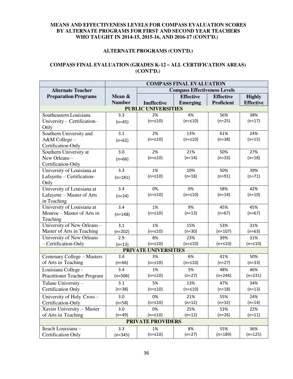#### **ALTERNATE PROGRAMS (CONT'D.)**

#### **COMPASS FINAL EVALUATION (GRADES K-12 – ALL CERTIFICATION AREAS) (CONT'D.)**

|                                     | <b>COMPASS FINAL EVALUATION</b>     |                          |                  |                   |                  |  |  |  |  |
|-------------------------------------|-------------------------------------|--------------------------|------------------|-------------------|------------------|--|--|--|--|
| <b>Alternate Teacher</b>            | <b>Compass Effectiveness Levels</b> |                          |                  |                   |                  |  |  |  |  |
| <b>Preparation Programs</b>         | Mean &                              |                          | <b>Effective</b> | <b>Effective</b>  | <b>Highly</b>    |  |  |  |  |
|                                     | <b>Number</b>                       | <b>Ineffective</b>       | <b>Emerging</b>  | <b>Proficient</b> | <b>Effective</b> |  |  |  |  |
| <b>PUBLIC UNIVERSITIES</b>          |                                     |                          |                  |                   |                  |  |  |  |  |
| Southeastern Louisiana              | 3.3                                 | 2%                       | 4%               | 56%               | 38%              |  |  |  |  |
| University - Certification-         | $(n=45)$                            | $(n = 10)$               | $(n = 510)$      | $(n=25)$          | $(n=17)$         |  |  |  |  |
| Only                                |                                     |                          |                  |                   |                  |  |  |  |  |
| Southern University and             | 3.1                                 | 2%                       | 13%              | 61%               | 24%              |  |  |  |  |
| A&M College-                        | $(n=62)$                            | $(n = 10)$               | $(n = 10)$       | $(n=38)$          | $(n=15)$         |  |  |  |  |
| Certification-Only                  |                                     |                          |                  |                   |                  |  |  |  |  |
| Southern University at              | 3.0                                 | 2%                       | 21%              | 50%               | 27%              |  |  |  |  |
| New Orleans-                        | $(n=66)$                            | $(n = 10)$               | $(n=14)$         | $(n=33)$          | $(n=18)$         |  |  |  |  |
| Certification-Only                  |                                     |                          |                  |                   |                  |  |  |  |  |
| University of Louisiana at          | 3.3                                 | 1%                       | 10%              | 50%               | 39%              |  |  |  |  |
| Lafayette - Certification-          | $(n=181)$                           | $(n = 10)$               | $(n=18)$         | $(n=91)$          | $(n=71)$         |  |  |  |  |
| Only                                |                                     |                          |                  |                   |                  |  |  |  |  |
| University of Louisiana at          | 3.4                                 | 0%                       | 0%               | 58%               | 42%              |  |  |  |  |
| Lafayette - Master of Arts          | $(n=24)$                            | $(n = 10)$               | $(n = 10)$       | $(n=14)$          | $(n=10)$         |  |  |  |  |
| in Teaching                         |                                     |                          |                  |                   |                  |  |  |  |  |
| University of Louisiana at          | 3.4                                 | 1%                       | 9%               | 45%               | 45%              |  |  |  |  |
| Monroe – Master of Arts in          | $(n=148)$                           | $(n = 10)$               | $(n=13)$         | $(n=67)$          | $(n=67)$         |  |  |  |  |
| Teaching                            |                                     |                          |                  |                   |                  |  |  |  |  |
| University of New Orleans -         | 3.1                                 | 1%                       | 15%              | 53%               | 31%              |  |  |  |  |
| Master of Arts in Teaching          | $(n=202)$                           | $(n = 10)$               | $(n=30)$         | $(n=107)$         | $(n=63)$         |  |  |  |  |
| University of New Orleans           | 2.9                                 | 8%                       | 23%              | 39%               | 31%              |  |  |  |  |
| - Certification-Only                | $(n=13)$                            | $(n = 10)$               | $(n = 10)$       | $(n = 10)$        | $(n = 10)$       |  |  |  |  |
|                                     |                                     | PRIVATE UNIVERSITIES     |                  |                   |                  |  |  |  |  |
| Centenary College - Masters         | 3.4                                 | 3%                       | 6%               | 41%               | 50%              |  |  |  |  |
| of Arts in Teaching                 | $(n=66)$                            | $(n = 10)$               | $(n = 10)$       | $(n=27)$          | $(n=33)$         |  |  |  |  |
| Louisiana College -                 | 3.4                                 | 1%                       | 5%               | 48%               | 46%              |  |  |  |  |
| <b>Practitioner Teacher Program</b> | $(n=506)$                           | $(n = 10)$               | $(n=27)$         | $(n=244)$         | $(n=231)$        |  |  |  |  |
| Tulane University -                 | 3.1                                 | 5%                       | 13%              | 47%               | 34%              |  |  |  |  |
| <b>Certification Only</b>           | $(n=38)$                            | $(n = 10)$               | $(n = 10)$       | $(n=18)$          | $(n=13)$         |  |  |  |  |
| University of Holy Cross-           | 3.0                                 | 0%                       | 21%              | 55%               | 24%              |  |  |  |  |
| Certification-Only                  | $(n=58)$                            | $(n = 10)$               | $(n=12)$         | $(n=32)$          | (n=14)           |  |  |  |  |
| Xavier University - Master          | 3.0                                 | 0%                       | 25%              | 53%               | 22%              |  |  |  |  |
| of Arts in Teaching                 | $(n=49)$                            | $(n = 10)$               | $(n=12)$         | $(n=26)$          | $(n=11)$         |  |  |  |  |
|                                     |                                     | <b>PRIVATE PROVIDERS</b> |                  |                   |                  |  |  |  |  |
| Iteach Louisiana -                  | 3.3                                 | 1%                       | 8%               | 55%               | 36%              |  |  |  |  |
| <b>Certification Only</b>           | $(n=345)$                           | $(n = 10)$               | $(n=27)$         | $(n=189)$         | $(n=125)$        |  |  |  |  |
|                                     |                                     |                          |                  |                   |                  |  |  |  |  |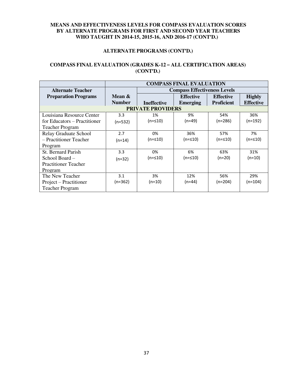#### **ALTERNATE PROGRAMS (CONT'D.)**

#### **COMPASS FINAL EVALUATION (GRADES K-12 – ALL CERTIFICATION AREAS) (CONT'D.)**

|                              | <b>COMPASS FINAL EVALUATION</b> |                          |                                     |                   |                  |
|------------------------------|---------------------------------|--------------------------|-------------------------------------|-------------------|------------------|
| <b>Alternate Teacher</b>     |                                 |                          | <b>Compass Effectiveness Levels</b> |                   |                  |
| <b>Preparation Programs</b>  | Mean &                          |                          | <b>Effective</b>                    | <b>Effective</b>  | <b>Highly</b>    |
|                              | <b>Number</b>                   | <b>Ineffective</b>       | <b>Emerging</b>                     | <b>Proficient</b> | <b>Effective</b> |
|                              |                                 | <b>PRIVATE PROVIDERS</b> |                                     |                   |                  |
| Louisiana Resource Center    | 3.3                             | 1%                       | 9%                                  | 54%               | 36%              |
| for Educators – Practitioner | $(n=532)$                       | (n=≤10)                  | (n=49)                              | $(n=286)$         | (n=192)          |
| <b>Teacher Program</b>       |                                 |                          |                                     |                   |                  |
| Relay Graduate School        | 2.7                             | 0%                       | 36%                                 | 57%               | 7%               |
| - Practitioner Teacher       | (n=14)                          | (n=≤10)                  | (n=≤10)                             | (n=≤10)           | (n=≤10)          |
| Program                      |                                 |                          |                                     |                   |                  |
| <b>St. Bernard Parish</b>    | 3.3                             | 0%                       | 6%                                  | 63%               | 31%              |
| School Board –               | $(n=32)$                        | (n=≤10)                  | (n=≤10)                             | $(n=20)$          | $(n=10)$         |
| <b>Practitioner Teacher</b>  |                                 |                          |                                     |                   |                  |
| Program                      |                                 |                          |                                     |                   |                  |
| The New Teacher              | 3.1                             | 3%                       | 12%                                 | 56%               | 29%              |
| Project – Practitioner       | (n=362)                         | $(n=10)$                 | (n=44)                              | $(n=204)$         | $(n=104)$        |
| <b>Teacher Program</b>       |                                 |                          |                                     |                   |                  |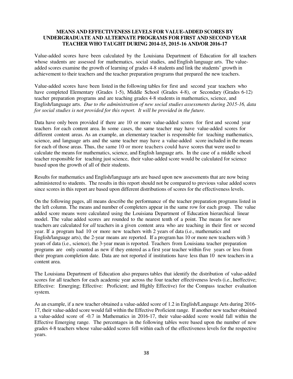Value-added scores have been calculated by the Louisiana Department of Education for all teachers whose students are assessed for mathematics, social studies, and English language arts. The valueadded scores examine the growth of learning of grades 4-8 students and link the students' growth in achievement to their teachers and the teacher preparation programs that prepared the new teachers.

Value-added scores have been listed in the following tables for first and second year teachers who have completed Elementary (Grades 1-5), Middle School (Grades 4-8), or Secondary (Grades 6-12) teacher preparation programs and are teaching grades 4-8 students in mathematics, science, and English/language arts. *Due to the administration of new social studies assessments during 2015-16, data for social studies is not provided for this report. It will be provided in the future.* 

Data have only been provided if there are 10 or more value-added scores for first and second year teachers for each content area. In some cases, the same teacher may have value-added scores for different content areas. As an example, an elementary teacher is responsible for teaching mathematics, science, and language arts and the same teacher may have a value-added score included in the means for each of those areas. Thus, the same 10 or more teachers could have scores that were used to calculate the means for mathematics, science, and English language arts. In the case of a middle school teacher responsible for teaching just science, their value-added score would be calculated for science based upon the growth of all of their students.

Results for mathematics and English/language arts are based upon new assessments that are now being administered to students. The results in this report should not be compared to previous value added scores since scores in this report are based upon different distributions of scores for the effectiveness levels.

On the following pages, all means describe the performance of the teacher preparation programs listed in the left column. The means and number of completers appear in the same row for each group. The value added score means were calculated using the Louisiana Department of Education hierarchical linear model. The value added scores are rounded to the nearest tenth of a point. The means for new teachers are calculated for *all* teachers in a given content area who are teaching in their first or second year. If a program had 10 or more new teachers with 2 years of data (i.e., mathematics and English/language arts), the 2-year means are reported. If a program has 10 or more new teachers with 3 years of data (i.e., science), the 3-year mean is reported. Teachers from Louisiana teacher preparation programs are only counted as new if they entered as a first year teacher within five years or less from their program completion date. Data are not reported if institutions have less than 10 new teachers in a content area.

The Louisiana Department of Education also prepares tables that identify the distribution of value-added scores for all teachers for each academic year across the four teacher effectiveness levels (i.e., Ineffective; Effective: Emerging; Effective: Proficient; and Highly Effective) for the Compass teacher evaluation system.

As an example, if a new teacher obtained a value-added score of 1.2 in English/Language Arts during 2016- 17, their value-added score would fall within the Effective Proficient range. If another new teacher obtained a value-added score of -0.7 in Mathematics in 2016-17, their value-added score would fall within the Effective Emerging range. The percentages in the following tables were based upon the number of new grades 4-8 teachers whose value-added scores fell within each of the effectiveness levels for the respective years.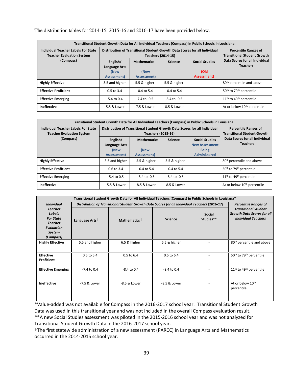| The distribution tables for $2014-15$ , $2015-16$ and $2016-17$ have been provided below. |
|-------------------------------------------------------------------------------------------|
|-------------------------------------------------------------------------------------------|

| Transitional Student Growth Data for All Individual Teachers (Compass) in Public Schools in Louisiana |                                                                            |                                                                   |                  |                                              |                                                   |  |  |  |  |
|-------------------------------------------------------------------------------------------------------|----------------------------------------------------------------------------|-------------------------------------------------------------------|------------------|----------------------------------------------|---------------------------------------------------|--|--|--|--|
| <b>Individual Teacher Labels For State</b><br><b>Teacher Evaluation System</b>                        | Distribution of Transitional Student Growth Data Scores for all Individual | <b>Percentile Ranges of</b><br><b>Transitional Student Growth</b> |                  |                                              |                                                   |  |  |  |  |
| (Compass)                                                                                             | English/<br>Language Arts<br>(New<br>Assessment)                           | <b>Mathematics</b><br>(New<br>Assessment)                         | <b>Science</b>   | <b>Social Studies</b><br>(Old<br>Assessment) | Data Scores for all Individual<br><b>Teachers</b> |  |  |  |  |
| <b>Highly Effective</b>                                                                               | 3.5 and higher                                                             | 5.5 & higher                                                      | 5.5 & higher     |                                              | 80 <sup>th</sup> percentile and above             |  |  |  |  |
| <b>Effective Proficient</b>                                                                           | $0.5$ to $3.4$                                                             | $-0.4$ to 5.4                                                     | $-0.4$ to 5.4    |                                              | 50 <sup>th</sup> to 79 <sup>th</sup> percentile   |  |  |  |  |
| <b>Effective Emerging</b>                                                                             | $-5.4$ to 0.4                                                              | $-7.4$ to $-0.5$                                                  | $-8.4$ to $-0.5$ |                                              | $11th$ to 49 <sup>th</sup> percentile             |  |  |  |  |
| Ineffective                                                                                           | -5.5 & Lower                                                               | -7.5 & Lower                                                      | -8.5 & Lower     |                                              | At or below 10 <sup>th</sup> percentile           |  |  |  |  |

| Transitional Student Growth Data for All Individual Teachers (Compass) in Public Schools in Louisiana |                                                                            |                                                                   |                  |                                                                                       |                                                   |  |  |  |  |
|-------------------------------------------------------------------------------------------------------|----------------------------------------------------------------------------|-------------------------------------------------------------------|------------------|---------------------------------------------------------------------------------------|---------------------------------------------------|--|--|--|--|
| <b>Individual Teacher Labels For State</b><br><b>Teacher Evaluation System</b><br>(Compass)           | Distribution of Transitional Student Growth Data Scores for all Individual | <b>Percentile Ranges of</b><br><b>Transitional Student Growth</b> |                  |                                                                                       |                                                   |  |  |  |  |
|                                                                                                       | English/<br>Language Arts<br>(New<br>Assessment)                           | <b>Mathematics</b><br>(New<br>Assessment)                         | <b>Science</b>   | <b>Social Studies</b><br><b>New Assessment</b><br><b>Being</b><br><b>Administered</b> | Data Scores for all Individual<br><b>Teachers</b> |  |  |  |  |
| <b>Highly Effective</b>                                                                               | 3.5 and higher                                                             | 5.5 & higher                                                      | 5.5 & higher     |                                                                                       | 80 <sup>th</sup> percentile and above             |  |  |  |  |
| <b>Effective Proficient</b>                                                                           | $0.6 \text{ to } 3.4$                                                      | $-0.4$ to 5.4                                                     | $-0.4$ to 5.4    |                                                                                       | 50 <sup>th</sup> to 79 <sup>th</sup> percentile   |  |  |  |  |
| <b>Effective Emerging</b>                                                                             | $-5.4$ to 0.5                                                              | $-8.4$ to $-0.5$                                                  | $-8.4$ to $-0.5$ |                                                                                       | 11 <sup>th</sup> to 49 <sup>th</sup> percentile   |  |  |  |  |
| <b>Ineffective</b>                                                                                    | -5.5 & Lower                                                               | -8.5 & Lower                                                      | $-8.5$ & Lower   |                                                                                       | At or below 10 <sup>th</sup> percentile           |  |  |  |  |

|                                                                                                            | Transitional Student Growth Data for All Individual Teachers (Compass) in Public Schools in Louisiana* |                                                                                                                              |                |                            |                                                                                                |  |  |  |  |  |
|------------------------------------------------------------------------------------------------------------|--------------------------------------------------------------------------------------------------------|------------------------------------------------------------------------------------------------------------------------------|----------------|----------------------------|------------------------------------------------------------------------------------------------|--|--|--|--|--|
| <b>Individual</b>                                                                                          |                                                                                                        | Distribution of Transitional Student Growth Data Scores for all Individual Teachers (2016-17)<br><b>Percentile Ranges of</b> |                |                            |                                                                                                |  |  |  |  |  |
| <b>Teacher</b><br>Labels<br><b>For State</b><br><b>Teacher</b><br><b>Evaluation</b><br>System<br>(Compass) | Language Arts <sup>T</sup>                                                                             | Mathematics <sup>†</sup>                                                                                                     | <b>Science</b> | <b>Social</b><br>Studies** | <b>Transitional Student</b><br><b>Growth Data Scores for all</b><br><b>Individual Teachers</b> |  |  |  |  |  |
| <b>Highly Effective</b>                                                                                    | 5.5 and higher                                                                                         | 6.5 & higher                                                                                                                 | 6.5 & higher   |                            | 80 <sup>th</sup> percentile and above                                                          |  |  |  |  |  |
| <b>Effective</b><br>Proficient                                                                             | 0.5 to 5.4                                                                                             | $0.5$ to $6.4$                                                                                                               | 0.5 to 6.4     |                            | 50 <sup>th</sup> to 79 <sup>th</sup> percentile                                                |  |  |  |  |  |
| <b>Effective Emerging</b>                                                                                  | $-7.4$ to 0.4                                                                                          | $-8.4$ to 0.4                                                                                                                | $-8.4$ to 0.4  |                            | 11 <sup>th</sup> to 49 <sup>th</sup> percentile                                                |  |  |  |  |  |
| Ineffective                                                                                                | -7.5 & Lower                                                                                           | -8.5 & Lower                                                                                                                 | -8.5 & Lower   |                            | At or below 10 <sup>th</sup><br>percentile                                                     |  |  |  |  |  |

\*Value-added was not available for Compass in the 2016-2017 school year. Transitional Student Growth Data was used in this transitional year and was not included in the overall Compass evaluation result. \*\*A new Social Studies assessment was piloted in the 2015-2016 school year and was not analyzed for Transitional Student Growth Data in the 2016-2017 school year.

†The first statewide administration of a new assessment (PARCC) in Language Arts and Mathematics occurred in the 2014-2015 school year.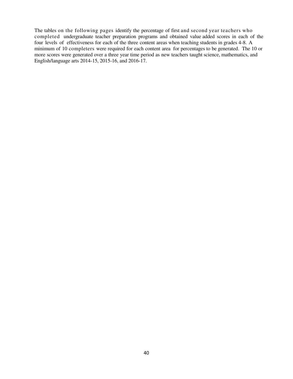The tables on the following pages identify the percentage of first and second year teachers who completed undergraduate teacher preparation programs and obtained value added scores in each of the four levels of effectiveness for each of the three content areas when teaching students in grades 4-8. A minimum of 10 completers were required for each content area for percentages to be generated. The 10 or more scores were generated over a three year time period as new teachers taught science, mathematics, and English/language arts 2014-15, 2015-16, and 2016-17.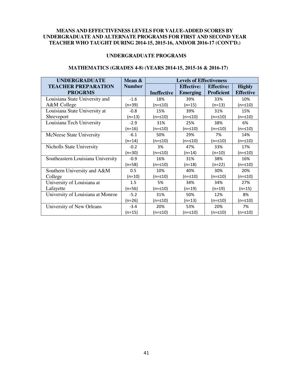#### **UNDERGRADUATE PROGRAMS**

#### **MATHEMATICS (GRADES 4-8) (YEARS 2014-15, 2015-16 & 2016-17)**

| <b>UNDERGRADUATE</b>              | <b>Levels of Effectiveness</b><br>Mean & |                    |                   |                   |                  |
|-----------------------------------|------------------------------------------|--------------------|-------------------|-------------------|------------------|
| <b>TEACHER PREPARATION</b>        | <b>Number</b>                            |                    | <b>Effective:</b> | <b>Effective:</b> | <b>Highly</b>    |
| <b>PROGRMS</b>                    |                                          | <b>Ineffective</b> | <b>Emerging</b>   | <b>Proficient</b> | <b>Effective</b> |
| Louisiana State University and    | $-1.6$                                   | 18%                | 39%               | 33%               | 10%              |
| A&M College                       | (n=39)                                   | $(n=≤10)$          | $(n=15)$          | $(n=13)$          | $(n = 10)$       |
| Louisiana State University at     | $-0.8$                                   | 15%                | 39%               | 31%               | 15%              |
| <b>Shreveport</b>                 | $(n=13)$                                 | $(n=≤10)$          | $(n=≤10)$         | $(n=≤10)$         | $(n=≤10)$        |
| Louisiana Tech University         | $-2.9$                                   | 31%                | 25%               | 38%               | 6%               |
|                                   | $(n=16)$                                 | $(n=≤10)$          | $(n=≤10)$         | $(n=≤10)$         | $(n = 10)$       |
| McNeese State University          | $-6.1$                                   | 50%                | 29%               | 7%                | 14%              |
|                                   | $(n=14)$                                 | (n=≤10)            | $(n = 10)$        | $(n=≤10)$         | (n=≤10)          |
| Nicholls State University         | $-0.2$                                   | 3%                 | 47%               | 33%               | 17%              |
|                                   | $(n=30)$                                 | (n=≤10)            | $(n=14)$          | $(n=10)$          | (n=≤10)          |
| Southeastern Louisiana University | $-0.9$                                   | 16%                | 31%               | 38%               | 16%              |
|                                   | $(n=58)$                                 | (n=≤10)            | $(n=18)$          | $(n=22)$          | $(n = 10)$       |
| Southern University and A&M       | 0.5                                      | 10%                | 40%               | 30%               | 20%              |
| College                           | $(n=10)$                                 | $(n = 10)$         | $(n = 10)$        | $(n=≤10)$         | $(n = 10)$       |
| University of Louisiana at        | 1.5                                      | 5%                 | 34%               | 34%               | 27%              |
| Lafayette                         | $(n=56)$                                 | (n=≤10)            | $(n=19)$          | $(n=19)$          | $(n=15)$         |
| University of Louisiana at Monroe | $-5.2$                                   | 31%                | 50%               | 12%               | 8%               |
|                                   | $(n=26)$                                 | (n=≤10)            | $(n=13)$          | (n=≤10)           | $(n=≤10)$        |
| University of New Orleans         | $-3.4$                                   | 20%                | 53%               | 20%               | 7%               |
|                                   | (n=15)                                   | $(n=≤10)$          | $(n = 10)$        | $(n=≤10)$         | $(n = 10)$       |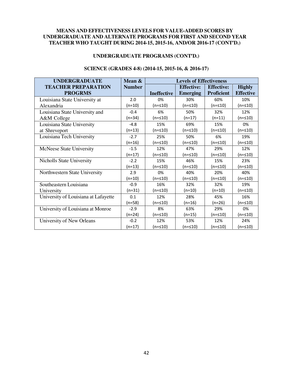#### **UNDERGRADUATE PROGRAMS (CONT'D.)**

| <b>UNDERGRADUATE</b>                 | Mean &        | <b>Levels of Effectiveness</b> |                   |                   |                  |  |
|--------------------------------------|---------------|--------------------------------|-------------------|-------------------|------------------|--|
| <b>TEACHER PREPARATION</b>           | <b>Number</b> |                                | <b>Effective:</b> | <b>Effective:</b> | <b>Highly</b>    |  |
| <b>PROGRMS</b>                       |               | <b>Ineffective</b>             | <b>Emerging</b>   | <b>Proficient</b> | <b>Effective</b> |  |
| Louisiana State University at        | 2.0           | 0%                             | 30%               | 60%               | 10%              |  |
| Alexandria                           | $(n=10)$      | $(n = 510)$                    | (n=≤10)           | $(n=≤10)$         | $(n=≤10)$        |  |
| Louisiana State University and       | $-0.4$        | 6%                             | 50%               | 32%               | 12%              |  |
| A&M College                          | $(n=34)$      | $(n=≤10)$                      | $(n=17)$          | $(n=11)$          | $(n = 10)$       |  |
| Louisiana State University           | $-4.8$        | 15%                            | 69%               | 15%               | 0%               |  |
| at Shreveport                        | $(n=13)$      | (n=≤10)                        | (n=≤10)           | $(n=≤10)$         | $(n=≤10)$        |  |
| Louisiana Tech University            | $-2.7$        | 25%                            | 50%               | 6%                | 19%              |  |
|                                      | $(n=16)$      | (n=≤10)                        | (n=≤10)           | $(n=≤10)$         | $(n=≤10)$        |  |
| <b>McNeese State University</b>      | $-1.5$        | 12%                            | 47%               | 29%               | 12%              |  |
|                                      | $(n=17)$      | (n=≤10)                        | (n=≤10)           | (n=≤10)           | $(n=≤10)$        |  |
| Nicholls State University            | $-2.2$        | 15%                            | 46%               | 15%               | 23%              |  |
|                                      | $(n=13)$      | $(n = 10)$                     | $(n = 10)$        | $(n = 510)$       | $(n = 10)$       |  |
| Northwestern State University        | 2.9           | 0%                             | 40%               | 20%               | 40%              |  |
|                                      | $(n=10)$      | $(n=\leq 10)$                  | $(n=\leq 10)$     | $(n=\leq 10)$     | $(n = 10)$       |  |
| Southeastern Louisiana               | $-0.9$        | 16%                            | 32%               | 32%               | 19%              |  |
| University                           | $(n=31)$      | $(n = 10)$                     | $(n=10)$          | $(n=10)$          | $(n=≤10)$        |  |
| University of Louisiana at Lafayette | 0.1           | 12%                            | 28%               | 45%               | 16%              |  |
|                                      | $(n=58)$      | $(n=\leq 10)$                  | $(n=16)$          | $(n=26)$          | $(n = 10)$       |  |
| University of Louisiana at Monroe    | $-2.9$        | 8%                             | 63%               | 29%               | 0%               |  |
|                                      | $(n=24)$      | $(n = 10)$                     | $(n=15)$          | $(n = 10)$        | $(n = 10)$       |  |
| University of New Orleans            | $-0.2$        | 12%                            | 53%               | 12%               | 24%              |  |
|                                      | $(n=17)$      | $(n=\leq 10)$                  | (n=≤10)           | $(n = 10)$        | (n=≤10)          |  |

#### **SCIENCE (GRADES 4-8) (2014-15, 2015-16, & 2016-17)**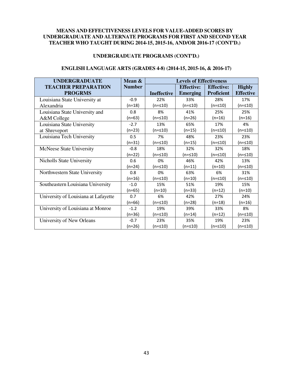#### **UNDERGRADUATE PROGRAMS (CONT'D.)**

| <b>UNDERGRADUATE</b>                 | Mean &        | <b>Levels of Effectiveness</b> |                   |                   |                  |  |  |
|--------------------------------------|---------------|--------------------------------|-------------------|-------------------|------------------|--|--|
| <b>TEACHER PREPARATION</b>           | <b>Number</b> |                                | <b>Effective:</b> | <b>Effective:</b> | <b>Highly</b>    |  |  |
| <b>PROGRMS</b>                       |               | <b>Ineffective</b>             | <b>Emerging</b>   | <b>Proficient</b> | <b>Effective</b> |  |  |
| Louisiana State University at        | $-0.9$        | 22%                            | 33%               | 28%               | 17%              |  |  |
| Alexandria                           | $(n=18)$      | $(n=≤10)$                      | $(n=≤10)$         | $(n=≤10)$         | $(n = 10)$       |  |  |
| Louisiana State University and       | 0.8           | 8%                             | 41%               | 25%               | 25%              |  |  |
| A&M College                          | $(n=63)$      | $(n=≤10)$                      | $(n=26)$          | $(n=16)$          | $(n=16)$         |  |  |
| Louisiana State University           | $-2.7$        | 13%                            | 65%               | 17%               | 4%               |  |  |
| at Shreveport                        | $(n=23)$      | $(n = 10)$                     | $(n=15)$          | $(n=≤10)$         | $(n = 10)$       |  |  |
| Louisiana Tech University            | 0.5           | 7%                             | 48%               | 23%               | 23%              |  |  |
|                                      | $(n=31)$      | $(n=≤10)$                      | $(n=15)$          | $(n=≤10)$         | $(n=≤10)$        |  |  |
| <b>McNeese State University</b>      | $-0.8$        | 18%                            | 32%               | 32%               | 18%              |  |  |
|                                      | $(n=22)$      | $(n=≤10)$                      | (n=≤10)           | $(n=\leq 10)$     | $(n = 10)$       |  |  |
| Nicholls State University            | 0.6           | 0%                             | 46%               | 42%               | 13%              |  |  |
|                                      | $(n=24)$      | $(n=≤10)$                      | $(n=11)$          | $(n=10)$          | $(n = 10)$       |  |  |
| Northwestern State University        | 0.8           | 0%                             | 63%               | 6%                | 31%              |  |  |
|                                      | $(n=16)$      | $(n=\leq 10)$                  | $(n=10)$          | $(n=\leq 10)$     | $(n=≤10)$        |  |  |
| Southeastern Louisiana University    | $-1.0$        | 15%                            | 51%               | 19%               | 15%              |  |  |
|                                      | $(n=65)$      | $(n=10)$                       | $(n=33)$          | $(n=12)$          | $(n=10)$         |  |  |
| University of Louisiana at Lafayette | 0.7           | 6%                             | 42%               | 27%               | 24%              |  |  |
|                                      | $(n=66)$      | $(n = 10)$                     | $(n=28)$          | $(n=18)$          | $(n=16)$         |  |  |
| University of Louisiana at Monroe    | $-1.2$        | 19%                            | 39%               | 33%               | 8%               |  |  |
|                                      | $(n=36)$      | (n=≤10)                        | $(n=14)$          | $(n=12)$          | $(n = 10)$       |  |  |
| University of New Orleans            | $-0.7$        | 23%                            | 35%               | 19%               | 23%              |  |  |
|                                      | $(n=26)$      | $(n=\leq 10)$                  | (n=≤10)           | $(n = 10)$        | (n=≤10)          |  |  |

#### **ENGLISH LANGUAGE ARTS (GRADES 4-8) (2014-15, 2015-16, & 2016-17)**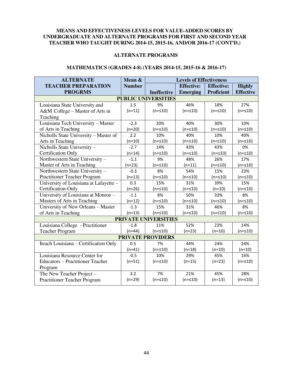#### **ALTERNATE PROGRAMS**

#### **MATHEMATICS (GRADES 4-8) (YEARS 2014-15, 2015-16 & 2016-17)**

| <b>ALTERNATE</b>                        | Mean &        | <b>Levels of Effectiveness</b> |                   |                   |                  |  |  |  |  |  |
|-----------------------------------------|---------------|--------------------------------|-------------------|-------------------|------------------|--|--|--|--|--|
| <b>TEACHER PREPARATION</b>              | <b>Number</b> |                                | <b>Effective:</b> | <b>Effective:</b> | <b>Highly</b>    |  |  |  |  |  |
| <b>PROGRMS</b>                          |               | <b>Ineffective</b>             | <b>Emerging</b>   | <b>Proficient</b> | <b>Effective</b> |  |  |  |  |  |
| <b>PUBLIC UNIVERSITIES</b>              |               |                                |                   |                   |                  |  |  |  |  |  |
| Louisiana State University and          | 1.5           | 9%                             | 46%               | 18%               | 27%              |  |  |  |  |  |
| A&M College - Master of Arts in         | $(n=11)$      | $(n = 510)$                    | $(n = 10)$        | $(n = 10)$        | $(n = 10)$       |  |  |  |  |  |
| Teaching                                |               |                                |                   |                   |                  |  |  |  |  |  |
| Louisiana Tech University - Master      | $-2.3$        | 20%                            | 40%               | 30%               | 10%              |  |  |  |  |  |
| of Arts in Teaching                     | $(n=20)$      | $(n = 10)$                     | $(n = 10)$        | $(n = 10)$        | $(n = 10)$       |  |  |  |  |  |
| Nicholls State University - Master of   | 2.2           | 10%                            | 40%               | 10%               | 40%              |  |  |  |  |  |
| Arts in Teaching                        | $(n=10)$      | $(n = 10)$                     | $(n = 10)$        | $(n = 510)$       | $(n = 10)$       |  |  |  |  |  |
| Nicholls State University-              | $-2.7$        | 14%                            | 43%               | 43%               | 0%               |  |  |  |  |  |
| <b>Certification Only</b>               | $(n=14)$      | $(n = 10)$                     | $(n = 10)$        | $(n = 10)$        | $(n = 10)$       |  |  |  |  |  |
| Northwestern State University-          | $-1.1$        | 9%                             | 48%               | 26%               | 17%              |  |  |  |  |  |
| Master of Arts in Teaching              | $(n=23)$      | $(n = 10)$                     | $(n=11)$          | $(n = 10)$        | $(n = 10)$       |  |  |  |  |  |
| Northwestern State University-          | $-0.3$        | 8%                             | 54%               | 15%               | 23%              |  |  |  |  |  |
| Practitioner Teacher Program            | $(n=13)$      | $(n = 10)$                     | $(n = 10)$        | $(n = 10)$        | $(n = 510)$      |  |  |  |  |  |
| University of Louisiana at Lafayette -  | 0.3           | 15%                            | 31%               | 39%               | 15%              |  |  |  |  |  |
| Certification-Only                      | $(n=26)$      | $(n = 10)$                     | $(n = 10)$        | $(n=10)$          | $(n = 10)$       |  |  |  |  |  |
| University of Louisiana at Monroe -     | $-1.1$        | 8%                             | 50%               | 33%               | 8%               |  |  |  |  |  |
| Masters of Arts in Teaching             | $(n=12)$      | $(n = 10)$                     | $(n = 10)$        | $(n = 510)$       | $(n = 10)$       |  |  |  |  |  |
| University of New Orleans - Master      | $-1.3$        | 15%                            | 31%               | 46%               | 8%               |  |  |  |  |  |
| of Arts in Teaching                     | $(n=13)$      | $(n = 10)$                     | $(n = 510)$       | $(n = 10)$        | $(n = 10)$       |  |  |  |  |  |
|                                         |               | <b>PRIVATE UNIVERSITIES</b>    |                   |                   |                  |  |  |  |  |  |
| Louisiana College - Practitioner        | $-1.8$        | 11%                            | 52%               | 23%               | 14%              |  |  |  |  |  |
| <b>Teacher Program</b>                  | $(n=44)$      | $(n = 10)$                     | $(n=23)$          | $(n=10)$          | $(n = 510)$      |  |  |  |  |  |
|                                         |               | <b>PRIVATE PROVIDERS</b>       |                   |                   |                  |  |  |  |  |  |
| Iteach Louisiana - Certification Only   | 0.5           | 7%                             | 44%               | 24%               | 24%              |  |  |  |  |  |
|                                         | $(n=41)$      | $(n = 10)$                     | $(n=18)$          | $(n=10)$          | $(n=10)$         |  |  |  |  |  |
| Louisiana Resource Center for           | $-0.5$        | 10%                            | 29%               | 45%               | 16%              |  |  |  |  |  |
| <b>Educators - Practitioner Teacher</b> | $(n=51)$      | $(n = 10)$                     | $(n=15)$          | $(n=23)$          | $(n = 10)$       |  |  |  |  |  |
| Program                                 |               |                                |                   |                   |                  |  |  |  |  |  |
| The New Teacher Project -               | 3.2           | 7%                             | 21%               | 45%               | 28%              |  |  |  |  |  |
| <b>Practitioner Teacher Program</b>     | $(n=29)$      | $(n = 10)$                     | $(n = 10)$        | $(n=13)$          | $(n = 10)$       |  |  |  |  |  |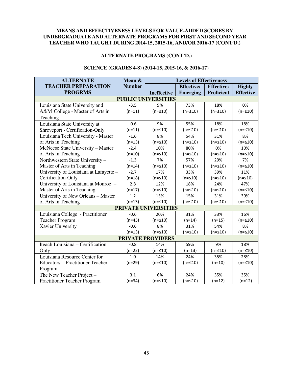#### **ALTERNATE PROGRAMS (CONT'D.)**

#### **SCIENCE (GRADES 4-8) (2014-15, 2015-16, & 2016-17)**

| <b>ALTERNATE</b>                        | Mean &        | <b>Levels of Effectiveness</b> |                   |                   |                  |  |  |  |  |  |
|-----------------------------------------|---------------|--------------------------------|-------------------|-------------------|------------------|--|--|--|--|--|
| <b>TEACHER PREPARATION</b>              | <b>Number</b> |                                | <b>Effective:</b> | <b>Effective:</b> | <b>Highly</b>    |  |  |  |  |  |
| <b>PROGRMS</b>                          |               | <b>Ineffective</b>             | <b>Emerging</b>   | <b>Proficient</b> | <b>Effective</b> |  |  |  |  |  |
| <b>PUBLIC UNIVERSITIES</b>              |               |                                |                   |                   |                  |  |  |  |  |  |
| Louisiana State University and          | $-3.5$        | 9%                             | 73%               | 18%               | 0%               |  |  |  |  |  |
| A&M College - Master of Arts in         | $(n=11)$      | $(n = 10)$                     | $(n = 10)$        | $(n = 10)$        | $(n = 10)$       |  |  |  |  |  |
| Teaching                                |               |                                |                   |                   |                  |  |  |  |  |  |
| Louisiana State University at           | $-0.6$        | 9%                             | 55%               | 18%               | 18%              |  |  |  |  |  |
| Shreveport - Certification-Only         | $(n=11)$      | $(n = 10)$                     | $(n = 10)$        | $(n = 10)$        | $(n = 10)$       |  |  |  |  |  |
| Louisiana Tech University - Master      | $-1.6$        | 8%                             | 54%               | 31%               | 8%               |  |  |  |  |  |
| of Arts in Teaching                     | $(n=13)$      | $(n = 10)$                     | $(n = 10)$        | $(n = 10)$        | $(n = 10)$       |  |  |  |  |  |
| McNeese State University - Master       | $-2.4$        | 10%                            | 80%               | 0%                | 10%              |  |  |  |  |  |
| of Arts in Teaching                     | $(n=10)$      | $(n = 10)$                     | $(n = 10)$        | $(n = 510)$       | $(n = 510)$      |  |  |  |  |  |
| Northwestern State University -         | $-1.3$        | 7%                             | 57%               | 29%               | 7%               |  |  |  |  |  |
| Master of Arts in Teaching              | $(n=14)$      | $(n = 10)$                     | $(n = 10)$        | $(n = 10)$        | $(n = 10)$       |  |  |  |  |  |
| University of Louisiana at Lafayette -  | $-2.7$        | 17%                            | 33%               | 39%               | 11%              |  |  |  |  |  |
| Certification-Only                      | $(n=18)$      | $(n = 10)$                     | $(n = 10)$        | $(n = 10)$        | $(n = 510)$      |  |  |  |  |  |
| University of Louisiana at Monroe -     | 2.8           | 12%                            | 18%               | 24%               | 47%              |  |  |  |  |  |
| Master of Arts in Teaching              | $(n=17)$      | $(n = 10)$                     | $(n = 10)$        | $(n = 10)$        | $(n = 510)$      |  |  |  |  |  |
| University of New Orleans - Master      | 1.2           | 15%                            | 15%               | 31%               | 39%              |  |  |  |  |  |
| of Arts in Teaching                     | $(n=13)$      | $(n = 510)$                    | $(n = 10)$        | $(n = 10)$        | $(n = 10)$       |  |  |  |  |  |
|                                         |               | PRIVATE UNIVERSITIES           |                   |                   |                  |  |  |  |  |  |
| Louisiana College - Practitioner        | $-0.6$        | 20%                            | 31%               | 33%               | 16%              |  |  |  |  |  |
| <b>Teacher Program</b>                  | $(n=45)$      | $(n = 10)$                     | $(n=14)$          | $(n=15)$          | $(n = 10)$       |  |  |  |  |  |
| Xavier University                       | $-0.6$        | 8%                             | 31%               | 54%               | 8%               |  |  |  |  |  |
|                                         | $(n=13)$      | $(n = 510)$                    | $(n = 10)$        | $(n = 510)$       | $(n = 510)$      |  |  |  |  |  |
| <b>PRIVATE PROVIDERS</b>                |               |                                |                   |                   |                  |  |  |  |  |  |
| Iteach Louisiana - Certification        | $-0.8$        | 14%                            | 59%               | 9%                | 18%              |  |  |  |  |  |
| Only                                    | $(n=22)$      | $(n = 10)$                     | $(n=13)$          | $(n = 510)$       | $(n = 510)$      |  |  |  |  |  |
| Louisiana Resource Center for           | 1.0           | 14%                            | 24%               | 35%               | 28%              |  |  |  |  |  |
| <b>Educators - Practitioner Teacher</b> | $(n=29)$      | $(n = 10)$                     | $(n = 10)$        | $(n=10)$          | $(n = 510)$      |  |  |  |  |  |
| Program                                 |               |                                |                   |                   |                  |  |  |  |  |  |
| The New Teacher Project -               | 3.1           | 6%                             | 24%               | 35%               | 35%              |  |  |  |  |  |
| <b>Practitioner Teacher Program</b>     | $(n=34)$      | $(n = 510)$                    | $(n = 10)$        | $(n=12)$          | $(n=12)$         |  |  |  |  |  |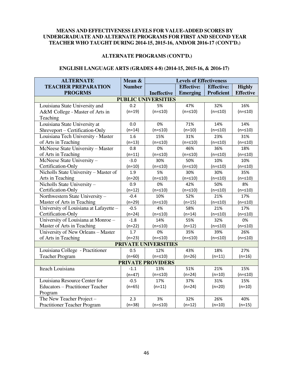#### **ALTERNATE PROGRAMS (CONT'D.)**

#### **ENGLISH LANGUAGE ARTS (GRADES 4-8) (2014-15, 2015-16, & 2016-17)**

| <b>ALTERNATE</b>                        | Mean &        | <b>Levels of Effectiveness</b> |                   |                   |                  |  |  |  |
|-----------------------------------------|---------------|--------------------------------|-------------------|-------------------|------------------|--|--|--|
| <b>TEACHER PREPARATION</b>              | <b>Number</b> |                                | <b>Effective:</b> | <b>Effective:</b> | <b>Highly</b>    |  |  |  |
| <b>PROGRMS</b>                          |               | <b>Ineffective</b>             | <b>Emerging</b>   | <b>Proficient</b> | <b>Effective</b> |  |  |  |
| <b>PUBLIC UNIVERSITIES</b>              |               |                                |                   |                   |                  |  |  |  |
| Louisiana State University and          | 0.2           | 5%                             | 47%               | 32%               | 16%              |  |  |  |
| A&M College - Master of Arts in         | $(n=19)$      | $(n = 10)$                     | $(n = 10)$        | $(n = 10)$        | $(n = 10)$       |  |  |  |
| Teaching                                |               |                                |                   |                   |                  |  |  |  |
| Louisiana State University at           | 0.0           | 0%                             | 71%               | 14%               | 14%              |  |  |  |
| Shreveport - Certification-Only         | $(n=14)$      | $(n = 10)$                     | $(n=10)$          | $(n = 10)$        | $(n = 10)$       |  |  |  |
| Louisiana Tech University - Master      | 1.6           | 15%                            | 31%               | 23%               | 31%              |  |  |  |
| of Arts in Teaching                     | $(n=13)$      | $(n = 10)$                     | $(n = 10)$        | $(n = 510)$       | $(n = 510)$      |  |  |  |
| McNeese State University - Master       | 0.8           | 0%                             | 46%               | 36%               | 18%              |  |  |  |
| of Arts in Teaching                     | $(n=11)$      | $(n = 510)$                    | $(n = 510)$       | $(n = 510)$       | $(n = 510)$      |  |  |  |
| McNeese State University-               | $-3.0$        | 30%                            | 50%               | 10%               | 10%              |  |  |  |
| Certification-Only                      | $(n=10)$      | $(n = 10)$                     | $(n = 10)$        | $(n = 10)$        | $(n = 10)$       |  |  |  |
| Nicholls State University - Master of   | 1.9           | 5%                             | 30%               | 30%               | 35%              |  |  |  |
| Arts in Teaching                        | $(n=20)$      | $(n = 10)$                     | $(n = 10)$        | $(n = 510)$       | $(n = 10)$       |  |  |  |
| Nicholls State University-              | 0.9           | 0%                             | 42%               | 50%               | 8%               |  |  |  |
| Certification-Only                      | $(n=12)$      | $(n = 10)$                     | $(n = 10)$        | $(n = 10)$        | $(n = 10)$       |  |  |  |
| Northwestern State University-          | $-0.4$        | 10%                            | 52%               | 21%               | 17%              |  |  |  |
| Master of Arts in Teaching              | $(n=29)$      | $(n = 10)$                     | $(n=15)$          | $(n = 10)$        | $(n = 510)$      |  |  |  |
| University of Louisiana at Lafayette -  | $-0.5$        | 4%                             | 58%               | 21%               | 17%              |  |  |  |
| Certification-Only                      | $(n=24)$      | $(n = 10)$                     | $(n=14)$          | $(n = 10)$        | $(n = 10)$       |  |  |  |
| University of Louisiana at Monroe -     | $-1.8$        | 14%                            | 55%               | 32%               | 0%               |  |  |  |
| Master of Arts in Teaching              | $(n=22)$      | $(n = 10)$                     | $(n=12)$          | $(n = 10)$        | $(n = 10)$       |  |  |  |
| University of New Orleans - Master      | 1.7           | 0%                             | 35%               | 39%               | 26%              |  |  |  |
| of Arts in Teaching                     | $(n=23)$      | $(n = 10)$                     | $(n = 10)$        | $(n = 10)$        | $(n = 10)$       |  |  |  |
|                                         |               | <b>PRIVATE UNIVERSITIES</b>    |                   |                   |                  |  |  |  |
| Louisiana College - Practitioner        | 0.5           | 12%                            | 43%               | 18%               | 27%              |  |  |  |
| <b>Teacher Program</b>                  | $(n=60)$      | $(n = 510)$                    | $(n=26)$          | $(n=11)$          | $(n=16)$         |  |  |  |
|                                         |               | <b>PRIVATE PROVIDERS</b>       |                   |                   |                  |  |  |  |
| Iteach Louisiana                        | $-1.1$        | 13%                            | 51%               | 21%               | 15%              |  |  |  |
|                                         | $(n=47)$      | $(n = 10)$                     | $(n=24)$          | $(n=10)$          | $(n = 510)$      |  |  |  |
| Louisiana Resource Center for           | $-0.5$        | 17%                            | 37%               | 31%               | 15%              |  |  |  |
| <b>Educators - Practitioner Teacher</b> | $(n=65)$      | $(n=11)$                       | $(n=24)$          | $(n=20)$          | $(n=10)$         |  |  |  |
| Program                                 |               |                                |                   |                   |                  |  |  |  |
| The New Teacher Project -               | 2.3           | 3%                             | 32%               | 26%               | 40%              |  |  |  |
| <b>Practitioner Teacher Program</b>     | $(n=38)$      | $(n = 10)$                     | $(n=12)$          | $(n=10)$          | $(n=15)$         |  |  |  |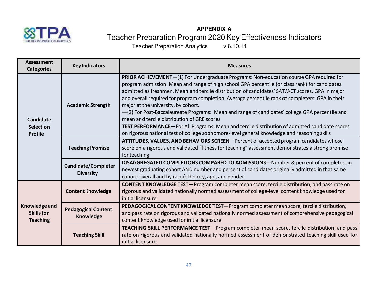

# **APPENDIX A** Teacher Preparation Program 2020 Key Effectiveness Indicators<br>Teacher Preparation Analytics v 6.10.14

Teacher Preparation Analytics

| <b>Assessment</b><br><b>Categories</b>                                             | <b>Key Indicators</b>                          | <b>Measures</b>                                                                                                                                                                                                                                                                                                                                                                                                                                                                                                                                                                                                                                                                                                                                                                                          |
|------------------------------------------------------------------------------------|------------------------------------------------|----------------------------------------------------------------------------------------------------------------------------------------------------------------------------------------------------------------------------------------------------------------------------------------------------------------------------------------------------------------------------------------------------------------------------------------------------------------------------------------------------------------------------------------------------------------------------------------------------------------------------------------------------------------------------------------------------------------------------------------------------------------------------------------------------------|
| <b>Academic Strength</b><br><b>Candidate</b><br><b>Selection</b><br><b>Profile</b> |                                                | <b>PRIOR ACHIEVEMENT</b> —(1) For Undergraduate Programs: Non-education course GPA required for<br>program admission. Mean and range of high school GPA percentile (or class rank) for candidates<br>admitted as freshmen. Mean and tercile distribution of candidates' SAT/ACT scores. GPA in major<br>and overall required for program completion. Average percentile rank of completers' GPA in their<br>major at the university, by cohort.<br>-(2) For Post-Baccalaureate Programs: Mean and range of candidates' college GPA percentile and<br>mean and tercile distribution of GRE scores<br><b>TEST PERFORMANCE</b> —For All Programs: Mean and tercile distribution of admitted candidate scores<br>on rigorous national test of college sophomore-level general knowledge and reasoning skills |
|                                                                                    | <b>Teaching Promise</b>                        | ATTITUDES, VALUES, AND BEHAVIORS SCREEN-Percent of accepted program candidates whose<br>score on a rigorous and validated "fitness for teaching" assessment demonstrates a strong promise<br>for teaching                                                                                                                                                                                                                                                                                                                                                                                                                                                                                                                                                                                                |
|                                                                                    | <b>Candidate/Completer</b><br><b>Diversity</b> | DISAGGREGATED COMPLETIONS COMPARED TO ADMISSIONS-Number & percent of completers in<br>newest graduating cohort AND number and percent of candidates originally admitted in that same<br>cohort: overall and by race/ethnicity, age, and gender                                                                                                                                                                                                                                                                                                                                                                                                                                                                                                                                                           |
|                                                                                    | <b>Content Knowledge</b>                       | <b>CONTENT KNOWLEDGE TEST</b> —Program completer mean score, tercile distribution, and pass rate on<br>rigorous and validated nationally normed assessment of college-level content knowledge used for<br>initial licensure                                                                                                                                                                                                                                                                                                                                                                                                                                                                                                                                                                              |
| Knowledge and<br><b>Skills for</b><br><b>Teaching</b>                              | <b>Pedagogical Content</b><br>Knowledge        | PEDAGOGICAL CONTENT KNOWLEDGE TEST-Program completer mean score, tercile distribution,<br>and pass rate on rigorous and validated nationally normed assessment of comprehensive pedagogical<br>content knowledge used for initial licensure                                                                                                                                                                                                                                                                                                                                                                                                                                                                                                                                                              |
|                                                                                    | <b>Teaching Skill</b>                          | TEACHING SKILL PERFORMANCE TEST-Program completer mean score, tercile distribution, and pass<br>rate on rigorous and validated nationally normed assessment of demonstrated teaching skill used for<br>initial licensure                                                                                                                                                                                                                                                                                                                                                                                                                                                                                                                                                                                 |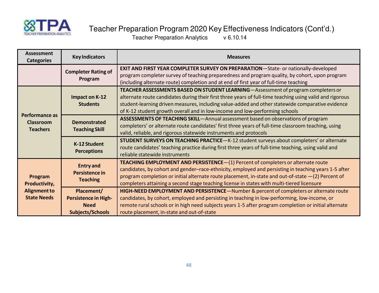

# Teacher Preparation Program 2020 Key Effectiveness Indicators (Cont'd.)

Teacher Preparation Analytics v 6.10.14

| <b>Assessment</b><br><b>Categories</b>                | <b>Key Indicators</b>                                                               | <b>Measures</b>                                                                                                                                                                                                                                                                                                                                                                                |
|-------------------------------------------------------|-------------------------------------------------------------------------------------|------------------------------------------------------------------------------------------------------------------------------------------------------------------------------------------------------------------------------------------------------------------------------------------------------------------------------------------------------------------------------------------------|
|                                                       | <b>Completer Rating of</b><br>Program                                               | <b>EXIT AND FIRST YEAR COMPLETER SURVEY ON PREPARATION</b> —State- or nationally-developed<br>program completer survey of teaching preparedness and program quality, by cohort, upon program<br>(including alternate route) completion and at end of first year of full-time teaching                                                                                                          |
|                                                       | Impact on K-12<br><b>Students</b>                                                   | TEACHER ASSESSMENTS BASED ON STUDENT LEARNING-Assessment of program completers or<br>alternate route candidates during their first three years of full-time teaching using valid and rigorous<br>student-learning driven measures, including value-added and other statewide comparative evidence<br>of K-12 student growth overall and in low-income and low-performing schools               |
| Performance as<br><b>Classroom</b><br><b>Teachers</b> | <b>Demonstrated</b><br><b>Teaching Skill</b>                                        | ASSESSMENTS OF TEACHING SKILL-Annual assessment based on observations of program<br>completers' or alternate route candidates' first three years of full-time classroom teaching, using<br>valid, reliable, and rigorous statewide instruments and protocols                                                                                                                                   |
| K-12 Student<br><b>Perceptions</b>                    |                                                                                     | STUDENT SURVEYS ON TEACHING PRACTICE-K-12 student surveys about completers' or alternate<br>route candidates' teaching practice during first three years of full-time teaching, using valid and<br>reliable statewide instruments                                                                                                                                                              |
| Program<br>Productivity,                              | <b>Entry and</b><br>Persistence in<br><b>Teaching</b>                               | TEACHING EMPLOYMENT AND PERSISTENCE-(1) Percent of completers or alternate route<br>candidates, by cohort and gender-race-ethnicity, employed and persisting in teaching years 1-5 after<br>program completion or initial alternate route placement, in-state and out-of-state $-(2)$ Percent of<br>completers attaining a second stage teaching license in states with multi-tiered licensure |
| <b>Alignment to</b><br><b>State Needs</b>             | Placement/<br><b>Persistence in High-</b><br><b>Need</b><br><b>Subjects/Schools</b> | HIGH-NEED EMPLOYMENT AND PERSISTENCE-Number & percent of completers or alternate route<br>candidates, by cohort, employed and persisting in teaching in low-performing, low-income, or<br>remote rural schools or in high need subjects years 1-5 after program completion or initial alternate<br>route placement, in-state and out-of-state                                                  |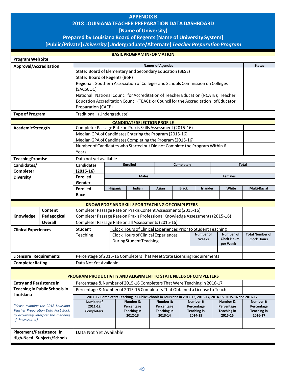# **APPENDIX B 2018 LOUISIANA TEACHER PREPARATION DATA DASHBOARD**

#### **[Name of University)**

# **Prepared by Louisiana Board of Regents [Name of University System]**

# **[Public/Private]** *University* **[Undergraduate/Alternate]** *Teacher Preparation Program*

|                                 |                                                                                  |                                                                                                                                                 |                                                           | <b>BASICPROGRAMINFORMATION</b>                                |                               |                   |                               |                                                                                                              |                               |  |
|---------------------------------|----------------------------------------------------------------------------------|-------------------------------------------------------------------------------------------------------------------------------------------------|-----------------------------------------------------------|---------------------------------------------------------------|-------------------------------|-------------------|-------------------------------|--------------------------------------------------------------------------------------------------------------|-------------------------------|--|
| <b>Program Web Site</b>         |                                                                                  |                                                                                                                                                 |                                                           |                                                               |                               |                   |                               |                                                                                                              |                               |  |
| Approval/Accreditation          |                                                                                  |                                                                                                                                                 |                                                           |                                                               | <b>Names of Agencies</b>      |                   |                               |                                                                                                              | <b>Status</b>                 |  |
|                                 |                                                                                  |                                                                                                                                                 | State: Board of Elementary and Secondary Education (BESE) |                                                               |                               |                   |                               |                                                                                                              |                               |  |
|                                 |                                                                                  |                                                                                                                                                 | State: Board of Regents (BoR)                             |                                                               |                               |                   |                               |                                                                                                              |                               |  |
|                                 |                                                                                  | Regional: Southern Association of Colleges and Schools Commission on Colleges                                                                   |                                                           |                                                               |                               |                   |                               |                                                                                                              |                               |  |
|                                 |                                                                                  | (SACSCOC)                                                                                                                                       |                                                           |                                                               |                               |                   |                               |                                                                                                              |                               |  |
|                                 |                                                                                  | National: National Council for Accreditation of Teacher Education (NCATE); Teacher                                                              |                                                           |                                                               |                               |                   |                               |                                                                                                              |                               |  |
|                                 |                                                                                  | Education Accreditation Council (TEAC); or Council for the Accreditation of Educator                                                            |                                                           |                                                               |                               |                   |                               |                                                                                                              |                               |  |
|                                 |                                                                                  | Preparation (CAEP)                                                                                                                              |                                                           |                                                               |                               |                   |                               |                                                                                                              |                               |  |
| <b>Type of Program</b>          |                                                                                  | Traditional (Undergraduate)                                                                                                                     |                                                           |                                                               |                               |                   |                               |                                                                                                              |                               |  |
|                                 |                                                                                  |                                                                                                                                                 |                                                           | <b>CANDIDATE SELECTION PROFILE</b>                            |                               |                   |                               |                                                                                                              |                               |  |
| <b>AcademicStrength</b>         |                                                                                  | Completer Passage Rate on Praxis Skills Assessment (2015-16)                                                                                    |                                                           |                                                               |                               |                   |                               |                                                                                                              |                               |  |
|                                 |                                                                                  | Median GPA of Candidates Entering the Program (2015-16)                                                                                         |                                                           |                                                               |                               |                   |                               |                                                                                                              |                               |  |
|                                 |                                                                                  | Median GPA of Candidates Completing the Program (2015-16)                                                                                       |                                                           |                                                               |                               |                   |                               |                                                                                                              |                               |  |
|                                 |                                                                                  | Number of Candidates who Started but Did not Complete the Program Within 6                                                                      |                                                           |                                                               |                               |                   |                               |                                                                                                              |                               |  |
|                                 |                                                                                  | Years                                                                                                                                           |                                                           |                                                               |                               |                   |                               |                                                                                                              |                               |  |
| <b>Teaching Promise</b>         |                                                                                  | Data not yet available.                                                                                                                         |                                                           |                                                               |                               |                   |                               |                                                                                                              |                               |  |
| Candidates/                     |                                                                                  | <b>Candidates</b>                                                                                                                               |                                                           | <b>Enrolled</b>                                               |                               | <b>Completers</b> |                               |                                                                                                              | <b>Total</b>                  |  |
| Completer                       |                                                                                  | $(2015-16)$                                                                                                                                     |                                                           |                                                               |                               |                   |                               |                                                                                                              |                               |  |
| <b>Diversity</b>                |                                                                                  | <b>Enrolled</b>                                                                                                                                 |                                                           | <b>Males</b>                                                  |                               |                   |                               | <b>Females</b>                                                                                               |                               |  |
|                                 |                                                                                  | Gender                                                                                                                                          |                                                           |                                                               |                               |                   |                               |                                                                                                              |                               |  |
|                                 |                                                                                  |                                                                                                                                                 | <b>Hispanic</b>                                           | Indian                                                        | Asian                         | <b>Black</b>      | Islander                      | White                                                                                                        | <b>Multi-Racial</b>           |  |
|                                 |                                                                                  | <b>Enrolled</b><br>Race                                                                                                                         |                                                           |                                                               |                               |                   |                               |                                                                                                              |                               |  |
|                                 |                                                                                  |                                                                                                                                                 |                                                           |                                                               |                               |                   |                               |                                                                                                              |                               |  |
|                                 | <b>Content</b>                                                                   |                                                                                                                                                 |                                                           | KNOWLEDGE AND SKILLS FOR TEACHING OF COMPLETERS               |                               |                   |                               |                                                                                                              |                               |  |
| Knowledge                       |                                                                                  | Completer Passage Rate on Praxis Content Assessments (2015-16)<br>Completer Passage Rate on Praxis Professional Knowledge Assessments (2015-16) |                                                           |                                                               |                               |                   |                               |                                                                                                              |                               |  |
|                                 | Pedagogical<br><b>Overall</b>                                                    | Completer Passage Rate on all Assessments (2015-16)                                                                                             |                                                           |                                                               |                               |                   |                               |                                                                                                              |                               |  |
|                                 |                                                                                  |                                                                                                                                                 |                                                           |                                                               |                               |                   |                               |                                                                                                              |                               |  |
| <b>Clinical Experiences</b>     |                                                                                  | Student                                                                                                                                         |                                                           | Clock Hours of Clinical Experiences Prior to Student Teaching |                               |                   | Number of                     | Number of                                                                                                    | <b>Total Number of</b>        |  |
|                                 |                                                                                  | Teaching                                                                                                                                        |                                                           | Clock Hours of Clinical Experiences                           |                               |                   | Weeks                         | <b>Clock Hours</b>                                                                                           | <b>Clock Hours</b>            |  |
|                                 |                                                                                  |                                                                                                                                                 |                                                           | During Student Teaching                                       |                               |                   |                               | per Week                                                                                                     |                               |  |
|                                 |                                                                                  |                                                                                                                                                 |                                                           |                                                               |                               |                   |                               |                                                                                                              |                               |  |
| Licensure Requirements          |                                                                                  | Percentage of 2015-16 Completers That Meet State Licensing Requirements                                                                         |                                                           |                                                               |                               |                   |                               |                                                                                                              |                               |  |
| <b>Completer Rating</b>         |                                                                                  | Data Not Yet Available                                                                                                                          |                                                           |                                                               |                               |                   |                               |                                                                                                              |                               |  |
|                                 |                                                                                  |                                                                                                                                                 |                                                           |                                                               |                               |                   |                               |                                                                                                              |                               |  |
|                                 |                                                                                  | <b>PROGRAM PRODUCTIVITY AND ALIGNMENT TO STATE NEEDS OF COMPLETERS</b>                                                                          |                                                           |                                                               |                               |                   |                               |                                                                                                              |                               |  |
| <b>Entry and Persistence in</b> |                                                                                  | Percentage & Number of 2015-16 Completers That Were Teaching in 2016-17                                                                         |                                                           |                                                               |                               |                   |                               |                                                                                                              |                               |  |
|                                 | <b>Teaching in Public Schools in</b>                                             | Percentage & Number of 2015-16 Completers That Obtained a License to Teach                                                                      |                                                           |                                                               |                               |                   |                               |                                                                                                              |                               |  |
| Louisiana                       |                                                                                  |                                                                                                                                                 |                                                           |                                                               |                               |                   |                               | 2011-12 Completers Teaching in Public Schools in Louisiana in 2012-13, 2013-14, 2014-15, 2015-16 and 2016-17 |                               |  |
|                                 |                                                                                  | <b>Number of</b>                                                                                                                                |                                                           | Number &                                                      | Number &                      |                   | Number &                      | Number &                                                                                                     | Number &                      |  |
|                                 | (Please examine the 2018 Louisiana                                               | 2011-12                                                                                                                                         |                                                           | Percentage                                                    | Percentage                    |                   | Percentage                    | Percentage                                                                                                   | Percentage                    |  |
|                                 | <b>Teacher Preparation Data Fact Book</b><br>to accurately interpret the meaning | <b>Completers</b>                                                                                                                               |                                                           | <b>Teaching in</b><br>2012-13                                 | <b>Teaching in</b><br>2013-14 |                   | <b>Teaching in</b><br>2014-15 | <b>Teaching in</b><br>2015-16                                                                                | <b>Teaching in</b><br>2016-17 |  |
| of these scores.)               |                                                                                  |                                                                                                                                                 |                                                           |                                                               |                               |                   |                               |                                                                                                              |                               |  |
|                                 |                                                                                  |                                                                                                                                                 |                                                           |                                                               |                               |                   |                               |                                                                                                              |                               |  |
| Placement/Persistence in        |                                                                                  | Data Not Yet Available                                                                                                                          |                                                           |                                                               |                               |                   |                               |                                                                                                              |                               |  |
|                                 | High-Need Subjects/Schools                                                       |                                                                                                                                                 |                                                           |                                                               |                               |                   |                               |                                                                                                              |                               |  |